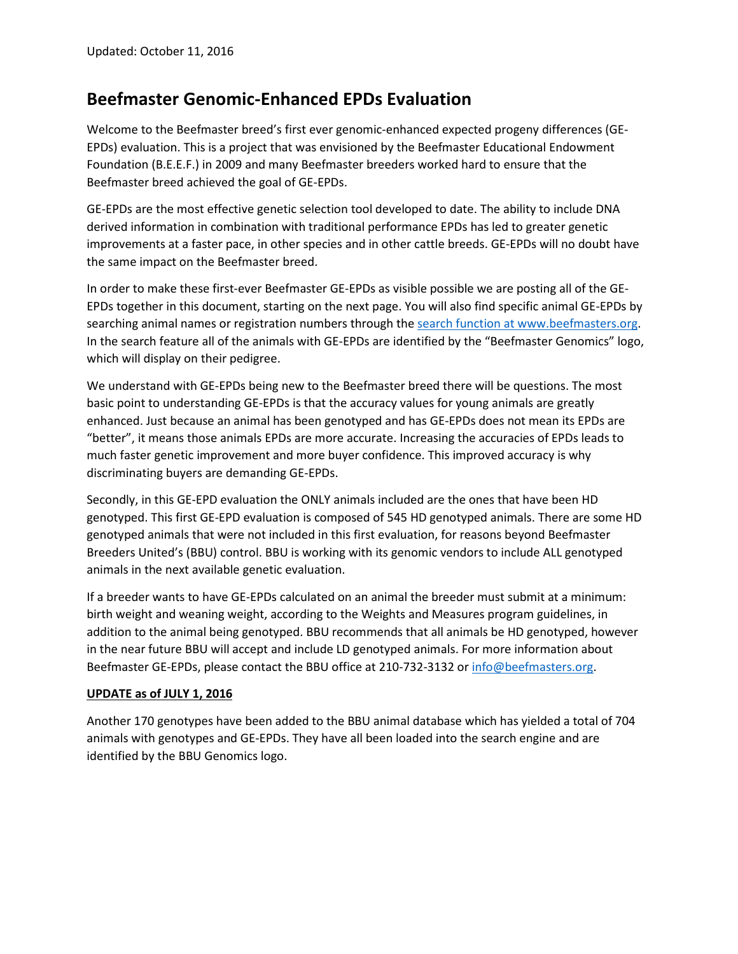## **Beefmaster Genomic-Enhanced EPDs Evaluation**

Welcome to the Beefmaster breed's first ever genomic-enhanced expected progeny differences (GE-EPDs) evaluation. This is a project that was envisioned by the Beefmaster Educational Endowment Foundation (B.E.E.F.) in 2009 and many Beefmaster breeders worked hard to ensure that the Beefmaster breed achieved the goal of GE-EPDs.

GE-EPDs are the most effective genetic selection tool developed to date. The ability to include DNA derived information in combination with traditional performance EPDs has led to greater genetic improvements at a faster pace, in other species and in other cattle breeds. GE-EPDs will no doubt have the same impact on the Beefmaster breed.

In order to make these first-ever Beefmaster GE-EPDs as visible possible we are posting all of the GE-EPDs together in this document, starting on the next page. You will also find specific animal GE-EPDs by searching animal names or registration numbers through the [search function at www.beefmasters.org.](https://abri.une.edu.au/online/cgi-bin/i4.dll?1=3E3F2F33&2=322B) In the search feature all of the animals with GE-EPDs are identified by the "Beefmaster Genomics" logo, which will display on their pedigree.

We understand with GE-EPDs being new to the Beefmaster breed there will be questions. The most basic point to understanding GE-EPDs is that the accuracy values for young animals are greatly enhanced. Just because an animal has been genotyped and has GE-EPDs does not mean its EPDs are "better", it means those animals EPDs are more accurate. Increasing the accuracies of EPDs leads to much faster genetic improvement and more buyer confidence. This improved accuracy is why discriminating buyers are demanding GE-EPDs.

Secondly, in this GE-EPD evaluation the ONLY animals included are the ones that have been HD genotyped. This first GE-EPD evaluation is composed of 545 HD genotyped animals. There are some HD genotyped animals that were not included in this first evaluation, for reasons beyond Beefmaster Breeders United's (BBU) control. BBU is working with its genomic vendors to include ALL genotyped animals in the next available genetic evaluation.

If a breeder wants to have GE-EPDs calculated on an animal the breeder must submit at a minimum: birth weight and weaning weight, according to the Weights and Measures program guidelines, in addition to the animal being genotyped. BBU recommends that all animals be HD genotyped, however in the near future BBU will accept and include LD genotyped animals. For more information about Beefmaster GE-EPDs, please contact the BBU office at 210-732-3132 o[r info@beefmasters.org.](mailto:info@beefmasters.org)

## **UPDATE as of JULY 1, 2016**

Another 170 genotypes have been added to the BBU animal database which has yielded a total of 704 animals with genotypes and GE-EPDs. They have all been loaded into the search engine and are identified by the BBU Genomics logo.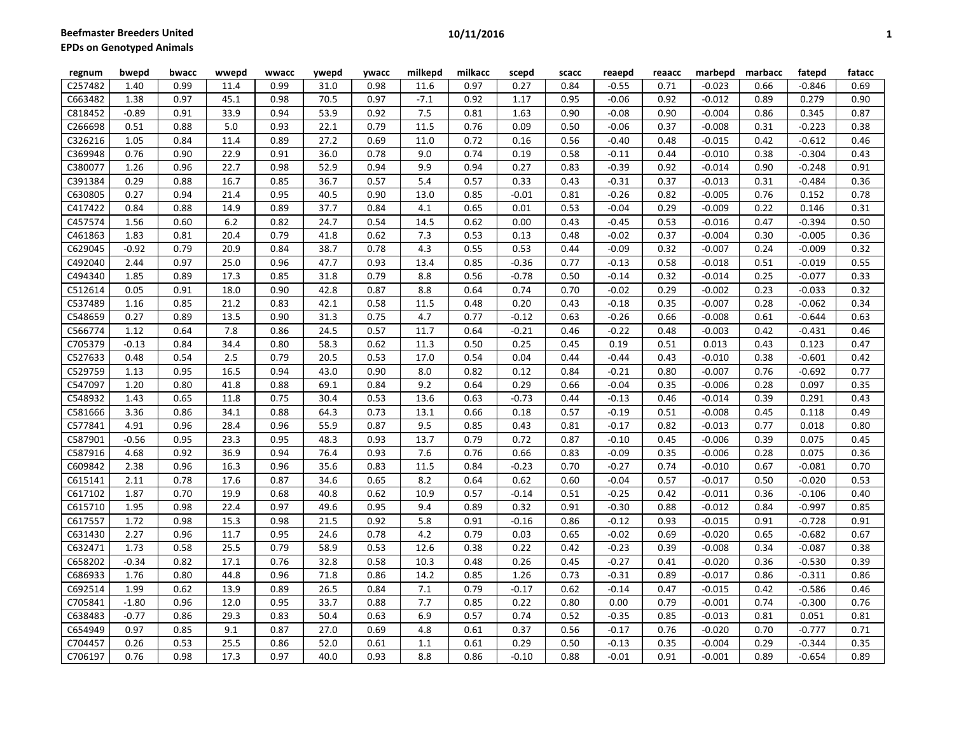| regnum  | bwepd   | bwacc | wwepd | wwacc | ywepd | ywacc | milkepd | milkacc | scepd   | scacc | reaepd  | reaacc | marbepd  | marbacc | fatepd   | fatacc |
|---------|---------|-------|-------|-------|-------|-------|---------|---------|---------|-------|---------|--------|----------|---------|----------|--------|
| C257482 | 1.40    | 0.99  | 11.4  | 0.99  | 31.0  | 0.98  | 11.6    | 0.97    | 0.27    | 0.84  | $-0.55$ | 0.71   | $-0.023$ | 0.66    | $-0.846$ | 0.69   |
| C663482 | 1.38    | 0.97  | 45.1  | 0.98  | 70.5  | 0.97  | $-7.1$  | 0.92    | 1.17    | 0.95  | $-0.06$ | 0.92   | $-0.012$ | 0.89    | 0.279    | 0.90   |
| C818452 | $-0.89$ | 0.91  | 33.9  | 0.94  | 53.9  | 0.92  | 7.5     | 0.81    | 1.63    | 0.90  | $-0.08$ | 0.90   | $-0.004$ | 0.86    | 0.345    | 0.87   |
| C266698 | 0.51    | 0.88  | 5.0   | 0.93  | 22.1  | 0.79  | 11.5    | 0.76    | 0.09    | 0.50  | $-0.06$ | 0.37   | $-0.008$ | 0.31    | $-0.223$ | 0.38   |
| C326216 | 1.05    | 0.84  | 11.4  | 0.89  | 27.2  | 0.69  | 11.0    | 0.72    | 0.16    | 0.56  | $-0.40$ | 0.48   | $-0.015$ | 0.42    | $-0.612$ | 0.46   |
| C369948 | 0.76    | 0.90  | 22.9  | 0.91  | 36.0  | 0.78  | 9.0     | 0.74    | 0.19    | 0.58  | $-0.11$ | 0.44   | $-0.010$ | 0.38    | $-0.304$ | 0.43   |
| C380077 | 1.26    | 0.96  | 22.7  | 0.98  | 52.9  | 0.94  | 9.9     | 0.94    | 0.27    | 0.83  | $-0.39$ | 0.92   | $-0.014$ | 0.90    | $-0.248$ | 0.91   |
| C391384 | 0.29    | 0.88  | 16.7  | 0.85  | 36.7  | 0.57  | 5.4     | 0.57    | 0.33    | 0.43  | $-0.31$ | 0.37   | $-0.013$ | 0.31    | $-0.484$ | 0.36   |
| C630805 | 0.27    | 0.94  | 21.4  | 0.95  | 40.5  | 0.90  | 13.0    | 0.85    | $-0.01$ | 0.81  | $-0.26$ | 0.82   | $-0.005$ | 0.76    | 0.152    | 0.78   |
| C417422 | 0.84    | 0.88  | 14.9  | 0.89  | 37.7  | 0.84  | 4.1     | 0.65    | 0.01    | 0.53  | $-0.04$ | 0.29   | $-0.009$ | 0.22    | 0.146    | 0.31   |
| C457574 | 1.56    | 0.60  | 6.2   | 0.82  | 24.7  | 0.54  | 14.5    | 0.62    | 0.00    | 0.43  | $-0.45$ | 0.53   | $-0.016$ | 0.47    | $-0.394$ | 0.50   |
| C461863 | 1.83    | 0.81  | 20.4  | 0.79  | 41.8  | 0.62  | 7.3     | 0.53    | 0.13    | 0.48  | $-0.02$ | 0.37   | $-0.004$ | 0.30    | $-0.005$ | 0.36   |
| C629045 | $-0.92$ | 0.79  | 20.9  | 0.84  | 38.7  | 0.78  | 4.3     | 0.55    | 0.53    | 0.44  | $-0.09$ | 0.32   | $-0.007$ | 0.24    | $-0.009$ | 0.32   |
| C492040 | 2.44    | 0.97  | 25.0  | 0.96  | 47.7  | 0.93  | 13.4    | 0.85    | $-0.36$ | 0.77  | $-0.13$ | 0.58   | $-0.018$ | 0.51    | $-0.019$ | 0.55   |
| C494340 | 1.85    | 0.89  | 17.3  | 0.85  | 31.8  | 0.79  | 8.8     | 0.56    | $-0.78$ | 0.50  | $-0.14$ | 0.32   | $-0.014$ | 0.25    | $-0.077$ | 0.33   |
| C512614 | 0.05    | 0.91  | 18.0  | 0.90  | 42.8  | 0.87  | 8.8     | 0.64    | 0.74    | 0.70  | $-0.02$ | 0.29   | $-0.002$ | 0.23    | $-0.033$ | 0.32   |
| C537489 | 1.16    | 0.85  | 21.2  | 0.83  | 42.1  | 0.58  | 11.5    | 0.48    | 0.20    | 0.43  | $-0.18$ | 0.35   | $-0.007$ | 0.28    | $-0.062$ | 0.34   |
| C548659 | 0.27    | 0.89  | 13.5  | 0.90  | 31.3  | 0.75  | 4.7     | 0.77    | $-0.12$ | 0.63  | $-0.26$ | 0.66   | $-0.008$ | 0.61    | $-0.644$ | 0.63   |
| C566774 | 1.12    | 0.64  | 7.8   | 0.86  | 24.5  | 0.57  | 11.7    | 0.64    | $-0.21$ | 0.46  | $-0.22$ | 0.48   | $-0.003$ | 0.42    | $-0.431$ | 0.46   |
| C705379 | $-0.13$ | 0.84  | 34.4  | 0.80  | 58.3  | 0.62  | 11.3    | 0.50    | 0.25    | 0.45  | 0.19    | 0.51   | 0.013    | 0.43    | 0.123    | 0.47   |
| C527633 | 0.48    | 0.54  | 2.5   | 0.79  | 20.5  | 0.53  | 17.0    | 0.54    | 0.04    | 0.44  | $-0.44$ | 0.43   | $-0.010$ | 0.38    | $-0.601$ | 0.42   |
| C529759 | 1.13    | 0.95  | 16.5  | 0.94  | 43.0  | 0.90  | 8.0     | 0.82    | 0.12    | 0.84  | $-0.21$ | 0.80   | $-0.007$ | 0.76    | $-0.692$ | 0.77   |
| C547097 | 1.20    | 0.80  | 41.8  | 0.88  | 69.1  | 0.84  | 9.2     | 0.64    | 0.29    | 0.66  | $-0.04$ | 0.35   | $-0.006$ | 0.28    | 0.097    | 0.35   |
| C548932 | 1.43    | 0.65  | 11.8  | 0.75  | 30.4  | 0.53  | 13.6    | 0.63    | $-0.73$ | 0.44  | $-0.13$ | 0.46   | $-0.014$ | 0.39    | 0.291    | 0.43   |
| C581666 | 3.36    | 0.86  | 34.1  | 0.88  | 64.3  | 0.73  | 13.1    | 0.66    | 0.18    | 0.57  | $-0.19$ | 0.51   | $-0.008$ | 0.45    | 0.118    | 0.49   |
| C577841 | 4.91    | 0.96  | 28.4  | 0.96  | 55.9  | 0.87  | 9.5     | 0.85    | 0.43    | 0.81  | $-0.17$ | 0.82   | $-0.013$ | 0.77    | 0.018    | 0.80   |
| C587901 | $-0.56$ | 0.95  | 23.3  | 0.95  | 48.3  | 0.93  | 13.7    | 0.79    | 0.72    | 0.87  | $-0.10$ | 0.45   | $-0.006$ | 0.39    | 0.075    | 0.45   |
| C587916 | 4.68    | 0.92  | 36.9  | 0.94  | 76.4  | 0.93  | 7.6     | 0.76    | 0.66    | 0.83  | $-0.09$ | 0.35   | $-0.006$ | 0.28    | 0.075    | 0.36   |
| C609842 | 2.38    | 0.96  | 16.3  | 0.96  | 35.6  | 0.83  | 11.5    | 0.84    | $-0.23$ | 0.70  | $-0.27$ | 0.74   | $-0.010$ | 0.67    | $-0.081$ | 0.70   |
| C615141 | 2.11    | 0.78  | 17.6  | 0.87  | 34.6  | 0.65  | 8.2     | 0.64    | 0.62    | 0.60  | $-0.04$ | 0.57   | $-0.017$ | 0.50    | $-0.020$ | 0.53   |
| C617102 | 1.87    | 0.70  | 19.9  | 0.68  | 40.8  | 0.62  | 10.9    | 0.57    | $-0.14$ | 0.51  | $-0.25$ | 0.42   | $-0.011$ | 0.36    | $-0.106$ | 0.40   |
| C615710 | 1.95    | 0.98  | 22.4  | 0.97  | 49.6  | 0.95  | 9.4     | 0.89    | 0.32    | 0.91  | $-0.30$ | 0.88   | $-0.012$ | 0.84    | $-0.997$ | 0.85   |
| C617557 | 1.72    | 0.98  | 15.3  | 0.98  | 21.5  | 0.92  | 5.8     | 0.91    | $-0.16$ | 0.86  | $-0.12$ | 0.93   | $-0.015$ | 0.91    | $-0.728$ | 0.91   |
| C631430 | 2.27    | 0.96  | 11.7  | 0.95  | 24.6  | 0.78  | 4.2     | 0.79    | 0.03    | 0.65  | $-0.02$ | 0.69   | $-0.020$ | 0.65    | $-0.682$ | 0.67   |
| C632471 | 1.73    | 0.58  | 25.5  | 0.79  | 58.9  | 0.53  | 12.6    | 0.38    | 0.22    | 0.42  | $-0.23$ | 0.39   | $-0.008$ | 0.34    | $-0.087$ | 0.38   |
| C658202 | $-0.34$ | 0.82  | 17.1  | 0.76  | 32.8  | 0.58  | 10.3    | 0.48    | 0.26    | 0.45  | $-0.27$ | 0.41   | $-0.020$ | 0.36    | $-0.530$ | 0.39   |
| C686933 | 1.76    | 0.80  | 44.8  | 0.96  | 71.8  | 0.86  | 14.2    | 0.85    | 1.26    | 0.73  | $-0.31$ | 0.89   | $-0.017$ | 0.86    | $-0.311$ | 0.86   |
| C692514 | 1.99    | 0.62  | 13.9  | 0.89  | 26.5  | 0.84  | 7.1     | 0.79    | $-0.17$ | 0.62  | $-0.14$ | 0.47   | $-0.015$ | 0.42    | $-0.586$ | 0.46   |
| C705841 | $-1.80$ | 0.96  | 12.0  | 0.95  | 33.7  | 0.88  | 7.7     | 0.85    | 0.22    | 0.80  | 0.00    | 0.79   | $-0.001$ | 0.74    | $-0.300$ | 0.76   |
| C638483 | $-0.77$ | 0.86  | 29.3  | 0.83  | 50.4  | 0.63  | 6.9     | 0.57    | 0.74    | 0.52  | $-0.35$ | 0.85   | $-0.013$ | 0.81    | 0.051    | 0.81   |
| C654949 | 0.97    | 0.85  | 9.1   | 0.87  | 27.0  | 0.69  | 4.8     | 0.61    | 0.37    | 0.56  | $-0.17$ | 0.76   | $-0.020$ | 0.70    | $-0.777$ | 0.71   |
| C704457 | 0.26    | 0.53  | 25.5  | 0.86  | 52.0  | 0.61  | 1.1     | 0.61    | 0.29    | 0.50  | $-0.13$ | 0.35   | $-0.004$ | 0.29    | $-0.344$ | 0.35   |
| C706197 | 0.76    | 0.98  | 17.3  | 0.97  | 40.0  | 0.93  | 8.8     | 0.86    | $-0.10$ | 0.88  | $-0.01$ | 0.91   | $-0.001$ | 0.89    | $-0.654$ | 0.89   |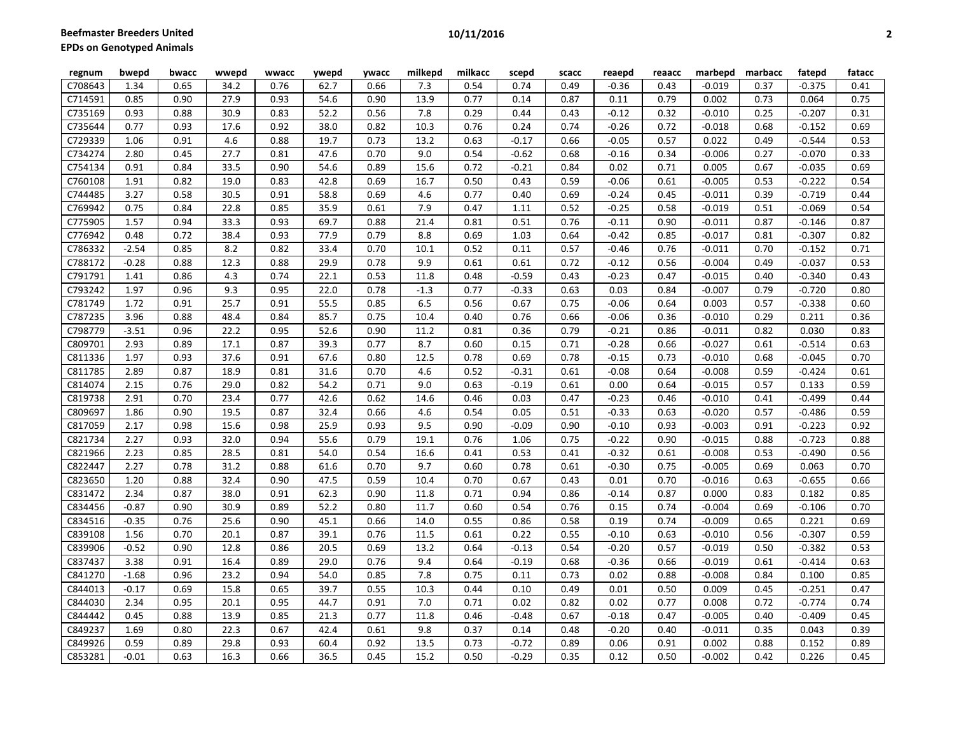| regnum  | bwepd   | bwacc | wwepd | wwacc | ywepd | ywacc | milkepd | milkacc | scepd   | scacc | reaepd  | reaacc | marbepd  | marbacc | fatepd   | fatacc |
|---------|---------|-------|-------|-------|-------|-------|---------|---------|---------|-------|---------|--------|----------|---------|----------|--------|
| C708643 | 1.34    | 0.65  | 34.2  | 0.76  | 62.7  | 0.66  | 7.3     | 0.54    | 0.74    | 0.49  | $-0.36$ | 0.43   | $-0.019$ | 0.37    | $-0.375$ | 0.41   |
| C714591 | 0.85    | 0.90  | 27.9  | 0.93  | 54.6  | 0.90  | 13.9    | 0.77    | 0.14    | 0.87  | 0.11    | 0.79   | 0.002    | 0.73    | 0.064    | 0.75   |
| C735169 | 0.93    | 0.88  | 30.9  | 0.83  | 52.2  | 0.56  | 7.8     | 0.29    | 0.44    | 0.43  | $-0.12$ | 0.32   | $-0.010$ | 0.25    | $-0.207$ | 0.31   |
| C735644 | 0.77    | 0.93  | 17.6  | 0.92  | 38.0  | 0.82  | 10.3    | 0.76    | 0.24    | 0.74  | $-0.26$ | 0.72   | $-0.018$ | 0.68    | $-0.152$ | 0.69   |
| C729339 | 1.06    | 0.91  | 4.6   | 0.88  | 19.7  | 0.73  | 13.2    | 0.63    | $-0.17$ | 0.66  | $-0.05$ | 0.57   | 0.022    | 0.49    | $-0.544$ | 0.53   |
| C734274 | 2.80    | 0.45  | 27.7  | 0.81  | 47.6  | 0.70  | 9.0     | 0.54    | $-0.62$ | 0.68  | $-0.16$ | 0.34   | $-0.006$ | 0.27    | $-0.070$ | 0.33   |
| C754134 | 0.91    | 0.84  | 33.5  | 0.90  | 54.6  | 0.89  | 15.6    | 0.72    | $-0.21$ | 0.84  | 0.02    | 0.71   | 0.005    | 0.67    | $-0.035$ | 0.69   |
| C760108 | 1.91    | 0.82  | 19.0  | 0.83  | 42.8  | 0.69  | 16.7    | 0.50    | 0.43    | 0.59  | $-0.06$ | 0.61   | $-0.005$ | 0.53    | $-0.222$ | 0.54   |
| C744485 | 3.27    | 0.58  | 30.5  | 0.91  | 58.8  | 0.69  | 4.6     | 0.77    | 0.40    | 0.69  | $-0.24$ | 0.45   | $-0.011$ | 0.39    | $-0.719$ | 0.44   |
| C769942 | 0.75    | 0.84  | 22.8  | 0.85  | 35.9  | 0.61  | 7.9     | 0.47    | 1.11    | 0.52  | $-0.25$ | 0.58   | $-0.019$ | 0.51    | $-0.069$ | 0.54   |
| C775905 | 1.57    | 0.94  | 33.3  | 0.93  | 69.7  | 0.88  | 21.4    | 0.81    | 0.51    | 0.76  | $-0.11$ | 0.90   | $-0.011$ | 0.87    | $-0.146$ | 0.87   |
| C776942 | 0.48    | 0.72  | 38.4  | 0.93  | 77.9  | 0.79  | 8.8     | 0.69    | 1.03    | 0.64  | $-0.42$ | 0.85   | $-0.017$ | 0.81    | $-0.307$ | 0.82   |
| C786332 | $-2.54$ | 0.85  | 8.2   | 0.82  | 33.4  | 0.70  | 10.1    | 0.52    | 0.11    | 0.57  | $-0.46$ | 0.76   | $-0.011$ | 0.70    | $-0.152$ | 0.71   |
| C788172 | $-0.28$ | 0.88  | 12.3  | 0.88  | 29.9  | 0.78  | 9.9     | 0.61    | 0.61    | 0.72  | $-0.12$ | 0.56   | $-0.004$ | 0.49    | $-0.037$ | 0.53   |
| C791791 | 1.41    | 0.86  | 4.3   | 0.74  | 22.1  | 0.53  | 11.8    | 0.48    | $-0.59$ | 0.43  | $-0.23$ | 0.47   | $-0.015$ | 0.40    | $-0.340$ | 0.43   |
| C793242 | 1.97    | 0.96  | 9.3   | 0.95  | 22.0  | 0.78  | $-1.3$  | 0.77    | $-0.33$ | 0.63  | 0.03    | 0.84   | $-0.007$ | 0.79    | $-0.720$ | 0.80   |
| C781749 | 1.72    | 0.91  | 25.7  | 0.91  | 55.5  | 0.85  | 6.5     | 0.56    | 0.67    | 0.75  | $-0.06$ | 0.64   | 0.003    | 0.57    | $-0.338$ | 0.60   |
| C787235 | 3.96    | 0.88  | 48.4  | 0.84  | 85.7  | 0.75  | 10.4    | 0.40    | 0.76    | 0.66  | $-0.06$ | 0.36   | $-0.010$ | 0.29    | 0.211    | 0.36   |
| C798779 | $-3.51$ | 0.96  | 22.2  | 0.95  | 52.6  | 0.90  | 11.2    | 0.81    | 0.36    | 0.79  | $-0.21$ | 0.86   | $-0.011$ | 0.82    | 0.030    | 0.83   |
| C809701 | 2.93    | 0.89  | 17.1  | 0.87  | 39.3  | 0.77  | 8.7     | 0.60    | 0.15    | 0.71  | $-0.28$ | 0.66   | $-0.027$ | 0.61    | $-0.514$ | 0.63   |
| C811336 | 1.97    | 0.93  | 37.6  | 0.91  | 67.6  | 0.80  | 12.5    | 0.78    | 0.69    | 0.78  | $-0.15$ | 0.73   | $-0.010$ | 0.68    | $-0.045$ | 0.70   |
| C811785 | 2.89    | 0.87  | 18.9  | 0.81  | 31.6  | 0.70  | 4.6     | 0.52    | $-0.31$ | 0.61  | $-0.08$ | 0.64   | $-0.008$ | 0.59    | $-0.424$ | 0.61   |
| C814074 | 2.15    | 0.76  | 29.0  | 0.82  | 54.2  | 0.71  | 9.0     | 0.63    | $-0.19$ | 0.61  | 0.00    | 0.64   | $-0.015$ | 0.57    | 0.133    | 0.59   |
| C819738 | 2.91    | 0.70  | 23.4  | 0.77  | 42.6  | 0.62  | 14.6    | 0.46    | 0.03    | 0.47  | $-0.23$ | 0.46   | $-0.010$ | 0.41    | $-0.499$ | 0.44   |
| C809697 | 1.86    | 0.90  | 19.5  | 0.87  | 32.4  | 0.66  | 4.6     | 0.54    | 0.05    | 0.51  | $-0.33$ | 0.63   | $-0.020$ | 0.57    | $-0.486$ | 0.59   |
| C817059 | 2.17    | 0.98  | 15.6  | 0.98  | 25.9  | 0.93  | 9.5     | 0.90    | $-0.09$ | 0.90  | $-0.10$ | 0.93   | $-0.003$ | 0.91    | $-0.223$ | 0.92   |
| C821734 | 2.27    | 0.93  | 32.0  | 0.94  | 55.6  | 0.79  | 19.1    | 0.76    | 1.06    | 0.75  | $-0.22$ | 0.90   | $-0.015$ | 0.88    | $-0.723$ | 0.88   |
| C821966 | 2.23    | 0.85  | 28.5  | 0.81  | 54.0  | 0.54  | 16.6    | 0.41    | 0.53    | 0.41  | $-0.32$ | 0.61   | $-0.008$ | 0.53    | $-0.490$ | 0.56   |
| C822447 | 2.27    | 0.78  | 31.2  | 0.88  | 61.6  | 0.70  | 9.7     | 0.60    | 0.78    | 0.61  | $-0.30$ | 0.75   | $-0.005$ | 0.69    | 0.063    | 0.70   |
| C823650 | 1.20    | 0.88  | 32.4  | 0.90  | 47.5  | 0.59  | 10.4    | 0.70    | 0.67    | 0.43  | 0.01    | 0.70   | $-0.016$ | 0.63    | $-0.655$ | 0.66   |
| C831472 | 2.34    | 0.87  | 38.0  | 0.91  | 62.3  | 0.90  | 11.8    | 0.71    | 0.94    | 0.86  | $-0.14$ | 0.87   | 0.000    | 0.83    | 0.182    | 0.85   |
| C834456 | $-0.87$ | 0.90  | 30.9  | 0.89  | 52.2  | 0.80  | 11.7    | 0.60    | 0.54    | 0.76  | 0.15    | 0.74   | $-0.004$ | 0.69    | $-0.106$ | 0.70   |
| C834516 | $-0.35$ | 0.76  | 25.6  | 0.90  | 45.1  | 0.66  | 14.0    | 0.55    | 0.86    | 0.58  | 0.19    | 0.74   | $-0.009$ | 0.65    | 0.221    | 0.69   |
| C839108 | 1.56    | 0.70  | 20.1  | 0.87  | 39.1  | 0.76  | 11.5    | 0.61    | 0.22    | 0.55  | $-0.10$ | 0.63   | $-0.010$ | 0.56    | $-0.307$ | 0.59   |
| C839906 | $-0.52$ | 0.90  | 12.8  | 0.86  | 20.5  | 0.69  | 13.2    | 0.64    | $-0.13$ | 0.54  | $-0.20$ | 0.57   | $-0.019$ | 0.50    | $-0.382$ | 0.53   |
| C837437 | 3.38    | 0.91  | 16.4  | 0.89  | 29.0  | 0.76  | 9.4     | 0.64    | $-0.19$ | 0.68  | $-0.36$ | 0.66   | $-0.019$ | 0.61    | $-0.414$ | 0.63   |
| C841270 | $-1.68$ | 0.96  | 23.2  | 0.94  | 54.0  | 0.85  | 7.8     | 0.75    | 0.11    | 0.73  | 0.02    | 0.88   | $-0.008$ | 0.84    | 0.100    | 0.85   |
| C844013 | $-0.17$ | 0.69  | 15.8  | 0.65  | 39.7  | 0.55  | 10.3    | 0.44    | 0.10    | 0.49  | 0.01    | 0.50   | 0.009    | 0.45    | $-0.251$ | 0.47   |
| C844030 | 2.34    | 0.95  | 20.1  | 0.95  | 44.7  | 0.91  | 7.0     | 0.71    | 0.02    | 0.82  | 0.02    | 0.77   | 0.008    | 0.72    | $-0.774$ | 0.74   |
| C844442 | 0.45    | 0.88  | 13.9  | 0.85  | 21.3  | 0.77  | 11.8    | 0.46    | $-0.48$ | 0.67  | $-0.18$ | 0.47   | $-0.005$ | 0.40    | $-0.409$ | 0.45   |
| C849237 | 1.69    | 0.80  | 22.3  | 0.67  | 42.4  | 0.61  | 9.8     | 0.37    | 0.14    | 0.48  | $-0.20$ | 0.40   | $-0.011$ | 0.35    | 0.043    | 0.39   |
| C849926 | 0.59    | 0.89  | 29.8  | 0.93  | 60.4  | 0.92  | 13.5    | 0.73    | $-0.72$ | 0.89  | 0.06    | 0.91   | 0.002    | 0.88    | 0.152    | 0.89   |
| C853281 | $-0.01$ | 0.63  | 16.3  | 0.66  | 36.5  | 0.45  | 15.2    | 0.50    | $-0.29$ | 0.35  | 0.12    | 0.50   | $-0.002$ | 0.42    | 0.226    | 0.45   |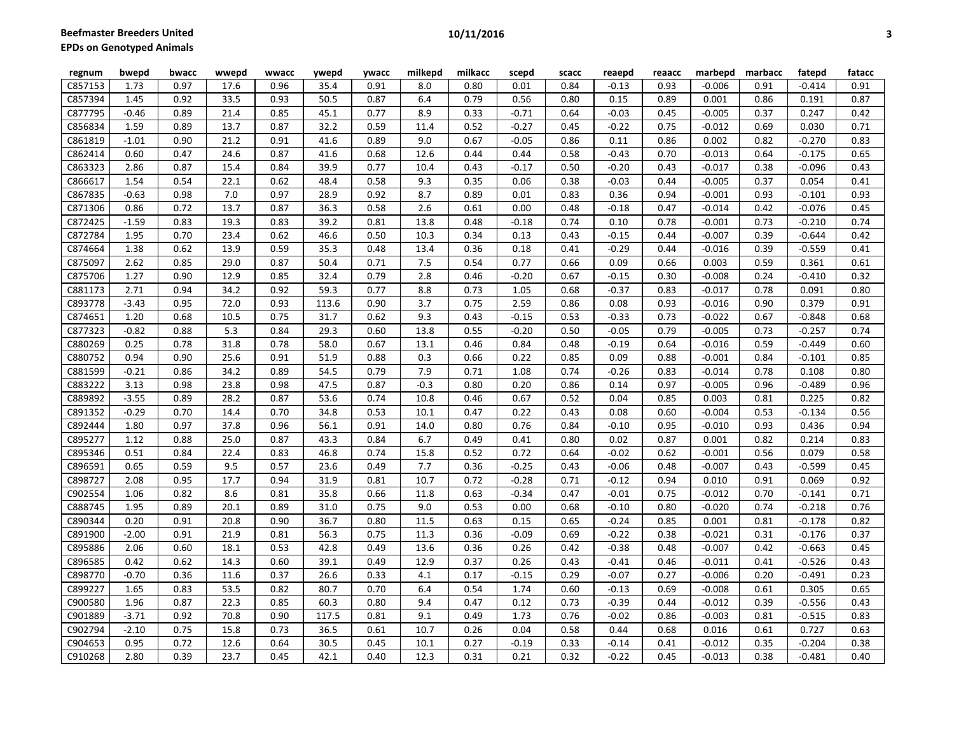| regnum  | bwepd   | bwacc | wwepd | wwacc | ywepd | ywacc | milkepd | milkacc | scepd   | scacc | reaepd  | reaacc | marbepd  | marbacc | fatepd   | fatacc |
|---------|---------|-------|-------|-------|-------|-------|---------|---------|---------|-------|---------|--------|----------|---------|----------|--------|
| C857153 | 1.73    | 0.97  | 17.6  | 0.96  | 35.4  | 0.91  | 8.0     | 0.80    | 0.01    | 0.84  | $-0.13$ | 0.93   | $-0.006$ | 0.91    | $-0.414$ | 0.91   |
| C857394 | 1.45    | 0.92  | 33.5  | 0.93  | 50.5  | 0.87  | 6.4     | 0.79    | 0.56    | 0.80  | 0.15    | 0.89   | 0.001    | 0.86    | 0.191    | 0.87   |
| C877795 | $-0.46$ | 0.89  | 21.4  | 0.85  | 45.1  | 0.77  | 8.9     | 0.33    | $-0.71$ | 0.64  | $-0.03$ | 0.45   | $-0.005$ | 0.37    | 0.247    | 0.42   |
| C856834 | 1.59    | 0.89  | 13.7  | 0.87  | 32.2  | 0.59  | 11.4    | 0.52    | $-0.27$ | 0.45  | $-0.22$ | 0.75   | $-0.012$ | 0.69    | 0.030    | 0.71   |
| C861819 | $-1.01$ | 0.90  | 21.2  | 0.91  | 41.6  | 0.89  | 9.0     | 0.67    | $-0.05$ | 0.86  | 0.11    | 0.86   | 0.002    | 0.82    | $-0.270$ | 0.83   |
| C862414 | 0.60    | 0.47  | 24.6  | 0.87  | 41.6  | 0.68  | 12.6    | 0.44    | 0.44    | 0.58  | $-0.43$ | 0.70   | $-0.013$ | 0.64    | $-0.175$ | 0.65   |
| C863323 | 2.86    | 0.87  | 15.4  | 0.84  | 39.9  | 0.77  | 10.4    | 0.43    | $-0.17$ | 0.50  | $-0.20$ | 0.43   | $-0.017$ | 0.38    | $-0.096$ | 0.43   |
| C866617 | 1.54    | 0.54  | 22.1  | 0.62  | 48.4  | 0.58  | 9.3     | 0.35    | 0.06    | 0.38  | $-0.03$ | 0.44   | $-0.005$ | 0.37    | 0.054    | 0.41   |
| C867835 | $-0.63$ | 0.98  | 7.0   | 0.97  | 28.9  | 0.92  | 8.7     | 0.89    | 0.01    | 0.83  | 0.36    | 0.94   | $-0.001$ | 0.93    | $-0.101$ | 0.93   |
| C871306 | 0.86    | 0.72  | 13.7  | 0.87  | 36.3  | 0.58  | 2.6     | 0.61    | 0.00    | 0.48  | $-0.18$ | 0.47   | $-0.014$ | 0.42    | $-0.076$ | 0.45   |
| C872425 | $-1.59$ | 0.83  | 19.3  | 0.83  | 39.2  | 0.81  | 13.8    | 0.48    | $-0.18$ | 0.74  | 0.10    | 0.78   | $-0.001$ | 0.73    | $-0.210$ | 0.74   |
| C872784 | 1.95    | 0.70  | 23.4  | 0.62  | 46.6  | 0.50  | 10.3    | 0.34    | 0.13    | 0.43  | $-0.15$ | 0.44   | $-0.007$ | 0.39    | $-0.644$ | 0.42   |
| C874664 | 1.38    | 0.62  | 13.9  | 0.59  | 35.3  | 0.48  | 13.4    | 0.36    | 0.18    | 0.41  | $-0.29$ | 0.44   | $-0.016$ | 0.39    | $-0.559$ | 0.41   |
| C875097 | 2.62    | 0.85  | 29.0  | 0.87  | 50.4  | 0.71  | 7.5     | 0.54    | 0.77    | 0.66  | 0.09    | 0.66   | 0.003    | 0.59    | 0.361    | 0.61   |
| C875706 | 1.27    | 0.90  | 12.9  | 0.85  | 32.4  | 0.79  | 2.8     | 0.46    | $-0.20$ | 0.67  | $-0.15$ | 0.30   | $-0.008$ | 0.24    | $-0.410$ | 0.32   |
| C881173 | 2.71    | 0.94  | 34.2  | 0.92  | 59.3  | 0.77  | 8.8     | 0.73    | 1.05    | 0.68  | $-0.37$ | 0.83   | $-0.017$ | 0.78    | 0.091    | 0.80   |
| C893778 | $-3.43$ | 0.95  | 72.0  | 0.93  | 113.6 | 0.90  | 3.7     | 0.75    | 2.59    | 0.86  | 0.08    | 0.93   | $-0.016$ | 0.90    | 0.379    | 0.91   |
| C874651 | 1.20    | 0.68  | 10.5  | 0.75  | 31.7  | 0.62  | 9.3     | 0.43    | $-0.15$ | 0.53  | $-0.33$ | 0.73   | $-0.022$ | 0.67    | $-0.848$ | 0.68   |
| C877323 | $-0.82$ | 0.88  | 5.3   | 0.84  | 29.3  | 0.60  | 13.8    | 0.55    | $-0.20$ | 0.50  | $-0.05$ | 0.79   | $-0.005$ | 0.73    | $-0.257$ | 0.74   |
| C880269 | 0.25    | 0.78  | 31.8  | 0.78  | 58.0  | 0.67  | 13.1    | 0.46    | 0.84    | 0.48  | $-0.19$ | 0.64   | $-0.016$ | 0.59    | $-0.449$ | 0.60   |
| C880752 | 0.94    | 0.90  | 25.6  | 0.91  | 51.9  | 0.88  | 0.3     | 0.66    | 0.22    | 0.85  | 0.09    | 0.88   | $-0.001$ | 0.84    | $-0.101$ | 0.85   |
| C881599 | $-0.21$ | 0.86  | 34.2  | 0.89  | 54.5  | 0.79  | 7.9     | 0.71    | 1.08    | 0.74  | $-0.26$ | 0.83   | $-0.014$ | 0.78    | 0.108    | 0.80   |
| C883222 | 3.13    | 0.98  | 23.8  | 0.98  | 47.5  | 0.87  | $-0.3$  | 0.80    | 0.20    | 0.86  | 0.14    | 0.97   | $-0.005$ | 0.96    | $-0.489$ | 0.96   |
| C889892 | $-3.55$ | 0.89  | 28.2  | 0.87  | 53.6  | 0.74  | 10.8    | 0.46    | 0.67    | 0.52  | 0.04    | 0.85   | 0.003    | 0.81    | 0.225    | 0.82   |
| C891352 | $-0.29$ | 0.70  | 14.4  | 0.70  | 34.8  | 0.53  | 10.1    | 0.47    | 0.22    | 0.43  | 0.08    | 0.60   | $-0.004$ | 0.53    | $-0.134$ | 0.56   |
| C892444 | 1.80    | 0.97  | 37.8  | 0.96  | 56.1  | 0.91  | 14.0    | 0.80    | 0.76    | 0.84  | $-0.10$ | 0.95   | $-0.010$ | 0.93    | 0.436    | 0.94   |
| C895277 | 1.12    | 0.88  | 25.0  | 0.87  | 43.3  | 0.84  | 6.7     | 0.49    | 0.41    | 0.80  | 0.02    | 0.87   | 0.001    | 0.82    | 0.214    | 0.83   |
| C895346 | 0.51    | 0.84  | 22.4  | 0.83  | 46.8  | 0.74  | 15.8    | 0.52    | 0.72    | 0.64  | $-0.02$ | 0.62   | $-0.001$ | 0.56    | 0.079    | 0.58   |
| C896591 | 0.65    | 0.59  | 9.5   | 0.57  | 23.6  | 0.49  | 7.7     | 0.36    | $-0.25$ | 0.43  | $-0.06$ | 0.48   | $-0.007$ | 0.43    | $-0.599$ | 0.45   |
| C898727 | 2.08    | 0.95  | 17.7  | 0.94  | 31.9  | 0.81  | 10.7    | 0.72    | $-0.28$ | 0.71  | $-0.12$ | 0.94   | 0.010    | 0.91    | 0.069    | 0.92   |
| C902554 | 1.06    | 0.82  | 8.6   | 0.81  | 35.8  | 0.66  | 11.8    | 0.63    | $-0.34$ | 0.47  | $-0.01$ | 0.75   | $-0.012$ | 0.70    | $-0.141$ | 0.71   |
| C888745 | 1.95    | 0.89  | 20.1  | 0.89  | 31.0  | 0.75  | 9.0     | 0.53    | 0.00    | 0.68  | $-0.10$ | 0.80   | $-0.020$ | 0.74    | $-0.218$ | 0.76   |
| C890344 | 0.20    | 0.91  | 20.8  | 0.90  | 36.7  | 0.80  | 11.5    | 0.63    | 0.15    | 0.65  | $-0.24$ | 0.85   | 0.001    | 0.81    | $-0.178$ | 0.82   |
| C891900 | $-2.00$ | 0.91  | 21.9  | 0.81  | 56.3  | 0.75  | 11.3    | 0.36    | $-0.09$ | 0.69  | $-0.22$ | 0.38   | $-0.021$ | 0.31    | $-0.176$ | 0.37   |
| C895886 | 2.06    | 0.60  | 18.1  | 0.53  | 42.8  | 0.49  | 13.6    | 0.36    | 0.26    | 0.42  | $-0.38$ | 0.48   | $-0.007$ | 0.42    | $-0.663$ | 0.45   |
| C896585 | 0.42    | 0.62  | 14.3  | 0.60  | 39.1  | 0.49  | 12.9    | 0.37    | 0.26    | 0.43  | $-0.41$ | 0.46   | $-0.011$ | 0.41    | $-0.526$ | 0.43   |
| C898770 | $-0.70$ | 0.36  | 11.6  | 0.37  | 26.6  | 0.33  | 4.1     | 0.17    | $-0.15$ | 0.29  | $-0.07$ | 0.27   | $-0.006$ | 0.20    | $-0.491$ | 0.23   |
| C899227 | 1.65    | 0.83  | 53.5  | 0.82  | 80.7  | 0.70  | 6.4     | 0.54    | 1.74    | 0.60  | $-0.13$ | 0.69   | $-0.008$ | 0.61    | 0.305    | 0.65   |
| C900580 | 1.96    | 0.87  | 22.3  | 0.85  | 60.3  | 0.80  | 9.4     | 0.47    | 0.12    | 0.73  | $-0.39$ | 0.44   | $-0.012$ | 0.39    | $-0.556$ | 0.43   |
| C901889 | $-3.71$ | 0.92  | 70.8  | 0.90  | 117.5 | 0.81  | 9.1     | 0.49    | 1.73    | 0.76  | $-0.02$ | 0.86   | $-0.003$ | 0.81    | $-0.515$ | 0.83   |
| C902794 | $-2.10$ | 0.75  | 15.8  | 0.73  | 36.5  | 0.61  | 10.7    | 0.26    | 0.04    | 0.58  | 0.44    | 0.68   | 0.016    | 0.61    | 0.727    | 0.63   |
| C904653 | 0.95    | 0.72  | 12.6  | 0.64  | 30.5  | 0.45  | 10.1    | 0.27    | $-0.19$ | 0.33  | $-0.14$ | 0.41   | $-0.012$ | 0.35    | $-0.204$ | 0.38   |
| C910268 | 2.80    | 0.39  | 23.7  | 0.45  | 42.1  | 0.40  | 12.3    | 0.31    | 0.21    | 0.32  | $-0.22$ | 0.45   | $-0.013$ | 0.38    | $-0.481$ | 0.40   |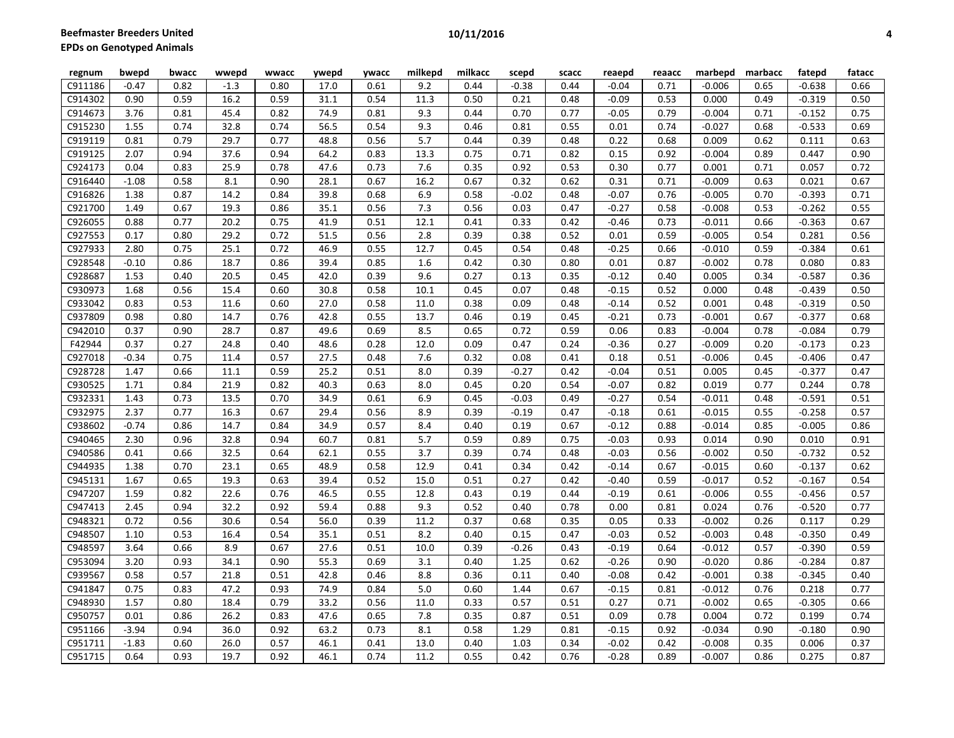| regnum  | bwepd   | bwacc | wwepd  | wwacc | ywepd | ywacc | milkepd          | milkacc | scepd   | scacc | reaepd  | reaacc | marbepd  | marbacc | fatepd   | fatacc |
|---------|---------|-------|--------|-------|-------|-------|------------------|---------|---------|-------|---------|--------|----------|---------|----------|--------|
| C911186 | $-0.47$ | 0.82  | $-1.3$ | 0.80  | 17.0  | 0.61  | 9.2              | 0.44    | $-0.38$ | 0.44  | $-0.04$ | 0.71   | $-0.006$ | 0.65    | $-0.638$ | 0.66   |
| C914302 | 0.90    | 0.59  | 16.2   | 0.59  | 31.1  | 0.54  | 11.3             | 0.50    | 0.21    | 0.48  | $-0.09$ | 0.53   | 0.000    | 0.49    | $-0.319$ | 0.50   |
| C914673 | 3.76    | 0.81  | 45.4   | 0.82  | 74.9  | 0.81  | 9.3              | 0.44    | 0.70    | 0.77  | $-0.05$ | 0.79   | $-0.004$ | 0.71    | $-0.152$ | 0.75   |
| C915230 | 1.55    | 0.74  | 32.8   | 0.74  | 56.5  | 0.54  | 9.3              | 0.46    | 0.81    | 0.55  | 0.01    | 0.74   | $-0.027$ | 0.68    | $-0.533$ | 0.69   |
| C919119 | 0.81    | 0.79  | 29.7   | 0.77  | 48.8  | 0.56  | $\overline{5.7}$ | 0.44    | 0.39    | 0.48  | 0.22    | 0.68   | 0.009    | 0.62    | 0.111    | 0.63   |
| C919125 | 2.07    | 0.94  | 37.6   | 0.94  | 64.2  | 0.83  | 13.3             | 0.75    | 0.71    | 0.82  | 0.15    | 0.92   | $-0.004$ | 0.89    | 0.447    | 0.90   |
| C924173 | 0.04    | 0.83  | 25.9   | 0.78  | 47.6  | 0.73  | 7.6              | 0.35    | 0.92    | 0.53  | 0.30    | 0.77   | 0.001    | 0.71    | 0.057    | 0.72   |
| C916440 | $-1.08$ | 0.58  | 8.1    | 0.90  | 28.1  | 0.67  | 16.2             | 0.67    | 0.32    | 0.62  | 0.31    | 0.71   | $-0.009$ | 0.63    | 0.021    | 0.67   |
| C916826 | 1.38    | 0.87  | 14.2   | 0.84  | 39.8  | 0.68  | 6.9              | 0.58    | $-0.02$ | 0.48  | $-0.07$ | 0.76   | $-0.005$ | 0.70    | $-0.393$ | 0.71   |
| C921700 | 1.49    | 0.67  | 19.3   | 0.86  | 35.1  | 0.56  | 7.3              | 0.56    | 0.03    | 0.47  | $-0.27$ | 0.58   | $-0.008$ | 0.53    | $-0.262$ | 0.55   |
| C926055 | 0.88    | 0.77  | 20.2   | 0.75  | 41.9  | 0.51  | 12.1             | 0.41    | 0.33    | 0.42  | $-0.46$ | 0.73   | $-0.011$ | 0.66    | $-0.363$ | 0.67   |
| C927553 | 0.17    | 0.80  | 29.2   | 0.72  | 51.5  | 0.56  | 2.8              | 0.39    | 0.38    | 0.52  | 0.01    | 0.59   | $-0.005$ | 0.54    | 0.281    | 0.56   |
| C927933 | 2.80    | 0.75  | 25.1   | 0.72  | 46.9  | 0.55  | 12.7             | 0.45    | 0.54    | 0.48  | $-0.25$ | 0.66   | $-0.010$ | 0.59    | $-0.384$ | 0.61   |
| C928548 | $-0.10$ | 0.86  | 18.7   | 0.86  | 39.4  | 0.85  | 1.6              | 0.42    | 0.30    | 0.80  | 0.01    | 0.87   | $-0.002$ | 0.78    | 0.080    | 0.83   |
| C928687 | 1.53    | 0.40  | 20.5   | 0.45  | 42.0  | 0.39  | 9.6              | 0.27    | 0.13    | 0.35  | $-0.12$ | 0.40   | 0.005    | 0.34    | $-0.587$ | 0.36   |
| C930973 | 1.68    | 0.56  | 15.4   | 0.60  | 30.8  | 0.58  | 10.1             | 0.45    | 0.07    | 0.48  | $-0.15$ | 0.52   | 0.000    | 0.48    | $-0.439$ | 0.50   |
| C933042 | 0.83    | 0.53  | 11.6   | 0.60  | 27.0  | 0.58  | 11.0             | 0.38    | 0.09    | 0.48  | $-0.14$ | 0.52   | 0.001    | 0.48    | $-0.319$ | 0.50   |
| C937809 | 0.98    | 0.80  | 14.7   | 0.76  | 42.8  | 0.55  | 13.7             | 0.46    | 0.19    | 0.45  | $-0.21$ | 0.73   | $-0.001$ | 0.67    | $-0.377$ | 0.68   |
| C942010 | 0.37    | 0.90  | 28.7   | 0.87  | 49.6  | 0.69  | 8.5              | 0.65    | 0.72    | 0.59  | 0.06    | 0.83   | $-0.004$ | 0.78    | $-0.084$ | 0.79   |
| F42944  | 0.37    | 0.27  | 24.8   | 0.40  | 48.6  | 0.28  | 12.0             | 0.09    | 0.47    | 0.24  | $-0.36$ | 0.27   | $-0.009$ | 0.20    | $-0.173$ | 0.23   |
| C927018 | $-0.34$ | 0.75  | 11.4   | 0.57  | 27.5  | 0.48  | 7.6              | 0.32    | 0.08    | 0.41  | 0.18    | 0.51   | $-0.006$ | 0.45    | $-0.406$ | 0.47   |
| C928728 | 1.47    | 0.66  | 11.1   | 0.59  | 25.2  | 0.51  | 8.0              | 0.39    | $-0.27$ | 0.42  | $-0.04$ | 0.51   | 0.005    | 0.45    | $-0.377$ | 0.47   |
| C930525 | 1.71    | 0.84  | 21.9   | 0.82  | 40.3  | 0.63  | 8.0              | 0.45    | 0.20    | 0.54  | $-0.07$ | 0.82   | 0.019    | 0.77    | 0.244    | 0.78   |
| C932331 | 1.43    | 0.73  | 13.5   | 0.70  | 34.9  | 0.61  | 6.9              | 0.45    | $-0.03$ | 0.49  | $-0.27$ | 0.54   | $-0.011$ | 0.48    | $-0.591$ | 0.51   |
| C932975 | 2.37    | 0.77  | 16.3   | 0.67  | 29.4  | 0.56  | 8.9              | 0.39    | $-0.19$ | 0.47  | $-0.18$ | 0.61   | $-0.015$ | 0.55    | $-0.258$ | 0.57   |
| C938602 | $-0.74$ | 0.86  | 14.7   | 0.84  | 34.9  | 0.57  | 8.4              | 0.40    | 0.19    | 0.67  | $-0.12$ | 0.88   | $-0.014$ | 0.85    | $-0.005$ | 0.86   |
| C940465 | 2.30    | 0.96  | 32.8   | 0.94  | 60.7  | 0.81  | 5.7              | 0.59    | 0.89    | 0.75  | $-0.03$ | 0.93   | 0.014    | 0.90    | 0.010    | 0.91   |
| C940586 | 0.41    | 0.66  | 32.5   | 0.64  | 62.1  | 0.55  | 3.7              | 0.39    | 0.74    | 0.48  | $-0.03$ | 0.56   | $-0.002$ | 0.50    | $-0.732$ | 0.52   |
| C944935 | 1.38    | 0.70  | 23.1   | 0.65  | 48.9  | 0.58  | 12.9             | 0.41    | 0.34    | 0.42  | $-0.14$ | 0.67   | $-0.015$ | 0.60    | $-0.137$ | 0.62   |
| C945131 | 1.67    | 0.65  | 19.3   | 0.63  | 39.4  | 0.52  | 15.0             | 0.51    | 0.27    | 0.42  | $-0.40$ | 0.59   | $-0.017$ | 0.52    | $-0.167$ | 0.54   |
| C947207 | 1.59    | 0.82  | 22.6   | 0.76  | 46.5  | 0.55  | 12.8             | 0.43    | 0.19    | 0.44  | $-0.19$ | 0.61   | $-0.006$ | 0.55    | $-0.456$ | 0.57   |
| C947413 | 2.45    | 0.94  | 32.2   | 0.92  | 59.4  | 0.88  | 9.3              | 0.52    | 0.40    | 0.78  | 0.00    | 0.81   | 0.024    | 0.76    | $-0.520$ | 0.77   |
| C948321 | 0.72    | 0.56  | 30.6   | 0.54  | 56.0  | 0.39  | 11.2             | 0.37    | 0.68    | 0.35  | 0.05    | 0.33   | $-0.002$ | 0.26    | 0.117    | 0.29   |
| C948507 | 1.10    | 0.53  | 16.4   | 0.54  | 35.1  | 0.51  | 8.2              | 0.40    | 0.15    | 0.47  | $-0.03$ | 0.52   | $-0.003$ | 0.48    | $-0.350$ | 0.49   |
| C948597 | 3.64    | 0.66  | 8.9    | 0.67  | 27.6  | 0.51  | 10.0             | 0.39    | $-0.26$ | 0.43  | $-0.19$ | 0.64   | $-0.012$ | 0.57    | $-0.390$ | 0.59   |
| C953094 | 3.20    | 0.93  | 34.1   | 0.90  | 55.3  | 0.69  | 3.1              | 0.40    | 1.25    | 0.62  | $-0.26$ | 0.90   | $-0.020$ | 0.86    | $-0.284$ | 0.87   |
| C939567 | 0.58    | 0.57  | 21.8   | 0.51  | 42.8  | 0.46  | 8.8              | 0.36    | 0.11    | 0.40  | $-0.08$ | 0.42   | $-0.001$ | 0.38    | $-0.345$ | 0.40   |
| C941847 | 0.75    | 0.83  | 47.2   | 0.93  | 74.9  | 0.84  | 5.0              | 0.60    | 1.44    | 0.67  | $-0.15$ | 0.81   | $-0.012$ | 0.76    | 0.218    | 0.77   |
| C948930 | 1.57    | 0.80  | 18.4   | 0.79  | 33.2  | 0.56  | 11.0             | 0.33    | 0.57    | 0.51  | 0.27    | 0.71   | $-0.002$ | 0.65    | $-0.305$ | 0.66   |
| C950757 | 0.01    | 0.86  | 26.2   | 0.83  | 47.6  | 0.65  | 7.8              | 0.35    | 0.87    | 0.51  | 0.09    | 0.78   | 0.004    | 0.72    | 0.199    | 0.74   |
| C951166 | $-3.94$ | 0.94  | 36.0   | 0.92  | 63.2  | 0.73  | 8.1              | 0.58    | 1.29    | 0.81  | $-0.15$ | 0.92   | $-0.034$ | 0.90    | $-0.180$ | 0.90   |
| C951711 | $-1.83$ | 0.60  | 26.0   | 0.57  | 46.1  | 0.41  | 13.0             | 0.40    | 1.03    | 0.34  | $-0.02$ | 0.42   | $-0.008$ | 0.35    | 0.006    | 0.37   |
| C951715 | 0.64    | 0.93  | 19.7   | 0.92  | 46.1  | 0.74  | 11.2             | 0.55    | 0.42    | 0.76  | $-0.28$ | 0.89   | $-0.007$ | 0.86    | 0.275    | 0.87   |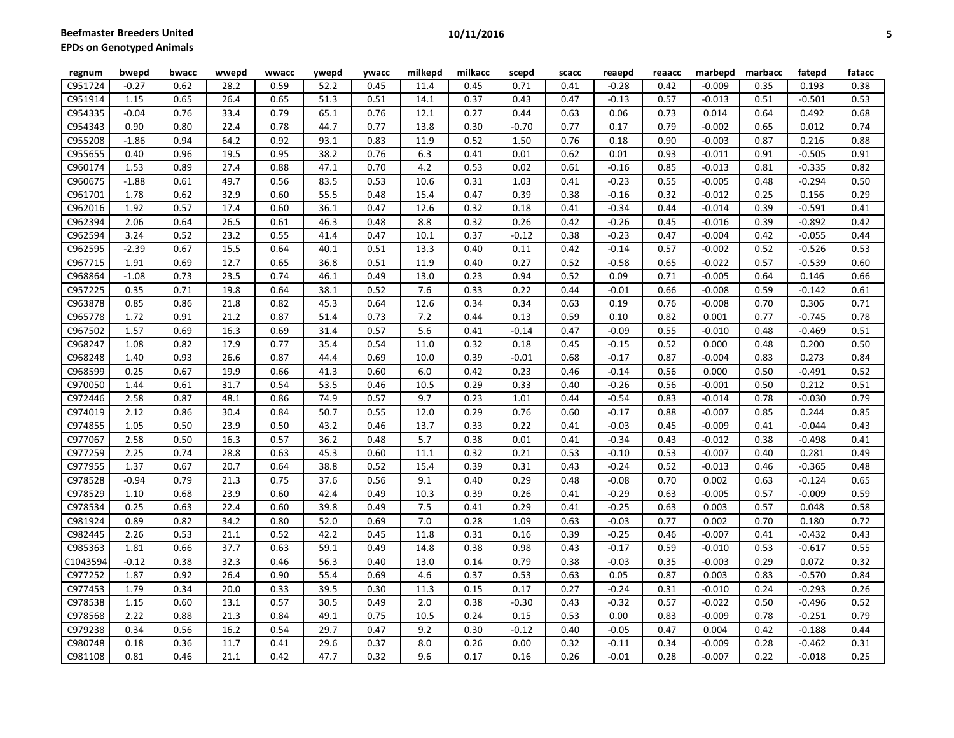| regnum   | bwepd   | bwacc | wwepd | wwacc | ywepd | ywacc | milkepd          | milkacc | scepd   | scacc | reaepd  | reaacc | marbepd  | marbacc | fatepd   | fatacc |
|----------|---------|-------|-------|-------|-------|-------|------------------|---------|---------|-------|---------|--------|----------|---------|----------|--------|
| C951724  | $-0.27$ | 0.62  | 28.2  | 0.59  | 52.2  | 0.45  | 11.4             | 0.45    | 0.71    | 0.41  | $-0.28$ | 0.42   | $-0.009$ | 0.35    | 0.193    | 0.38   |
| C951914  | 1.15    | 0.65  | 26.4  | 0.65  | 51.3  | 0.51  | 14.1             | 0.37    | 0.43    | 0.47  | $-0.13$ | 0.57   | $-0.013$ | 0.51    | $-0.501$ | 0.53   |
| C954335  | $-0.04$ | 0.76  | 33.4  | 0.79  | 65.1  | 0.76  | 12.1             | 0.27    | 0.44    | 0.63  | 0.06    | 0.73   | 0.014    | 0.64    | 0.492    | 0.68   |
| C954343  | 0.90    | 0.80  | 22.4  | 0.78  | 44.7  | 0.77  | 13.8             | 0.30    | $-0.70$ | 0.77  | 0.17    | 0.79   | $-0.002$ | 0.65    | 0.012    | 0.74   |
| C955208  | $-1.86$ | 0.94  | 64.2  | 0.92  | 93.1  | 0.83  | 11.9             | 0.52    | 1.50    | 0.76  | 0.18    | 0.90   | $-0.003$ | 0.87    | 0.216    | 0.88   |
| C955655  | 0.40    | 0.96  | 19.5  | 0.95  | 38.2  | 0.76  | 6.3              | 0.41    | 0.01    | 0.62  | 0.01    | 0.93   | $-0.011$ | 0.91    | $-0.505$ | 0.91   |
| C960174  | 1.53    | 0.89  | 27.4  | 0.88  | 47.1  | 0.70  | 4.2              | 0.53    | 0.02    | 0.61  | $-0.16$ | 0.85   | $-0.013$ | 0.81    | $-0.335$ | 0.82   |
| C960675  | $-1.88$ | 0.61  | 49.7  | 0.56  | 83.5  | 0.53  | 10.6             | 0.31    | 1.03    | 0.41  | $-0.23$ | 0.55   | $-0.005$ | 0.48    | $-0.294$ | 0.50   |
| C961701  | 1.78    | 0.62  | 32.9  | 0.60  | 55.5  | 0.48  | 15.4             | 0.47    | 0.39    | 0.38  | $-0.16$ | 0.32   | $-0.012$ | 0.25    | 0.156    | 0.29   |
| C962016  | 1.92    | 0.57  | 17.4  | 0.60  | 36.1  | 0.47  | 12.6             | 0.32    | 0.18    | 0.41  | $-0.34$ | 0.44   | $-0.014$ | 0.39    | $-0.591$ | 0.41   |
| C962394  | 2.06    | 0.64  | 26.5  | 0.61  | 46.3  | 0.48  | 8.8              | 0.32    | 0.26    | 0.42  | $-0.26$ | 0.45   | $-0.016$ | 0.39    | $-0.892$ | 0.42   |
| C962594  | 3.24    | 0.52  | 23.2  | 0.55  | 41.4  | 0.47  | 10.1             | 0.37    | $-0.12$ | 0.38  | $-0.23$ | 0.47   | $-0.004$ | 0.42    | $-0.055$ | 0.44   |
| C962595  | $-2.39$ | 0.67  | 15.5  | 0.64  | 40.1  | 0.51  | 13.3             | 0.40    | 0.11    | 0.42  | $-0.14$ | 0.57   | $-0.002$ | 0.52    | $-0.526$ | 0.53   |
| C967715  | 1.91    | 0.69  | 12.7  | 0.65  | 36.8  | 0.51  | 11.9             | 0.40    | 0.27    | 0.52  | $-0.58$ | 0.65   | $-0.022$ | 0.57    | $-0.539$ | 0.60   |
| C968864  | $-1.08$ | 0.73  | 23.5  | 0.74  | 46.1  | 0.49  | 13.0             | 0.23    | 0.94    | 0.52  | 0.09    | 0.71   | $-0.005$ | 0.64    | 0.146    | 0.66   |
| C957225  | 0.35    | 0.71  | 19.8  | 0.64  | 38.1  | 0.52  | 7.6              | 0.33    | 0.22    | 0.44  | $-0.01$ | 0.66   | $-0.008$ | 0.59    | $-0.142$ | 0.61   |
| C963878  | 0.85    | 0.86  | 21.8  | 0.82  | 45.3  | 0.64  | 12.6             | 0.34    | 0.34    | 0.63  | 0.19    | 0.76   | $-0.008$ | 0.70    | 0.306    | 0.71   |
| C965778  | 1.72    | 0.91  | 21.2  | 0.87  | 51.4  | 0.73  | 7.2              | 0.44    | 0.13    | 0.59  | 0.10    | 0.82   | 0.001    | 0.77    | $-0.745$ | 0.78   |
| C967502  | 1.57    | 0.69  | 16.3  | 0.69  | 31.4  | 0.57  | $\overline{5.6}$ | 0.41    | $-0.14$ | 0.47  | $-0.09$ | 0.55   | $-0.010$ | 0.48    | $-0.469$ | 0.51   |
| C968247  | 1.08    | 0.82  | 17.9  | 0.77  | 35.4  | 0.54  | 11.0             | 0.32    | 0.18    | 0.45  | $-0.15$ | 0.52   | 0.000    | 0.48    | 0.200    | 0.50   |
| C968248  | 1.40    | 0.93  | 26.6  | 0.87  | 44.4  | 0.69  | 10.0             | 0.39    | $-0.01$ | 0.68  | $-0.17$ | 0.87   | $-0.004$ | 0.83    | 0.273    | 0.84   |
| C968599  | 0.25    | 0.67  | 19.9  | 0.66  | 41.3  | 0.60  | 6.0              | 0.42    | 0.23    | 0.46  | $-0.14$ | 0.56   | 0.000    | 0.50    | $-0.491$ | 0.52   |
| C970050  | 1.44    | 0.61  | 31.7  | 0.54  | 53.5  | 0.46  | 10.5             | 0.29    | 0.33    | 0.40  | $-0.26$ | 0.56   | $-0.001$ | 0.50    | 0.212    | 0.51   |
| C972446  | 2.58    | 0.87  | 48.1  | 0.86  | 74.9  | 0.57  | 9.7              | 0.23    | 1.01    | 0.44  | $-0.54$ | 0.83   | $-0.014$ | 0.78    | $-0.030$ | 0.79   |
| C974019  | 2.12    | 0.86  | 30.4  | 0.84  | 50.7  | 0.55  | 12.0             | 0.29    | 0.76    | 0.60  | $-0.17$ | 0.88   | $-0.007$ | 0.85    | 0.244    | 0.85   |
| C974855  | 1.05    | 0.50  | 23.9  | 0.50  | 43.2  | 0.46  | 13.7             | 0.33    | 0.22    | 0.41  | $-0.03$ | 0.45   | $-0.009$ | 0.41    | $-0.044$ | 0.43   |
| C977067  | 2.58    | 0.50  | 16.3  | 0.57  | 36.2  | 0.48  | 5.7              | 0.38    | 0.01    | 0.41  | $-0.34$ | 0.43   | $-0.012$ | 0.38    | $-0.498$ | 0.41   |
| C977259  | 2.25    | 0.74  | 28.8  | 0.63  | 45.3  | 0.60  | 11.1             | 0.32    | 0.21    | 0.53  | $-0.10$ | 0.53   | $-0.007$ | 0.40    | 0.281    | 0.49   |
| C977955  | 1.37    | 0.67  | 20.7  | 0.64  | 38.8  | 0.52  | 15.4             | 0.39    | 0.31    | 0.43  | $-0.24$ | 0.52   | $-0.013$ | 0.46    | $-0.365$ | 0.48   |
| C978528  | $-0.94$ | 0.79  | 21.3  | 0.75  | 37.6  | 0.56  | 9.1              | 0.40    | 0.29    | 0.48  | $-0.08$ | 0.70   | 0.002    | 0.63    | $-0.124$ | 0.65   |
| C978529  | 1.10    | 0.68  | 23.9  | 0.60  | 42.4  | 0.49  | 10.3             | 0.39    | 0.26    | 0.41  | $-0.29$ | 0.63   | $-0.005$ | 0.57    | $-0.009$ | 0.59   |
| C978534  | 0.25    | 0.63  | 22.4  | 0.60  | 39.8  | 0.49  | 7.5              | 0.41    | 0.29    | 0.41  | $-0.25$ | 0.63   | 0.003    | 0.57    | 0.048    | 0.58   |
| C981924  | 0.89    | 0.82  | 34.2  | 0.80  | 52.0  | 0.69  | 7.0              | 0.28    | 1.09    | 0.63  | $-0.03$ | 0.77   | 0.002    | 0.70    | 0.180    | 0.72   |
| C982445  | 2.26    | 0.53  | 21.1  | 0.52  | 42.2  | 0.45  | 11.8             | 0.31    | 0.16    | 0.39  | $-0.25$ | 0.46   | $-0.007$ | 0.41    | $-0.432$ | 0.43   |
| C985363  | 1.81    | 0.66  | 37.7  | 0.63  | 59.1  | 0.49  | 14.8             | 0.38    | 0.98    | 0.43  | $-0.17$ | 0.59   | $-0.010$ | 0.53    | $-0.617$ | 0.55   |
| C1043594 | $-0.12$ | 0.38  | 32.3  | 0.46  | 56.3  | 0.40  | 13.0             | 0.14    | 0.79    | 0.38  | $-0.03$ | 0.35   | $-0.003$ | 0.29    | 0.072    | 0.32   |
| C977252  | 1.87    | 0.92  | 26.4  | 0.90  | 55.4  | 0.69  | 4.6              | 0.37    | 0.53    | 0.63  | 0.05    | 0.87   | 0.003    | 0.83    | $-0.570$ | 0.84   |
| C977453  | 1.79    | 0.34  | 20.0  | 0.33  | 39.5  | 0.30  | 11.3             | 0.15    | 0.17    | 0.27  | $-0.24$ | 0.31   | $-0.010$ | 0.24    | $-0.293$ | 0.26   |
| C978538  | 1.15    | 0.60  | 13.1  | 0.57  | 30.5  | 0.49  | 2.0              | 0.38    | $-0.30$ | 0.43  | $-0.32$ | 0.57   | $-0.022$ | 0.50    | $-0.496$ | 0.52   |
| C978568  | 2.22    | 0.88  | 21.3  | 0.84  | 49.1  | 0.75  | 10.5             | 0.24    | 0.15    | 0.53  | 0.00    | 0.83   | $-0.009$ | 0.78    | $-0.251$ | 0.79   |
| C979238  | 0.34    | 0.56  | 16.2  | 0.54  | 29.7  | 0.47  | 9.2              | 0.30    | $-0.12$ | 0.40  | $-0.05$ | 0.47   | 0.004    | 0.42    | $-0.188$ | 0.44   |
| C980748  | 0.18    | 0.36  | 11.7  | 0.41  | 29.6  | 0.37  | 8.0              | 0.26    | 0.00    | 0.32  | $-0.11$ | 0.34   | $-0.009$ | 0.28    | $-0.462$ | 0.31   |
| C981108  | 0.81    | 0.46  | 21.1  | 0.42  | 47.7  | 0.32  | 9.6              | 0.17    | 0.16    | 0.26  | $-0.01$ | 0.28   | $-0.007$ | 0.22    | $-0.018$ | 0.25   |
|          |         |       |       |       |       |       |                  |         |         |       |         |        |          |         |          |        |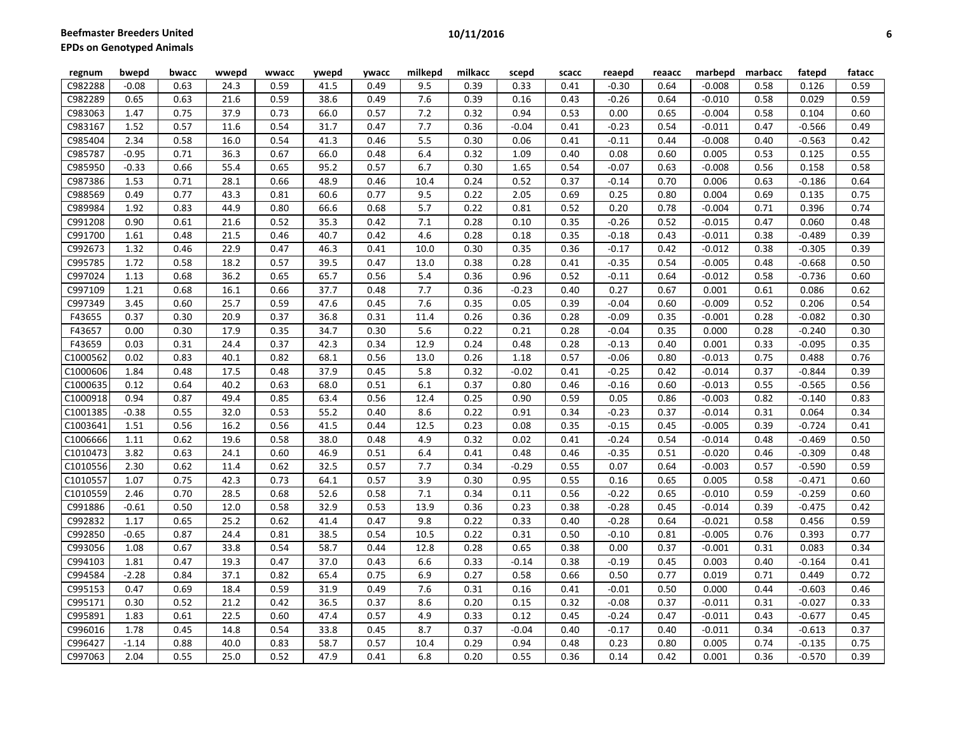| regnum   | bwepd   | bwacc | wwepd | wwacc | ywepd | ywacc | milkepd | milkacc | scepd   | scacc | reaepd  | reaacc | marbepd  | marbacc | fatepd   | fatacc |
|----------|---------|-------|-------|-------|-------|-------|---------|---------|---------|-------|---------|--------|----------|---------|----------|--------|
| C982288  | $-0.08$ | 0.63  | 24.3  | 0.59  | 41.5  | 0.49  | 9.5     | 0.39    | 0.33    | 0.41  | $-0.30$ | 0.64   | $-0.008$ | 0.58    | 0.126    | 0.59   |
| C982289  | 0.65    | 0.63  | 21.6  | 0.59  | 38.6  | 0.49  | 7.6     | 0.39    | 0.16    | 0.43  | $-0.26$ | 0.64   | $-0.010$ | 0.58    | 0.029    | 0.59   |
| C983063  | 1.47    | 0.75  | 37.9  | 0.73  | 66.0  | 0.57  | 7.2     | 0.32    | 0.94    | 0.53  | 0.00    | 0.65   | $-0.004$ | 0.58    | 0.104    | 0.60   |
| C983167  | 1.52    | 0.57  | 11.6  | 0.54  | 31.7  | 0.47  | 7.7     | 0.36    | $-0.04$ | 0.41  | $-0.23$ | 0.54   | $-0.011$ | 0.47    | $-0.566$ | 0.49   |
| C985404  | 2.34    | 0.58  | 16.0  | 0.54  | 41.3  | 0.46  | 5.5     | 0.30    | 0.06    | 0.41  | $-0.11$ | 0.44   | $-0.008$ | 0.40    | $-0.563$ | 0.42   |
| C985787  | $-0.95$ | 0.71  | 36.3  | 0.67  | 66.0  | 0.48  | 6.4     | 0.32    | 1.09    | 0.40  | 0.08    | 0.60   | 0.005    | 0.53    | 0.125    | 0.55   |
| C985950  | $-0.33$ | 0.66  | 55.4  | 0.65  | 95.2  | 0.57  | 6.7     | 0.30    | 1.65    | 0.54  | $-0.07$ | 0.63   | $-0.008$ | 0.56    | 0.158    | 0.58   |
| C987386  | 1.53    | 0.71  | 28.1  | 0.66  | 48.9  | 0.46  | 10.4    | 0.24    | 0.52    | 0.37  | $-0.14$ | 0.70   | 0.006    | 0.63    | $-0.186$ | 0.64   |
| C988569  | 0.49    | 0.77  | 43.3  | 0.81  | 60.6  | 0.77  | 9.5     | 0.22    | 2.05    | 0.69  | 0.25    | 0.80   | 0.004    | 0.69    | 0.135    | 0.75   |
| C989984  | 1.92    | 0.83  | 44.9  | 0.80  | 66.6  | 0.68  | 5.7     | 0.22    | 0.81    | 0.52  | 0.20    | 0.78   | $-0.004$ | 0.71    | 0.396    | 0.74   |
| C991208  | 0.90    | 0.61  | 21.6  | 0.52  | 35.3  | 0.42  | 7.1     | 0.28    | 0.10    | 0.35  | $-0.26$ | 0.52   | $-0.015$ | 0.47    | 0.060    | 0.48   |
| C991700  | 1.61    | 0.48  | 21.5  | 0.46  | 40.7  | 0.42  | 4.6     | 0.28    | 0.18    | 0.35  | $-0.18$ | 0.43   | $-0.011$ | 0.38    | $-0.489$ | 0.39   |
| C992673  | 1.32    | 0.46  | 22.9  | 0.47  | 46.3  | 0.41  | 10.0    | 0.30    | 0.35    | 0.36  | $-0.17$ | 0.42   | $-0.012$ | 0.38    | $-0.305$ | 0.39   |
| C995785  | 1.72    | 0.58  | 18.2  | 0.57  | 39.5  | 0.47  | 13.0    | 0.38    | 0.28    | 0.41  | $-0.35$ | 0.54   | $-0.005$ | 0.48    | $-0.668$ | 0.50   |
| C997024  | 1.13    | 0.68  | 36.2  | 0.65  | 65.7  | 0.56  | 5.4     | 0.36    | 0.96    | 0.52  | $-0.11$ | 0.64   | $-0.012$ | 0.58    | $-0.736$ | 0.60   |
| C997109  | 1.21    | 0.68  | 16.1  | 0.66  | 37.7  | 0.48  | 7.7     | 0.36    | $-0.23$ | 0.40  | 0.27    | 0.67   | 0.001    | 0.61    | 0.086    | 0.62   |
| C997349  | 3.45    | 0.60  | 25.7  | 0.59  | 47.6  | 0.45  | 7.6     | 0.35    | 0.05    | 0.39  | $-0.04$ | 0.60   | $-0.009$ | 0.52    | 0.206    | 0.54   |
| F43655   | 0.37    | 0.30  | 20.9  | 0.37  | 36.8  | 0.31  | 11.4    | 0.26    | 0.36    | 0.28  | $-0.09$ | 0.35   | $-0.001$ | 0.28    | $-0.082$ | 0.30   |
| F43657   | 0.00    | 0.30  | 17.9  | 0.35  | 34.7  | 0.30  | 5.6     | 0.22    | 0.21    | 0.28  | $-0.04$ | 0.35   | 0.000    | 0.28    | $-0.240$ | 0.30   |
| F43659   | 0.03    | 0.31  | 24.4  | 0.37  | 42.3  | 0.34  | 12.9    | 0.24    | 0.48    | 0.28  | $-0.13$ | 0.40   | 0.001    | 0.33    | $-0.095$ | 0.35   |
| C1000562 | 0.02    | 0.83  | 40.1  | 0.82  | 68.1  | 0.56  | 13.0    | 0.26    | 1.18    | 0.57  | $-0.06$ | 0.80   | $-0.013$ | 0.75    | 0.488    | 0.76   |
| C1000606 | 1.84    | 0.48  | 17.5  | 0.48  | 37.9  | 0.45  | 5.8     | 0.32    | $-0.02$ | 0.41  | $-0.25$ | 0.42   | $-0.014$ | 0.37    | $-0.844$ | 0.39   |
| C1000635 | 0.12    | 0.64  | 40.2  | 0.63  | 68.0  | 0.51  | 6.1     | 0.37    | 0.80    | 0.46  | $-0.16$ | 0.60   | $-0.013$ | 0.55    | $-0.565$ | 0.56   |
| C1000918 | 0.94    | 0.87  | 49.4  | 0.85  | 63.4  | 0.56  | 12.4    | 0.25    | 0.90    | 0.59  | 0.05    | 0.86   | $-0.003$ | 0.82    | $-0.140$ | 0.83   |
| C1001385 | $-0.38$ | 0.55  | 32.0  | 0.53  | 55.2  | 0.40  | 8.6     | 0.22    | 0.91    | 0.34  | $-0.23$ | 0.37   | $-0.014$ | 0.31    | 0.064    | 0.34   |
| C1003641 | 1.51    | 0.56  | 16.2  | 0.56  | 41.5  | 0.44  | 12.5    | 0.23    | 0.08    | 0.35  | $-0.15$ | 0.45   | $-0.005$ | 0.39    | $-0.724$ | 0.41   |
| C1006666 | 1.11    | 0.62  | 19.6  | 0.58  | 38.0  | 0.48  | 4.9     | 0.32    | 0.02    | 0.41  | $-0.24$ | 0.54   | $-0.014$ | 0.48    | $-0.469$ | 0.50   |
| C1010473 | 3.82    | 0.63  | 24.1  | 0.60  | 46.9  | 0.51  | 6.4     | 0.41    | 0.48    | 0.46  | $-0.35$ | 0.51   | $-0.020$ | 0.46    | $-0.309$ | 0.48   |
| C1010556 | 2.30    | 0.62  | 11.4  | 0.62  | 32.5  | 0.57  | 7.7     | 0.34    | $-0.29$ | 0.55  | 0.07    | 0.64   | $-0.003$ | 0.57    | $-0.590$ | 0.59   |
| C1010557 | 1.07    | 0.75  | 42.3  | 0.73  | 64.1  | 0.57  | 3.9     | 0.30    | 0.95    | 0.55  | 0.16    | 0.65   | 0.005    | 0.58    | $-0.471$ | 0.60   |
| C1010559 | 2.46    | 0.70  | 28.5  | 0.68  | 52.6  | 0.58  | 7.1     | 0.34    | 0.11    | 0.56  | $-0.22$ | 0.65   | $-0.010$ | 0.59    | $-0.259$ | 0.60   |
| C991886  | $-0.61$ | 0.50  | 12.0  | 0.58  | 32.9  | 0.53  | 13.9    | 0.36    | 0.23    | 0.38  | $-0.28$ | 0.45   | $-0.014$ | 0.39    | $-0.475$ | 0.42   |
| C992832  | 1.17    | 0.65  | 25.2  | 0.62  | 41.4  | 0.47  | 9.8     | 0.22    | 0.33    | 0.40  | $-0.28$ | 0.64   | $-0.021$ | 0.58    | 0.456    | 0.59   |
| C992850  | $-0.65$ | 0.87  | 24.4  | 0.81  | 38.5  | 0.54  | 10.5    | 0.22    | 0.31    | 0.50  | $-0.10$ | 0.81   | $-0.005$ | 0.76    | 0.393    | 0.77   |
| C993056  | 1.08    | 0.67  | 33.8  | 0.54  | 58.7  | 0.44  | 12.8    | 0.28    | 0.65    | 0.38  | 0.00    | 0.37   | $-0.001$ | 0.31    | 0.083    | 0.34   |
| C994103  | 1.81    | 0.47  | 19.3  | 0.47  | 37.0  | 0.43  | 6.6     | 0.33    | $-0.14$ | 0.38  | $-0.19$ | 0.45   | 0.003    | 0.40    | $-0.164$ | 0.41   |
| C994584  | $-2.28$ | 0.84  | 37.1  | 0.82  | 65.4  | 0.75  | 6.9     | 0.27    | 0.58    | 0.66  | 0.50    | 0.77   | 0.019    | 0.71    | 0.449    | 0.72   |
| C995153  | 0.47    | 0.69  | 18.4  | 0.59  | 31.9  | 0.49  | 7.6     | 0.31    | 0.16    | 0.41  | $-0.01$ | 0.50   | 0.000    | 0.44    | $-0.603$ | 0.46   |
| C995171  | 0.30    | 0.52  | 21.2  | 0.42  | 36.5  | 0.37  | 8.6     | 0.20    | 0.15    | 0.32  | $-0.08$ | 0.37   | $-0.011$ | 0.31    | $-0.027$ | 0.33   |
| C995891  | 1.83    | 0.61  | 22.5  | 0.60  | 47.4  | 0.57  | 4.9     | 0.33    | 0.12    | 0.45  | $-0.24$ | 0.47   | $-0.011$ | 0.43    | $-0.677$ | 0.45   |
| C996016  | 1.78    | 0.45  | 14.8  | 0.54  | 33.8  | 0.45  | 8.7     | 0.37    | $-0.04$ | 0.40  | $-0.17$ | 0.40   | $-0.011$ | 0.34    | $-0.613$ | 0.37   |
| C996427  | $-1.14$ | 0.88  | 40.0  | 0.83  | 58.7  | 0.57  | 10.4    | 0.29    | 0.94    | 0.48  | 0.23    | 0.80   | 0.005    | 0.74    | $-0.135$ | 0.75   |
| C997063  | 2.04    | 0.55  | 25.0  | 0.52  | 47.9  | 0.41  | 6.8     | 0.20    | 0.55    | 0.36  | 0.14    | 0.42   | 0.001    | 0.36    | $-0.570$ | 0.39   |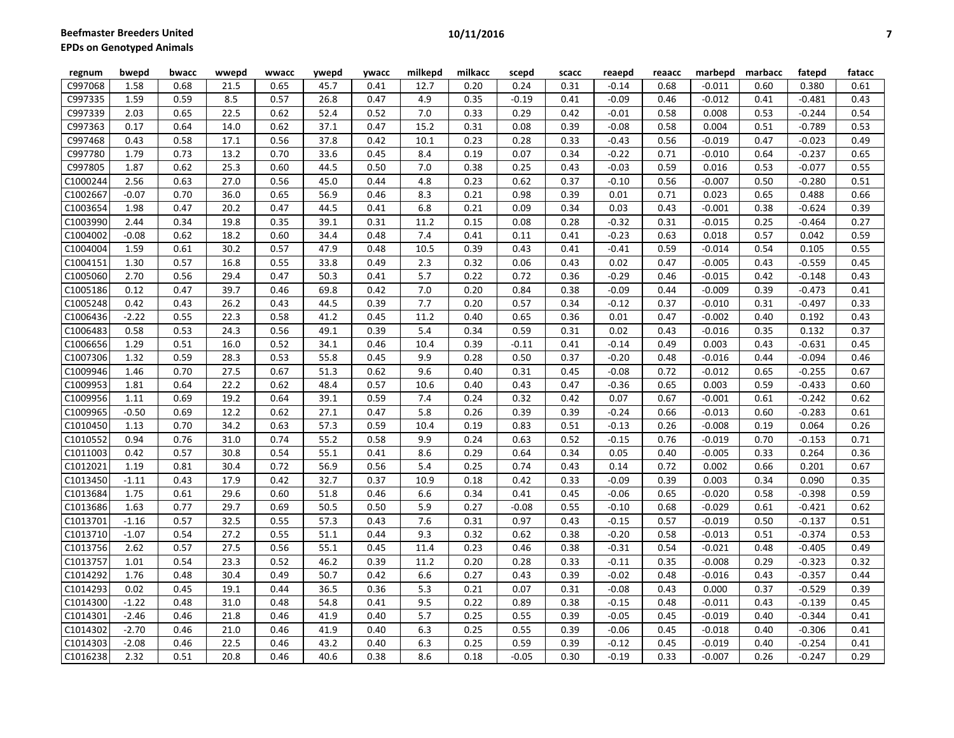| regnum   | bwepd   | bwacc | wwepd | wwacc | ywepd | <b>ywacc</b> | milkepd | milkacc | scepd   | scacc | reaepd  | reaacc | marbepd  | marbacc | fatepd   | fatacc |
|----------|---------|-------|-------|-------|-------|--------------|---------|---------|---------|-------|---------|--------|----------|---------|----------|--------|
| C997068  | 1.58    | 0.68  | 21.5  | 0.65  | 45.7  | 0.41         | 12.7    | 0.20    | 0.24    | 0.31  | $-0.14$ | 0.68   | $-0.011$ | 0.60    | 0.380    | 0.61   |
| C997335  | 1.59    | 0.59  | 8.5   | 0.57  | 26.8  | 0.47         | 4.9     | 0.35    | $-0.19$ | 0.41  | $-0.09$ | 0.46   | $-0.012$ | 0.41    | $-0.481$ | 0.43   |
| C997339  | 2.03    | 0.65  | 22.5  | 0.62  | 52.4  | 0.52         | 7.0     | 0.33    | 0.29    | 0.42  | $-0.01$ | 0.58   | 0.008    | 0.53    | $-0.244$ | 0.54   |
| C997363  | 0.17    | 0.64  | 14.0  | 0.62  | 37.1  | 0.47         | 15.2    | 0.31    | 0.08    | 0.39  | $-0.08$ | 0.58   | 0.004    | 0.51    | $-0.789$ | 0.53   |
| C997468  | 0.43    | 0.58  | 17.1  | 0.56  | 37.8  | 0.42         | 10.1    | 0.23    | 0.28    | 0.33  | $-0.43$ | 0.56   | $-0.019$ | 0.47    | $-0.023$ | 0.49   |
| C997780  | 1.79    | 0.73  | 13.2  | 0.70  | 33.6  | 0.45         | 8.4     | 0.19    | 0.07    | 0.34  | $-0.22$ | 0.71   | $-0.010$ | 0.64    | $-0.237$ | 0.65   |
| C997805  | 1.87    | 0.62  | 25.3  | 0.60  | 44.5  | 0.50         | 7.0     | 0.38    | 0.25    | 0.43  | $-0.03$ | 0.59   | 0.016    | 0.53    | $-0.077$ | 0.55   |
| C1000244 | 2.56    | 0.63  | 27.0  | 0.56  | 45.0  | 0.44         | 4.8     | 0.23    | 0.62    | 0.37  | $-0.10$ | 0.56   | $-0.007$ | 0.50    | $-0.280$ | 0.51   |
| C1002667 | $-0.07$ | 0.70  | 36.0  | 0.65  | 56.9  | 0.46         | 8.3     | 0.21    | 0.98    | 0.39  | 0.01    | 0.71   | 0.023    | 0.65    | 0.488    | 0.66   |
| C1003654 | 1.98    | 0.47  | 20.2  | 0.47  | 44.5  | 0.41         | 6.8     | 0.21    | 0.09    | 0.34  | 0.03    | 0.43   | $-0.001$ | 0.38    | $-0.624$ | 0.39   |
| C1003990 | 2.44    | 0.34  | 19.8  | 0.35  | 39.1  | 0.31         | 11.2    | 0.15    | 0.08    | 0.28  | $-0.32$ | 0.31   | $-0.015$ | 0.25    | $-0.464$ | 0.27   |
| C1004002 | $-0.08$ | 0.62  | 18.2  | 0.60  | 34.4  | 0.48         | 7.4     | 0.41    | 0.11    | 0.41  | $-0.23$ | 0.63   | 0.018    | 0.57    | 0.042    | 0.59   |
| C1004004 | 1.59    | 0.61  | 30.2  | 0.57  | 47.9  | 0.48         | 10.5    | 0.39    | 0.43    | 0.41  | $-0.41$ | 0.59   | $-0.014$ | 0.54    | 0.105    | 0.55   |
| C1004151 | 1.30    | 0.57  | 16.8  | 0.55  | 33.8  | 0.49         | 2.3     | 0.32    | 0.06    | 0.43  | 0.02    | 0.47   | $-0.005$ | 0.43    | $-0.559$ | 0.45   |
| C1005060 | 2.70    | 0.56  | 29.4  | 0.47  | 50.3  | 0.41         | 5.7     | 0.22    | 0.72    | 0.36  | $-0.29$ | 0.46   | $-0.015$ | 0.42    | $-0.148$ | 0.43   |
| C1005186 | 0.12    | 0.47  | 39.7  | 0.46  | 69.8  | 0.42         | 7.0     | 0.20    | 0.84    | 0.38  | $-0.09$ | 0.44   | $-0.009$ | 0.39    | $-0.473$ | 0.41   |
| C1005248 | 0.42    | 0.43  | 26.2  | 0.43  | 44.5  | 0.39         | 7.7     | 0.20    | 0.57    | 0.34  | $-0.12$ | 0.37   | $-0.010$ | 0.31    | $-0.497$ | 0.33   |
| C1006436 | $-2.22$ | 0.55  | 22.3  | 0.58  | 41.2  | 0.45         | 11.2    | 0.40    | 0.65    | 0.36  | 0.01    | 0.47   | $-0.002$ | 0.40    | 0.192    | 0.43   |
| C1006483 | 0.58    | 0.53  | 24.3  | 0.56  | 49.1  | 0.39         | 5.4     | 0.34    | 0.59    | 0.31  | 0.02    | 0.43   | $-0.016$ | 0.35    | 0.132    | 0.37   |
| C1006656 | 1.29    | 0.51  | 16.0  | 0.52  | 34.1  | 0.46         | 10.4    | 0.39    | $-0.11$ | 0.41  | $-0.14$ | 0.49   | 0.003    | 0.43    | $-0.631$ | 0.45   |
| C1007306 | 1.32    | 0.59  | 28.3  | 0.53  | 55.8  | 0.45         | 9.9     | 0.28    | 0.50    | 0.37  | $-0.20$ | 0.48   | $-0.016$ | 0.44    | $-0.094$ | 0.46   |
| C1009946 | 1.46    | 0.70  | 27.5  | 0.67  | 51.3  | 0.62         | 9.6     | 0.40    | 0.31    | 0.45  | $-0.08$ | 0.72   | $-0.012$ | 0.65    | $-0.255$ | 0.67   |
| C1009953 | 1.81    | 0.64  | 22.2  | 0.62  | 48.4  | 0.57         | 10.6    | 0.40    | 0.43    | 0.47  | $-0.36$ | 0.65   | 0.003    | 0.59    | $-0.433$ | 0.60   |
| C1009956 | 1.11    | 0.69  | 19.2  | 0.64  | 39.1  | 0.59         | 7.4     | 0.24    | 0.32    | 0.42  | 0.07    | 0.67   | $-0.001$ | 0.61    | $-0.242$ | 0.62   |
| C1009965 | $-0.50$ | 0.69  | 12.2  | 0.62  | 27.1  | 0.47         | 5.8     | 0.26    | 0.39    | 0.39  | $-0.24$ | 0.66   | $-0.013$ | 0.60    | $-0.283$ | 0.61   |
| C1010450 | 1.13    | 0.70  | 34.2  | 0.63  | 57.3  | 0.59         | 10.4    | 0.19    | 0.83    | 0.51  | $-0.13$ | 0.26   | $-0.008$ | 0.19    | 0.064    | 0.26   |
| C1010552 | 0.94    | 0.76  | 31.0  | 0.74  | 55.2  | 0.58         | 9.9     | 0.24    | 0.63    | 0.52  | $-0.15$ | 0.76   | $-0.019$ | 0.70    | $-0.153$ | 0.71   |
| C1011003 | 0.42    | 0.57  | 30.8  | 0.54  | 55.1  | 0.41         | 8.6     | 0.29    | 0.64    | 0.34  | 0.05    | 0.40   | $-0.005$ | 0.33    | 0.264    | 0.36   |
| C1012021 | 1.19    | 0.81  | 30.4  | 0.72  | 56.9  | 0.56         | 5.4     | 0.25    | 0.74    | 0.43  | 0.14    | 0.72   | 0.002    | 0.66    | 0.201    | 0.67   |
| C1013450 | $-1.11$ | 0.43  | 17.9  | 0.42  | 32.7  | 0.37         | 10.9    | 0.18    | 0.42    | 0.33  | $-0.09$ | 0.39   | 0.003    | 0.34    | 0.090    | 0.35   |
| C1013684 | 1.75    | 0.61  | 29.6  | 0.60  | 51.8  | 0.46         | 6.6     | 0.34    | 0.41    | 0.45  | $-0.06$ | 0.65   | $-0.020$ | 0.58    | $-0.398$ | 0.59   |
| C1013686 | 1.63    | 0.77  | 29.7  | 0.69  | 50.5  | 0.50         | 5.9     | 0.27    | $-0.08$ | 0.55  | $-0.10$ | 0.68   | $-0.029$ | 0.61    | $-0.421$ | 0.62   |
| C1013701 | $-1.16$ | 0.57  | 32.5  | 0.55  | 57.3  | 0.43         | 7.6     | 0.31    | 0.97    | 0.43  | $-0.15$ | 0.57   | $-0.019$ | 0.50    | $-0.137$ | 0.51   |
| C1013710 | $-1.07$ | 0.54  | 27.2  | 0.55  | 51.1  | 0.44         | 9.3     | 0.32    | 0.62    | 0.38  | $-0.20$ | 0.58   | $-0.013$ | 0.51    | $-0.374$ | 0.53   |
| C1013756 | 2.62    | 0.57  | 27.5  | 0.56  | 55.1  | 0.45         | 11.4    | 0.23    | 0.46    | 0.38  | $-0.31$ | 0.54   | $-0.021$ | 0.48    | $-0.405$ | 0.49   |
| C1013757 | 1.01    | 0.54  | 23.3  | 0.52  | 46.2  | 0.39         | 11.2    | 0.20    | 0.28    | 0.33  | $-0.11$ | 0.35   | $-0.008$ | 0.29    | $-0.323$ | 0.32   |
| C1014292 | 1.76    | 0.48  | 30.4  | 0.49  | 50.7  | 0.42         | 6.6     | 0.27    | 0.43    | 0.39  | $-0.02$ | 0.48   | $-0.016$ | 0.43    | $-0.357$ | 0.44   |
| C1014293 | 0.02    | 0.45  | 19.1  | 0.44  | 36.5  | 0.36         | 5.3     | 0.21    | 0.07    | 0.31  | $-0.08$ | 0.43   | 0.000    | 0.37    | $-0.529$ | 0.39   |
| C1014300 | $-1.22$ | 0.48  | 31.0  | 0.48  | 54.8  | 0.41         | 9.5     | 0.22    | 0.89    | 0.38  | $-0.15$ | 0.48   | $-0.011$ | 0.43    | $-0.139$ | 0.45   |
| C1014301 | $-2.46$ | 0.46  | 21.8  | 0.46  | 41.9  | 0.40         | 5.7     | 0.25    | 0.55    | 0.39  | $-0.05$ | 0.45   | $-0.019$ | 0.40    | $-0.344$ | 0.41   |
| C1014302 | $-2.70$ | 0.46  | 21.0  | 0.46  | 41.9  | 0.40         | 6.3     | 0.25    | 0.55    | 0.39  | $-0.06$ | 0.45   | $-0.018$ | 0.40    | $-0.306$ | 0.41   |
| C1014303 | $-2.08$ | 0.46  | 22.5  | 0.46  | 43.2  | 0.40         | 6.3     | 0.25    | 0.59    | 0.39  | $-0.12$ | 0.45   | $-0.019$ | 0.40    | $-0.254$ | 0.41   |
| C1016238 | 2.32    | 0.51  | 20.8  | 0.46  | 40.6  | 0.38         | 8.6     | 0.18    | $-0.05$ | 0.30  | $-0.19$ | 0.33   | $-0.007$ | 0.26    | $-0.247$ | 0.29   |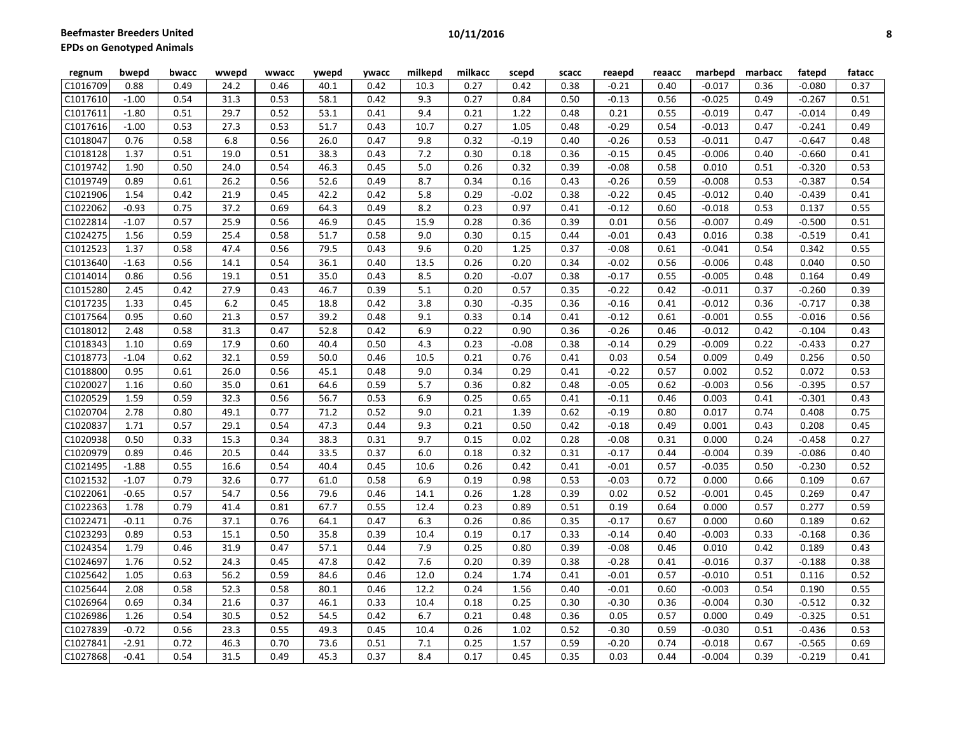| regnum   | bwepd   | bwacc | wwepd | wwacc | ywepd | ywacc | milkepd | milkacc | scepd   | scacc | reaepd  | reaacc | marbepd  | marbacc | fatepd   | fatacc |
|----------|---------|-------|-------|-------|-------|-------|---------|---------|---------|-------|---------|--------|----------|---------|----------|--------|
| C1016709 | 0.88    | 0.49  | 24.2  | 0.46  | 40.1  | 0.42  | 10.3    | 0.27    | 0.42    | 0.38  | $-0.21$ | 0.40   | $-0.017$ | 0.36    | $-0.080$ | 0.37   |
| C1017610 | $-1.00$ | 0.54  | 31.3  | 0.53  | 58.1  | 0.42  | 9.3     | 0.27    | 0.84    | 0.50  | $-0.13$ | 0.56   | $-0.025$ | 0.49    | $-0.267$ | 0.51   |
| C1017611 | $-1.80$ | 0.51  | 29.7  | 0.52  | 53.1  | 0.41  | 9.4     | 0.21    | 1.22    | 0.48  | 0.21    | 0.55   | $-0.019$ | 0.47    | $-0.014$ | 0.49   |
| C1017616 | $-1.00$ | 0.53  | 27.3  | 0.53  | 51.7  | 0.43  | 10.7    | 0.27    | 1.05    | 0.48  | $-0.29$ | 0.54   | $-0.013$ | 0.47    | $-0.241$ | 0.49   |
| C1018047 | 0.76    | 0.58  | 6.8   | 0.56  | 26.0  | 0.47  | 9.8     | 0.32    | $-0.19$ | 0.40  | $-0.26$ | 0.53   | $-0.011$ | 0.47    | $-0.647$ | 0.48   |
| C1018128 | 1.37    | 0.51  | 19.0  | 0.51  | 38.3  | 0.43  | 7.2     | 0.30    | 0.18    | 0.36  | $-0.15$ | 0.45   | $-0.006$ | 0.40    | $-0.660$ | 0.41   |
| C1019742 | 1.90    | 0.50  | 24.0  | 0.54  | 46.3  | 0.45  | 5.0     | 0.26    | 0.32    | 0.39  | $-0.08$ | 0.58   | 0.010    | 0.51    | $-0.320$ | 0.53   |
| C1019749 | 0.89    | 0.61  | 26.2  | 0.56  | 52.6  | 0.49  | 8.7     | 0.34    | 0.16    | 0.43  | $-0.26$ | 0.59   | $-0.008$ | 0.53    | $-0.387$ | 0.54   |
| C1021906 | 1.54    | 0.42  | 21.9  | 0.45  | 42.2  | 0.42  | 5.8     | 0.29    | $-0.02$ | 0.38  | $-0.22$ | 0.45   | $-0.012$ | 0.40    | $-0.439$ | 0.41   |
| C1022062 | $-0.93$ | 0.75  | 37.2  | 0.69  | 64.3  | 0.49  | 8.2     | 0.23    | 0.97    | 0.41  | $-0.12$ | 0.60   | $-0.018$ | 0.53    | 0.137    | 0.55   |
| C1022814 | $-1.07$ | 0.57  | 25.9  | 0.56  | 46.9  | 0.45  | 15.9    | 0.28    | 0.36    | 0.39  | 0.01    | 0.56   | $-0.007$ | 0.49    | $-0.500$ | 0.51   |
| C1024275 | 1.56    | 0.59  | 25.4  | 0.58  | 51.7  | 0.58  | 9.0     | 0.30    | 0.15    | 0.44  | $-0.01$ | 0.43   | 0.016    | 0.38    | $-0.519$ | 0.41   |
| C1012523 | 1.37    | 0.58  | 47.4  | 0.56  | 79.5  | 0.43  | 9.6     | 0.20    | 1.25    | 0.37  | $-0.08$ | 0.61   | $-0.041$ | 0.54    | 0.342    | 0.55   |
| C1013640 | $-1.63$ | 0.56  | 14.1  | 0.54  | 36.1  | 0.40  | 13.5    | 0.26    | 0.20    | 0.34  | $-0.02$ | 0.56   | $-0.006$ | 0.48    | 0.040    | 0.50   |
| C1014014 | 0.86    | 0.56  | 19.1  | 0.51  | 35.0  | 0.43  | 8.5     | 0.20    | $-0.07$ | 0.38  | $-0.17$ | 0.55   | $-0.005$ | 0.48    | 0.164    | 0.49   |
| C1015280 | 2.45    | 0.42  | 27.9  | 0.43  | 46.7  | 0.39  | 5.1     | 0.20    | 0.57    | 0.35  | $-0.22$ | 0.42   | $-0.011$ | 0.37    | $-0.260$ | 0.39   |
| C1017235 | 1.33    | 0.45  | 6.2   | 0.45  | 18.8  | 0.42  | 3.8     | 0.30    | $-0.35$ | 0.36  | $-0.16$ | 0.41   | $-0.012$ | 0.36    | $-0.717$ | 0.38   |
| C1017564 | 0.95    | 0.60  | 21.3  | 0.57  | 39.2  | 0.48  | 9.1     | 0.33    | 0.14    | 0.41  | $-0.12$ | 0.61   | $-0.001$ | 0.55    | $-0.016$ | 0.56   |
| C1018012 | 2.48    | 0.58  | 31.3  | 0.47  | 52.8  | 0.42  | 6.9     | 0.22    | 0.90    | 0.36  | $-0.26$ | 0.46   | $-0.012$ | 0.42    | $-0.104$ | 0.43   |
| C1018343 | 1.10    | 0.69  | 17.9  | 0.60  | 40.4  | 0.50  | 4.3     | 0.23    | $-0.08$ | 0.38  | $-0.14$ | 0.29   | $-0.009$ | 0.22    | $-0.433$ | 0.27   |
| C1018773 | $-1.04$ | 0.62  | 32.1  | 0.59  | 50.0  | 0.46  | 10.5    | 0.21    | 0.76    | 0.41  | 0.03    | 0.54   | 0.009    | 0.49    | 0.256    | 0.50   |
| C1018800 | 0.95    | 0.61  | 26.0  | 0.56  | 45.1  | 0.48  | 9.0     | 0.34    | 0.29    | 0.41  | $-0.22$ | 0.57   | 0.002    | 0.52    | 0.072    | 0.53   |
| C1020027 | 1.16    | 0.60  | 35.0  | 0.61  | 64.6  | 0.59  | 5.7     | 0.36    | 0.82    | 0.48  | $-0.05$ | 0.62   | $-0.003$ | 0.56    | $-0.395$ | 0.57   |
| C1020529 | 1.59    | 0.59  | 32.3  | 0.56  | 56.7  | 0.53  | 6.9     | 0.25    | 0.65    | 0.41  | $-0.11$ | 0.46   | 0.003    | 0.41    | $-0.301$ | 0.43   |
| C1020704 | 2.78    | 0.80  | 49.1  | 0.77  | 71.2  | 0.52  | 9.0     | 0.21    | 1.39    | 0.62  | $-0.19$ | 0.80   | 0.017    | 0.74    | 0.408    | 0.75   |
| C1020837 | 1.71    | 0.57  | 29.1  | 0.54  | 47.3  | 0.44  | 9.3     | 0.21    | 0.50    | 0.42  | $-0.18$ | 0.49   | 0.001    | 0.43    | 0.208    | 0.45   |
| C1020938 | 0.50    | 0.33  | 15.3  | 0.34  | 38.3  | 0.31  | 9.7     | 0.15    | 0.02    | 0.28  | $-0.08$ | 0.31   | 0.000    | 0.24    | $-0.458$ | 0.27   |
| C1020979 | 0.89    | 0.46  | 20.5  | 0.44  | 33.5  | 0.37  | 6.0     | 0.18    | 0.32    | 0.31  | $-0.17$ | 0.44   | $-0.004$ | 0.39    | $-0.086$ | 0.40   |
| C1021495 | $-1.88$ | 0.55  | 16.6  | 0.54  | 40.4  | 0.45  | 10.6    | 0.26    | 0.42    | 0.41  | $-0.01$ | 0.57   | $-0.035$ | 0.50    | $-0.230$ | 0.52   |
| C1021532 | $-1.07$ | 0.79  | 32.6  | 0.77  | 61.0  | 0.58  | 6.9     | 0.19    | 0.98    | 0.53  | $-0.03$ | 0.72   | 0.000    | 0.66    | 0.109    | 0.67   |
| C1022061 | $-0.65$ | 0.57  | 54.7  | 0.56  | 79.6  | 0.46  | 14.1    | 0.26    | 1.28    | 0.39  | 0.02    | 0.52   | $-0.001$ | 0.45    | 0.269    | 0.47   |
| C1022363 | 1.78    | 0.79  | 41.4  | 0.81  | 67.7  | 0.55  | 12.4    | 0.23    | 0.89    | 0.51  | 0.19    | 0.64   | 0.000    | 0.57    | 0.277    | 0.59   |
| C1022471 | $-0.11$ | 0.76  | 37.1  | 0.76  | 64.1  | 0.47  | 6.3     | 0.26    | 0.86    | 0.35  | $-0.17$ | 0.67   | 0.000    | 0.60    | 0.189    | 0.62   |
| C1023293 | 0.89    | 0.53  | 15.1  | 0.50  | 35.8  | 0.39  | 10.4    | 0.19    | 0.17    | 0.33  | $-0.14$ | 0.40   | $-0.003$ | 0.33    | $-0.168$ | 0.36   |
| C1024354 | 1.79    | 0.46  | 31.9  | 0.47  | 57.1  | 0.44  | 7.9     | 0.25    | 0.80    | 0.39  | $-0.08$ | 0.46   | 0.010    | 0.42    | 0.189    | 0.43   |
| C1024697 | 1.76    | 0.52  | 24.3  | 0.45  | 47.8  | 0.42  | 7.6     | 0.20    | 0.39    | 0.38  | $-0.28$ | 0.41   | $-0.016$ | 0.37    | $-0.188$ | 0.38   |
| C1025642 | 1.05    | 0.63  | 56.2  | 0.59  | 84.6  | 0.46  | 12.0    | 0.24    | 1.74    | 0.41  | $-0.01$ | 0.57   | $-0.010$ | 0.51    | 0.116    | 0.52   |
| C1025644 | 2.08    | 0.58  | 52.3  | 0.58  | 80.1  | 0.46  | 12.2    | 0.24    | 1.56    | 0.40  | $-0.01$ | 0.60   | $-0.003$ | 0.54    | 0.190    | 0.55   |
| C1026964 | 0.69    | 0.34  | 21.6  | 0.37  | 46.1  | 0.33  | 10.4    | 0.18    | 0.25    | 0.30  | $-0.30$ | 0.36   | $-0.004$ | 0.30    | $-0.512$ | 0.32   |
| C1026986 | 1.26    | 0.54  | 30.5  | 0.52  | 54.5  | 0.42  | 6.7     | 0.21    | 0.48    | 0.36  | 0.05    | 0.57   | 0.000    | 0.49    | $-0.325$ | 0.51   |
| C1027839 | $-0.72$ | 0.56  | 23.3  | 0.55  | 49.3  | 0.45  | 10.4    | 0.26    | 1.02    | 0.52  | $-0.30$ | 0.59   | $-0.030$ | 0.51    | $-0.436$ | 0.53   |
| C1027841 | $-2.91$ | 0.72  | 46.3  | 0.70  | 73.6  | 0.51  | 7.1     | 0.25    | 1.57    | 0.59  | $-0.20$ | 0.74   | $-0.018$ | 0.67    | $-0.565$ | 0.69   |
| C1027868 | $-0.41$ | 0.54  | 31.5  | 0.49  | 45.3  | 0.37  | 8.4     | 0.17    | 0.45    | 0.35  | 0.03    | 0.44   | $-0.004$ | 0.39    | $-0.219$ | 0.41   |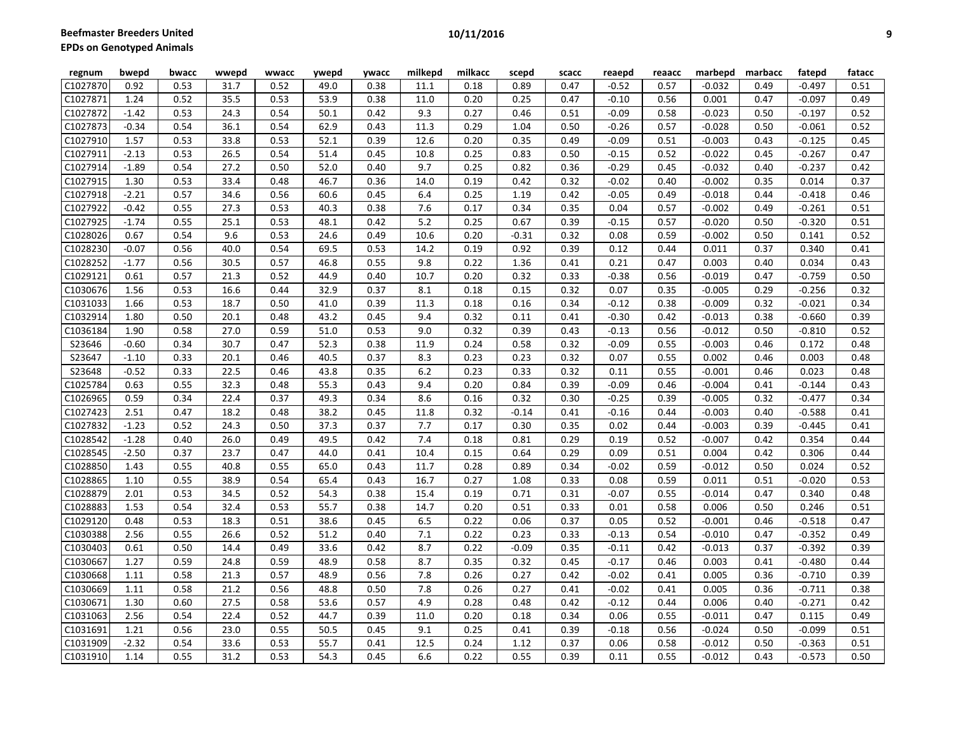**Beefmaster Breeders United EPDs** 

| PDs on Genotyped Animals |         |       |       |       |       |              |         |         |       |       |         |        |          |         |          |        |
|--------------------------|---------|-------|-------|-------|-------|--------------|---------|---------|-------|-------|---------|--------|----------|---------|----------|--------|
| regnum                   | bwepd   | bwacc | wwepd | wwacc | ywepd | <b>ywacc</b> | milkepd | milkacc | scepd | scacc | reaepd  | reaacc | marbepd  | marbacc | fatepd   | fatacc |
| C1027870                 | 0.92    | 0.53  | 31.7  | 0.52  | 49.0  | 0.38         | 11.1    | 0.18    | 0.89  | 0.47  | $-0.52$ | 0.57   | $-0.032$ | 0.49    | $-0.497$ | 0.51   |
| C1027871                 | 1.24    | 0.52  | 35.5  | 0.53  | 53.9  | 0.38         | 11.0    | 0.20    | 0.25  | 0.47  | $-0.10$ | 0.56   | 0.001    | 0.47    | $-0.097$ | 0.49   |
| C1027872                 | $-1.42$ | 0.53  | 24.3  | 0.54  | 50.1  | 0.42         | 9.3     | 0.27    | 0.46  | 0.51  | $-0.09$ | 0.58   | $-0.023$ | 0.50    | $-0.197$ | 0.52   |
| C1027873                 | $-0.34$ | 0.54  | 36.1  | 0.54  | 62.9  | 0.43         | 11.3    | 0.29    | 1.04  | 0.50  | $-0.26$ | 0.57   | $-0.028$ | 0.50    | $-0.061$ | 0.52   |
| C1027910                 | 1.57    | 0.53  | 33.8  | 0.53  | 52.1  | 0.39         | 12.6    | 0.20    | 0.35  | 0.49  | $-0.09$ | 0.51   | $-0.003$ | 0.43    | $-0.125$ | 0.45   |
| C1027911                 | $-2.13$ | 0.53  | 26.5  | 0.54  | 51.4  | 0.45         | 10.8    | 0.25    | 0.83  | 0.50  | $-0.15$ | 0.52   | $-0.022$ | 0.45    | $-0.267$ | 0.47   |
| C1027914                 | $-1.89$ | 0.54  | 27.2  | 0.50  | 52.0  | 0.40         | 9.7     | 0.25    | 0.82  | 0.36  | $-0.29$ | 0.45   | $-0.032$ | 0.40    | $-0.237$ | 0.42   |
| C1027915                 | 1.30    | 0.53  | 33.4  | 0.48  | 46.7  | 0.36         | 14.0    | 0.19    | 0.42  | 0.32  | $-0.02$ | 0.40   | $-0.002$ | 0.35    | 0.014    | 0.37   |
| C1027918                 | $-2.21$ | 0.57  | 34.6  | 0.56  | 60.6  | 0.45         | 6.4     | 0.25    | 1.19  | 0.42  | $-0.05$ | 0.49   | $-0.018$ | 0.44    | $-0.418$ | 0.46   |
| C1027922                 | $-0.42$ | 0.55  | 27.3  | 0.53  | 40.3  | 0.38         | 7.6     | 0.17    | 0.34  | 0.35  | 0.04    | 0.57   | $-0.002$ | 0.49    | $-0.261$ | 0.51   |
| C1027925                 | $-1.74$ | 0.55  | 25.1  | 0.53  | 48.1  | 0.42         | 5.2     | 0.25    | 0.67  | 0.39  | $-0.15$ | 0.57   | $-0.020$ | 0.50    | $-0.320$ | 0.51   |
|                          |         |       |       |       |       |              |         |         |       |       |         |        |          |         |          |        |

| C1027910 | 1.57    | 0.53 | 33.8 | 0.53 | 52.1 | 0.39 | 12.6 | 0.20 | 0.35    | 0.49 | $-0.09$ | 0.51 | $-0.003$ | 0.43 | $-0.125$ | 0.45 |
|----------|---------|------|------|------|------|------|------|------|---------|------|---------|------|----------|------|----------|------|
| C1027911 | $-2.13$ | 0.53 | 26.5 | 0.54 | 51.4 | 0.45 | 10.8 | 0.25 | 0.83    | 0.50 | $-0.15$ | 0.52 | $-0.022$ | 0.45 | $-0.267$ | 0.47 |
| C1027914 | $-1.89$ | 0.54 | 27.2 | 0.50 | 52.0 | 0.40 | 9.7  | 0.25 | 0.82    | 0.36 | $-0.29$ | 0.45 | $-0.032$ | 0.40 | $-0.237$ | 0.42 |
| C1027915 | 1.30    | 0.53 | 33.4 | 0.48 | 46.7 | 0.36 | 14.0 | 0.19 | 0.42    | 0.32 | $-0.02$ | 0.40 | $-0.002$ | 0.35 | 0.014    | 0.37 |
| C1027918 | $-2.21$ | 0.57 | 34.6 | 0.56 | 60.6 | 0.45 | 6.4  | 0.25 | 1.19    | 0.42 | $-0.05$ | 0.49 | $-0.018$ | 0.44 | $-0.418$ | 0.46 |
| C1027922 | $-0.42$ | 0.55 | 27.3 | 0.53 | 40.3 | 0.38 | 7.6  | 0.17 | 0.34    | 0.35 | 0.04    | 0.57 | $-0.002$ | 0.49 | $-0.261$ | 0.51 |
| C1027925 | $-1.74$ | 0.55 | 25.1 | 0.53 | 48.1 | 0.42 | 5.2  | 0.25 | 0.67    | 0.39 | $-0.15$ | 0.57 | $-0.020$ | 0.50 | $-0.320$ | 0.51 |
| C1028026 | 0.67    | 0.54 | 9.6  | 0.53 | 24.6 | 0.49 | 10.6 | 0.20 | $-0.31$ | 0.32 | 0.08    | 0.59 | $-0.002$ | 0.50 | 0.141    | 0.52 |
| C1028230 | $-0.07$ | 0.56 | 40.0 | 0.54 | 69.5 | 0.53 | 14.2 | 0.19 | 0.92    | 0.39 | 0.12    | 0.44 | 0.011    | 0.37 | 0.340    | 0.41 |
| C1028252 | $-1.77$ | 0.56 | 30.5 | 0.57 | 46.8 | 0.55 | 9.8  | 0.22 | 1.36    | 0.41 | 0.21    | 0.47 | 0.003    | 0.40 | 0.034    | 0.43 |
| C1029121 | 0.61    | 0.57 | 21.3 | 0.52 | 44.9 | 0.40 | 10.7 | 0.20 | 0.32    | 0.33 | $-0.38$ | 0.56 | $-0.019$ | 0.47 | $-0.759$ | 0.50 |
| C1030676 | 1.56    | 0.53 | 16.6 | 0.44 | 32.9 | 0.37 | 8.1  | 0.18 | 0.15    | 0.32 | 0.07    | 0.35 | $-0.005$ | 0.29 | $-0.256$ | 0.32 |
| C1031033 | 1.66    | 0.53 | 18.7 | 0.50 | 41.0 | 0.39 | 11.3 | 0.18 | 0.16    | 0.34 | $-0.12$ | 0.38 | $-0.009$ | 0.32 | $-0.021$ | 0.34 |
| C1032914 | 1.80    | 0.50 | 20.1 | 0.48 | 43.2 | 0.45 | 9.4  | 0.32 | 0.11    | 0.41 | $-0.30$ | 0.42 | $-0.013$ | 0.38 | $-0.660$ | 0.39 |
| C1036184 | 1.90    | 0.58 | 27.0 | 0.59 | 51.0 | 0.53 | 9.0  | 0.32 | 0.39    | 0.43 | $-0.13$ | 0.56 | $-0.012$ | 0.50 | $-0.810$ | 0.52 |
| S23646   | $-0.60$ | 0.34 | 30.7 | 0.47 | 52.3 | 0.38 | 11.9 | 0.24 | 0.58    | 0.32 | $-0.09$ | 0.55 | $-0.003$ | 0.46 | 0.172    | 0.48 |
| S23647   | $-1.10$ | 0.33 | 20.1 | 0.46 | 40.5 | 0.37 | 8.3  | 0.23 | 0.23    | 0.32 | 0.07    | 0.55 | 0.002    | 0.46 | 0.003    | 0.48 |
| S23648   | $-0.52$ | 0.33 | 22.5 | 0.46 | 43.8 | 0.35 | 6.2  | 0.23 | 0.33    | 0.32 | 0.11    | 0.55 | $-0.001$ | 0.46 | 0.023    | 0.48 |
| C1025784 | 0.63    | 0.55 | 32.3 | 0.48 | 55.3 | 0.43 | 9.4  | 0.20 | 0.84    | 0.39 | $-0.09$ | 0.46 | $-0.004$ | 0.41 | $-0.144$ | 0.43 |
| C1026965 | 0.59    | 0.34 | 22.4 | 0.37 | 49.3 | 0.34 | 8.6  | 0.16 | 0.32    | 0.30 | $-0.25$ | 0.39 | $-0.005$ | 0.32 | $-0.477$ | 0.34 |
| C1027423 | 2.51    | 0.47 | 18.2 | 0.48 | 38.2 | 0.45 | 11.8 | 0.32 | $-0.14$ | 0.41 | $-0.16$ | 0.44 | $-0.003$ | 0.40 | $-0.588$ | 0.41 |
| C1027832 | $-1.23$ | 0.52 | 24.3 | 0.50 | 37.3 | 0.37 | 7.7  | 0.17 | 0.30    | 0.35 | 0.02    | 0.44 | $-0.003$ | 0.39 | $-0.445$ | 0.41 |
| C1028542 | $-1.28$ | 0.40 | 26.0 | 0.49 | 49.5 | 0.42 | 7.4  | 0.18 | 0.81    | 0.29 | 0.19    | 0.52 | $-0.007$ | 0.42 | 0.354    | 0.44 |
| C1028545 | $-2.50$ | 0.37 | 23.7 | 0.47 | 44.0 | 0.41 | 10.4 | 0.15 | 0.64    | 0.29 | 0.09    | 0.51 | 0.004    | 0.42 | 0.306    | 0.44 |
| C1028850 | 1.43    | 0.55 | 40.8 | 0.55 | 65.0 | 0.43 | 11.7 | 0.28 | 0.89    | 0.34 | $-0.02$ | 0.59 | $-0.012$ | 0.50 | 0.024    | 0.52 |
| C1028865 | 1.10    | 0.55 | 38.9 | 0.54 | 65.4 | 0.43 | 16.7 | 0.27 | 1.08    | 0.33 | 0.08    | 0.59 | 0.011    | 0.51 | $-0.020$ | 0.53 |
| C1028879 | 2.01    | 0.53 | 34.5 | 0.52 | 54.3 | 0.38 | 15.4 | 0.19 | 0.71    | 0.31 | $-0.07$ | 0.55 | $-0.014$ | 0.47 | 0.340    | 0.48 |
| C1028883 | 1.53    | 0.54 | 32.4 | 0.53 | 55.7 | 0.38 | 14.7 | 0.20 | 0.51    | 0.33 | 0.01    | 0.58 | 0.006    | 0.50 | 0.246    | 0.51 |
| C1029120 | 0.48    | 0.53 | 18.3 | 0.51 | 38.6 | 0.45 | 6.5  | 0.22 | 0.06    | 0.37 | 0.05    | 0.52 | $-0.001$ | 0.46 | $-0.518$ | 0.47 |
| C1030388 | 2.56    | 0.55 | 26.6 | 0.52 | 51.2 | 0.40 | 7.1  | 0.22 | 0.23    | 0.33 | $-0.13$ | 0.54 | $-0.010$ | 0.47 | $-0.352$ | 0.49 |
| C1030403 | 0.61    | 0.50 | 14.4 | 0.49 | 33.6 | 0.42 | 8.7  | 0.22 | $-0.09$ | 0.35 | $-0.11$ | 0.42 | $-0.013$ | 0.37 | $-0.392$ | 0.39 |
| C1030667 | 1.27    | 0.59 | 24.8 | 0.59 | 48.9 | 0.58 | 8.7  | 0.35 | 0.32    | 0.45 | $-0.17$ | 0.46 | 0.003    | 0.41 | $-0.480$ | 0.44 |
| C1030668 | 1.11    | 0.58 | 21.3 | 0.57 | 48.9 | 0.56 | 7.8  | 0.26 | 0.27    | 0.42 | $-0.02$ | 0.41 | 0.005    | 0.36 | $-0.710$ | 0.39 |
| C1030669 | 1.11    | 0.58 | 21.2 | 0.56 | 48.8 | 0.50 | 7.8  | 0.26 | 0.27    | 0.41 | $-0.02$ | 0.41 | 0.005    | 0.36 | $-0.711$ | 0.38 |
| C1030671 | 1.30    | 0.60 | 27.5 | 0.58 | 53.6 | 0.57 | 4.9  | 0.28 | 0.48    | 0.42 | $-0.12$ | 0.44 | 0.006    | 0.40 | $-0.271$ | 0.42 |
| C1031063 | 2.56    | 0.54 | 22.4 | 0.52 | 44.7 | 0.39 | 11.0 | 0.20 | 0.18    | 0.34 | 0.06    | 0.55 | $-0.011$ | 0.47 | 0.115    | 0.49 |
| C1031691 | 1.21    | 0.56 | 23.0 | 0.55 | 50.5 | 0.45 | 9.1  | 0.25 | 0.41    | 0.39 | $-0.18$ | 0.56 | $-0.024$ | 0.50 | $-0.099$ | 0.51 |
| C1031909 | $-2.32$ | 0.54 | 33.6 | 0.53 | 55.7 | 0.41 | 12.5 | 0.24 | 1.12    | 0.37 | 0.06    | 0.58 | $-0.012$ | 0.50 | $-0.363$ | 0.51 |
| C1031910 | 1.14    | 0.55 | 31.2 | 0.53 | 54.3 | 0.45 | 6.6  | 0.22 | 0.55    | 0.39 | 0.11    | 0.55 | $-0.012$ | 0.43 | $-0.573$ | 0.50 |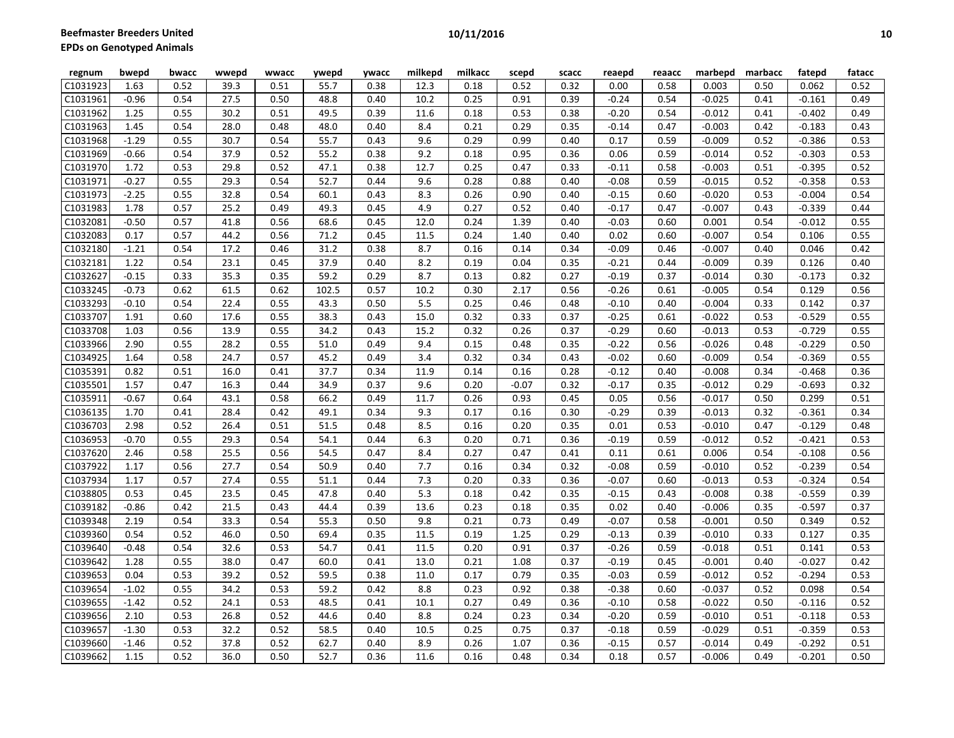| regnum   | bwepd   | bwacc | wwepd | wwacc | ywepd | ywacc | milkepd | milkacc | scepd   | scacc | reaepd  | reaacc | marbepd  | marbacc | fatepd   | fatacc |
|----------|---------|-------|-------|-------|-------|-------|---------|---------|---------|-------|---------|--------|----------|---------|----------|--------|
| C1031923 | 1.63    | 0.52  | 39.3  | 0.51  | 55.7  | 0.38  | 12.3    | 0.18    | 0.52    | 0.32  | 0.00    | 0.58   | 0.003    | 0.50    | 0.062    | 0.52   |
| C1031961 | $-0.96$ | 0.54  | 27.5  | 0.50  | 48.8  | 0.40  | 10.2    | 0.25    | 0.91    | 0.39  | $-0.24$ | 0.54   | $-0.025$ | 0.41    | $-0.161$ | 0.49   |
| C1031962 | 1.25    | 0.55  | 30.2  | 0.51  | 49.5  | 0.39  | 11.6    | 0.18    | 0.53    | 0.38  | $-0.20$ | 0.54   | $-0.012$ | 0.41    | $-0.402$ | 0.49   |
| C1031963 | 1.45    | 0.54  | 28.0  | 0.48  | 48.0  | 0.40  | 8.4     | 0.21    | 0.29    | 0.35  | $-0.14$ | 0.47   | $-0.003$ | 0.42    | $-0.183$ | 0.43   |
| C1031968 | $-1.29$ | 0.55  | 30.7  | 0.54  | 55.7  | 0.43  | 9.6     | 0.29    | 0.99    | 0.40  | 0.17    | 0.59   | $-0.009$ | 0.52    | $-0.386$ | 0.53   |
| C1031969 | $-0.66$ | 0.54  | 37.9  | 0.52  | 55.2  | 0.38  | 9.2     | 0.18    | 0.95    | 0.36  | 0.06    | 0.59   | $-0.014$ | 0.52    | $-0.303$ | 0.53   |
| C1031970 | 1.72    | 0.53  | 29.8  | 0.52  | 47.1  | 0.38  | 12.7    | 0.25    | 0.47    | 0.33  | $-0.11$ | 0.58   | $-0.003$ | 0.51    | $-0.395$ | 0.52   |
| C1031971 | $-0.27$ | 0.55  | 29.3  | 0.54  | 52.7  | 0.44  | 9.6     | 0.28    | 0.88    | 0.40  | $-0.08$ | 0.59   | $-0.015$ | 0.52    | $-0.358$ | 0.53   |
| C1031973 | $-2.25$ | 0.55  | 32.8  | 0.54  | 60.1  | 0.43  | 8.3     | 0.26    | 0.90    | 0.40  | $-0.15$ | 0.60   | $-0.020$ | 0.53    | $-0.004$ | 0.54   |
| C1031983 | 1.78    | 0.57  | 25.2  | 0.49  | 49.3  | 0.45  | 4.9     | 0.27    | 0.52    | 0.40  | $-0.17$ | 0.47   | $-0.007$ | 0.43    | $-0.339$ | 0.44   |
| C1032081 | $-0.50$ | 0.57  | 41.8  | 0.56  | 68.6  | 0.45  | 12.0    | 0.24    | 1.39    | 0.40  | $-0.03$ | 0.60   | 0.001    | 0.54    | $-0.012$ | 0.55   |
| C1032083 | 0.17    | 0.57  | 44.2  | 0.56  | 71.2  | 0.45  | 11.5    | 0.24    | 1.40    | 0.40  | 0.02    | 0.60   | $-0.007$ | 0.54    | 0.106    | 0.55   |
| C1032180 | $-1.21$ | 0.54  | 17.2  | 0.46  | 31.2  | 0.38  | 8.7     | 0.16    | 0.14    | 0.34  | $-0.09$ | 0.46   | $-0.007$ | 0.40    | 0.046    | 0.42   |
| C1032181 | 1.22    | 0.54  | 23.1  | 0.45  | 37.9  | 0.40  | 8.2     | 0.19    | 0.04    | 0.35  | $-0.21$ | 0.44   | $-0.009$ | 0.39    | 0.126    | 0.40   |
| C1032627 | $-0.15$ | 0.33  | 35.3  | 0.35  | 59.2  | 0.29  | 8.7     | 0.13    | 0.82    | 0.27  | $-0.19$ | 0.37   | $-0.014$ | 0.30    | $-0.173$ | 0.32   |
| C1033245 | $-0.73$ | 0.62  | 61.5  | 0.62  | 102.5 | 0.57  | 10.2    | 0.30    | 2.17    | 0.56  | $-0.26$ | 0.61   | $-0.005$ | 0.54    | 0.129    | 0.56   |
| C1033293 | $-0.10$ | 0.54  | 22.4  | 0.55  | 43.3  | 0.50  | 5.5     | 0.25    | 0.46    | 0.48  | $-0.10$ | 0.40   | $-0.004$ | 0.33    | 0.142    | 0.37   |
| C1033707 | 1.91    | 0.60  | 17.6  | 0.55  | 38.3  | 0.43  | 15.0    | 0.32    | 0.33    | 0.37  | $-0.25$ | 0.61   | $-0.022$ | 0.53    | $-0.529$ | 0.55   |
| C1033708 | 1.03    | 0.56  | 13.9  | 0.55  | 34.2  | 0.43  | 15.2    | 0.32    | 0.26    | 0.37  | $-0.29$ | 0.60   | $-0.013$ | 0.53    | $-0.729$ | 0.55   |
| C1033966 | 2.90    | 0.55  | 28.2  | 0.55  | 51.0  | 0.49  | 9.4     | 0.15    | 0.48    | 0.35  | $-0.22$ | 0.56   | $-0.026$ | 0.48    | $-0.229$ | 0.50   |
| C1034925 | 1.64    | 0.58  | 24.7  | 0.57  | 45.2  | 0.49  | 3.4     | 0.32    | 0.34    | 0.43  | $-0.02$ | 0.60   | $-0.009$ | 0.54    | $-0.369$ | 0.55   |
| C1035391 | 0.82    | 0.51  | 16.0  | 0.41  | 37.7  | 0.34  | 11.9    | 0.14    | 0.16    | 0.28  | $-0.12$ | 0.40   | $-0.008$ | 0.34    | $-0.468$ | 0.36   |
| C1035501 | 1.57    | 0.47  | 16.3  | 0.44  | 34.9  | 0.37  | 9.6     | 0.20    | $-0.07$ | 0.32  | $-0.17$ | 0.35   | $-0.012$ | 0.29    | $-0.693$ | 0.32   |
| C1035911 | $-0.67$ | 0.64  | 43.1  | 0.58  | 66.2  | 0.49  | 11.7    | 0.26    | 0.93    | 0.45  | 0.05    | 0.56   | $-0.017$ | 0.50    | 0.299    | 0.51   |
| C1036135 | 1.70    | 0.41  | 28.4  | 0.42  | 49.1  | 0.34  | 9.3     | 0.17    | 0.16    | 0.30  | $-0.29$ | 0.39   | $-0.013$ | 0.32    | $-0.361$ | 0.34   |
| C1036703 | 2.98    | 0.52  | 26.4  | 0.51  | 51.5  | 0.48  | 8.5     | 0.16    | 0.20    | 0.35  | 0.01    | 0.53   | $-0.010$ | 0.47    | $-0.129$ | 0.48   |
| C1036953 | $-0.70$ | 0.55  | 29.3  | 0.54  | 54.1  | 0.44  | 6.3     | 0.20    | 0.71    | 0.36  | $-0.19$ | 0.59   | $-0.012$ | 0.52    | $-0.421$ | 0.53   |
| C1037620 | 2.46    | 0.58  | 25.5  | 0.56  | 54.5  | 0.47  | 8.4     | 0.27    | 0.47    | 0.41  | 0.11    | 0.61   | 0.006    | 0.54    | $-0.108$ | 0.56   |
| C1037922 | 1.17    | 0.56  | 27.7  | 0.54  | 50.9  | 0.40  | 7.7     | 0.16    | 0.34    | 0.32  | $-0.08$ | 0.59   | $-0.010$ | 0.52    | $-0.239$ | 0.54   |
| C1037934 | 1.17    | 0.57  | 27.4  | 0.55  | 51.1  | 0.44  | 7.3     | 0.20    | 0.33    | 0.36  | $-0.07$ | 0.60   | $-0.013$ | 0.53    | $-0.324$ | 0.54   |
| C1038805 | 0.53    | 0.45  | 23.5  | 0.45  | 47.8  | 0.40  | 5.3     | 0.18    | 0.42    | 0.35  | $-0.15$ | 0.43   | $-0.008$ | 0.38    | $-0.559$ | 0.39   |
| C1039182 | $-0.86$ | 0.42  | 21.5  | 0.43  | 44.4  | 0.39  | 13.6    | 0.23    | 0.18    | 0.35  | 0.02    | 0.40   | $-0.006$ | 0.35    | $-0.597$ | 0.37   |
| C1039348 | 2.19    | 0.54  | 33.3  | 0.54  | 55.3  | 0.50  | 9.8     | 0.21    | 0.73    | 0.49  | $-0.07$ | 0.58   | $-0.001$ | 0.50    | 0.349    | 0.52   |
| C1039360 | 0.54    | 0.52  | 46.0  | 0.50  | 69.4  | 0.35  | 11.5    | 0.19    | 1.25    | 0.29  | $-0.13$ | 0.39   | $-0.010$ | 0.33    | 0.127    | 0.35   |
| C1039640 | $-0.48$ | 0.54  | 32.6  | 0.53  | 54.7  | 0.41  | 11.5    | 0.20    | 0.91    | 0.37  | $-0.26$ | 0.59   | $-0.018$ | 0.51    | 0.141    | 0.53   |
| C1039642 | 1.28    | 0.55  | 38.0  | 0.47  | 60.0  | 0.41  | 13.0    | 0.21    | 1.08    | 0.37  | $-0.19$ | 0.45   | $-0.001$ | 0.40    | $-0.027$ | 0.42   |
| C1039653 | 0.04    | 0.53  | 39.2  | 0.52  | 59.5  | 0.38  | 11.0    | 0.17    | 0.79    | 0.35  | $-0.03$ | 0.59   | $-0.012$ | 0.52    | $-0.294$ | 0.53   |
| C1039654 | $-1.02$ | 0.55  | 34.2  | 0.53  | 59.2  | 0.42  | 8.8     | 0.23    | 0.92    | 0.38  | $-0.38$ | 0.60   | $-0.037$ | 0.52    | 0.098    | 0.54   |
| C1039655 | $-1.42$ | 0.52  | 24.1  | 0.53  | 48.5  | 0.41  | 10.1    | 0.27    | 0.49    | 0.36  | $-0.10$ | 0.58   | $-0.022$ | 0.50    | $-0.116$ | 0.52   |
| C1039656 | 2.10    | 0.53  | 26.8  | 0.52  | 44.6  | 0.40  | 8.8     | 0.24    | 0.23    | 0.34  | $-0.20$ | 0.59   | $-0.010$ | 0.51    | $-0.118$ | 0.53   |
| C1039657 | $-1.30$ | 0.53  | 32.2  | 0.52  | 58.5  | 0.40  | 10.5    | 0.25    | 0.75    | 0.37  | $-0.18$ | 0.59   | $-0.029$ | 0.51    | $-0.359$ | 0.53   |
| C1039660 | $-1.46$ | 0.52  | 37.8  | 0.52  | 62.7  | 0.40  | 8.9     | 0.26    | 1.07    | 0.36  | $-0.15$ | 0.57   | $-0.014$ | 0.49    | $-0.292$ | 0.51   |
| C1039662 | 1.15    | 0.52  | 36.0  | 0.50  | 52.7  | 0.36  | 11.6    | 0.16    | 0.48    | 0.34  | 0.18    | 0.57   | $-0.006$ | 0.49    | $-0.201$ | 0.50   |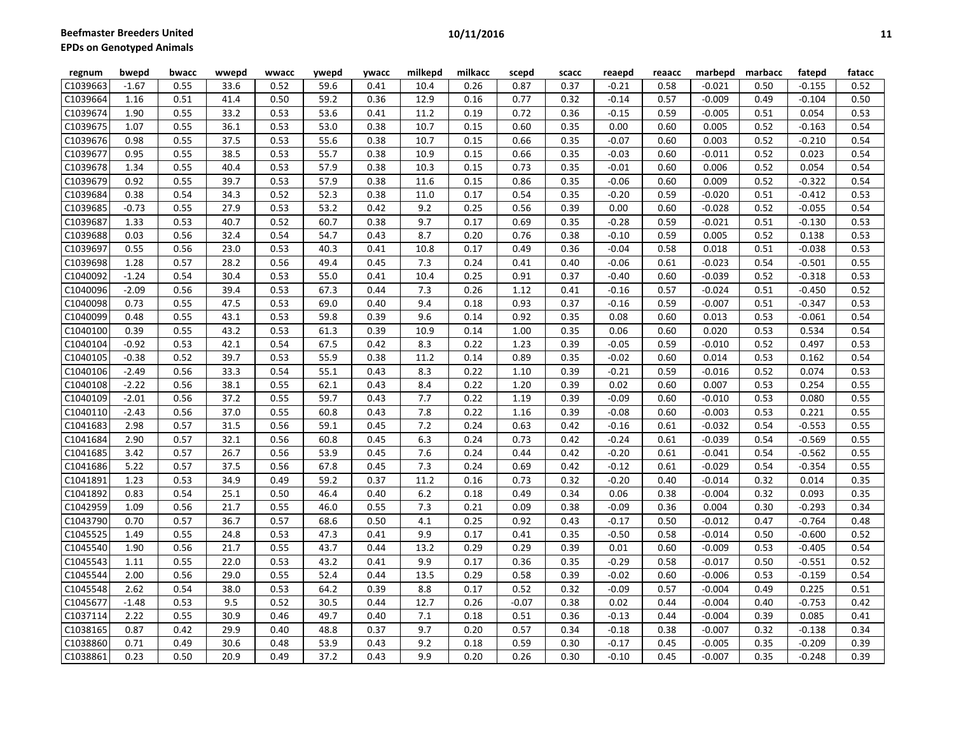| regnum   | bwepd   | bwacc | wwepd | wwacc | ywepd | ywacc | milkepd | milkacc | scepd   | scacc | reaepd  | reaacc | marbepd  | marbacc | fatepd   | fatacc |
|----------|---------|-------|-------|-------|-------|-------|---------|---------|---------|-------|---------|--------|----------|---------|----------|--------|
| C1039663 | $-1.67$ | 0.55  | 33.6  | 0.52  | 59.6  | 0.41  | 10.4    | 0.26    | 0.87    | 0.37  | $-0.21$ | 0.58   | $-0.021$ | 0.50    | $-0.155$ | 0.52   |
| C1039664 | 1.16    | 0.51  | 41.4  | 0.50  | 59.2  | 0.36  | 12.9    | 0.16    | 0.77    | 0.32  | $-0.14$ | 0.57   | $-0.009$ | 0.49    | $-0.104$ | 0.50   |
| C1039674 | 1.90    | 0.55  | 33.2  | 0.53  | 53.6  | 0.41  | 11.2    | 0.19    | 0.72    | 0.36  | $-0.15$ | 0.59   | $-0.005$ | 0.51    | 0.054    | 0.53   |
| C1039675 | 1.07    | 0.55  | 36.1  | 0.53  | 53.0  | 0.38  | 10.7    | 0.15    | 0.60    | 0.35  | 0.00    | 0.60   | 0.005    | 0.52    | $-0.163$ | 0.54   |
| C1039676 | 0.98    | 0.55  | 37.5  | 0.53  | 55.6  | 0.38  | 10.7    | 0.15    | 0.66    | 0.35  | $-0.07$ | 0.60   | 0.003    | 0.52    | $-0.210$ | 0.54   |
| C1039677 | 0.95    | 0.55  | 38.5  | 0.53  | 55.7  | 0.38  | 10.9    | 0.15    | 0.66    | 0.35  | $-0.03$ | 0.60   | $-0.011$ | 0.52    | 0.023    | 0.54   |
| C1039678 | 1.34    | 0.55  | 40.4  | 0.53  | 57.9  | 0.38  | 10.3    | 0.15    | 0.73    | 0.35  | $-0.01$ | 0.60   | 0.006    | 0.52    | 0.054    | 0.54   |
| C1039679 | 0.92    | 0.55  | 39.7  | 0.53  | 57.9  | 0.38  | 11.6    | 0.15    | 0.86    | 0.35  | $-0.06$ | 0.60   | 0.009    | 0.52    | $-0.322$ | 0.54   |
| C1039684 | 0.38    | 0.54  | 34.3  | 0.52  | 52.3  | 0.38  | 11.0    | 0.17    | 0.54    | 0.35  | $-0.20$ | 0.59   | $-0.020$ | 0.51    | $-0.412$ | 0.53   |
| C1039685 | $-0.73$ | 0.55  | 27.9  | 0.53  | 53.2  | 0.42  | 9.2     | 0.25    | 0.56    | 0.39  | 0.00    | 0.60   | $-0.028$ | 0.52    | $-0.055$ | 0.54   |
| C1039687 | 1.33    | 0.53  | 40.7  | 0.52  | 60.7  | 0.38  | 9.7     | 0.17    | 0.69    | 0.35  | $-0.28$ | 0.59   | $-0.021$ | 0.51    | $-0.130$ | 0.53   |
| C1039688 | 0.03    | 0.56  | 32.4  | 0.54  | 54.7  | 0.43  | 8.7     | 0.20    | 0.76    | 0.38  | $-0.10$ | 0.59   | 0.005    | 0.52    | 0.138    | 0.53   |
| C1039697 | 0.55    | 0.56  | 23.0  | 0.53  | 40.3  | 0.41  | 10.8    | 0.17    | 0.49    | 0.36  | $-0.04$ | 0.58   | 0.018    | 0.51    | $-0.038$ | 0.53   |
| C1039698 | 1.28    | 0.57  | 28.2  | 0.56  | 49.4  | 0.45  | 7.3     | 0.24    | 0.41    | 0.40  | $-0.06$ | 0.61   | $-0.023$ | 0.54    | $-0.501$ | 0.55   |
| C1040092 | $-1.24$ | 0.54  | 30.4  | 0.53  | 55.0  | 0.41  | 10.4    | 0.25    | 0.91    | 0.37  | $-0.40$ | 0.60   | $-0.039$ | 0.52    | $-0.318$ | 0.53   |
| C1040096 | $-2.09$ | 0.56  | 39.4  | 0.53  | 67.3  | 0.44  | 7.3     | 0.26    | 1.12    | 0.41  | $-0.16$ | 0.57   | $-0.024$ | 0.51    | $-0.450$ | 0.52   |
| C1040098 | 0.73    | 0.55  | 47.5  | 0.53  | 69.0  | 0.40  | 9.4     | 0.18    | 0.93    | 0.37  | $-0.16$ | 0.59   | $-0.007$ | 0.51    | $-0.347$ | 0.53   |
| C1040099 | 0.48    | 0.55  | 43.1  | 0.53  | 59.8  | 0.39  | 9.6     | 0.14    | 0.92    | 0.35  | 0.08    | 0.60   | 0.013    | 0.53    | $-0.061$ | 0.54   |
| C1040100 | 0.39    | 0.55  | 43.2  | 0.53  | 61.3  | 0.39  | 10.9    | 0.14    | 1.00    | 0.35  | 0.06    | 0.60   | 0.020    | 0.53    | 0.534    | 0.54   |
| C1040104 | $-0.92$ | 0.53  | 42.1  | 0.54  | 67.5  | 0.42  | 8.3     | 0.22    | 1.23    | 0.39  | $-0.05$ | 0.59   | $-0.010$ | 0.52    | 0.497    | 0.53   |
| C1040105 | $-0.38$ | 0.52  | 39.7  | 0.53  | 55.9  | 0.38  | 11.2    | 0.14    | 0.89    | 0.35  | $-0.02$ | 0.60   | 0.014    | 0.53    | 0.162    | 0.54   |
| C1040106 | $-2.49$ | 0.56  | 33.3  | 0.54  | 55.1  | 0.43  | 8.3     | 0.22    | 1.10    | 0.39  | $-0.21$ | 0.59   | $-0.016$ | 0.52    | 0.074    | 0.53   |
| C1040108 | $-2.22$ | 0.56  | 38.1  | 0.55  | 62.1  | 0.43  | 8.4     | 0.22    | 1.20    | 0.39  | 0.02    | 0.60   | 0.007    | 0.53    | 0.254    | 0.55   |
| C1040109 | $-2.01$ | 0.56  | 37.2  | 0.55  | 59.7  | 0.43  | 7.7     | 0.22    | 1.19    | 0.39  | $-0.09$ | 0.60   | $-0.010$ | 0.53    | 0.080    | 0.55   |
| C1040110 | $-2.43$ | 0.56  | 37.0  | 0.55  | 60.8  | 0.43  | 7.8     | 0.22    | 1.16    | 0.39  | $-0.08$ | 0.60   | $-0.003$ | 0.53    | 0.221    | 0.55   |
| C1041683 | 2.98    | 0.57  | 31.5  | 0.56  | 59.1  | 0.45  | 7.2     | 0.24    | 0.63    | 0.42  | $-0.16$ | 0.61   | $-0.032$ | 0.54    | $-0.553$ | 0.55   |
| C1041684 | 2.90    | 0.57  | 32.1  | 0.56  | 60.8  | 0.45  | 6.3     | 0.24    | 0.73    | 0.42  | $-0.24$ | 0.61   | $-0.039$ | 0.54    | $-0.569$ | 0.55   |
| C1041685 | 3.42    | 0.57  | 26.7  | 0.56  | 53.9  | 0.45  | 7.6     | 0.24    | 0.44    | 0.42  | $-0.20$ | 0.61   | $-0.041$ | 0.54    | $-0.562$ | 0.55   |
| C1041686 | 5.22    | 0.57  | 37.5  | 0.56  | 67.8  | 0.45  | 7.3     | 0.24    | 0.69    | 0.42  | $-0.12$ | 0.61   | $-0.029$ | 0.54    | $-0.354$ | 0.55   |
| C1041891 | 1.23    | 0.53  | 34.9  | 0.49  | 59.2  | 0.37  | 11.2    | 0.16    | 0.73    | 0.32  | $-0.20$ | 0.40   | $-0.014$ | 0.32    | 0.014    | 0.35   |
| C1041892 | 0.83    | 0.54  | 25.1  | 0.50  | 46.4  | 0.40  | 6.2     | 0.18    | 0.49    | 0.34  | 0.06    | 0.38   | $-0.004$ | 0.32    | 0.093    | 0.35   |
| C1042959 | 1.09    | 0.56  | 21.7  | 0.55  | 46.0  | 0.55  | 7.3     | 0.21    | 0.09    | 0.38  | $-0.09$ | 0.36   | 0.004    | 0.30    | $-0.293$ | 0.34   |
| C1043790 | 0.70    | 0.57  | 36.7  | 0.57  | 68.6  | 0.50  | 4.1     | 0.25    | 0.92    | 0.43  | $-0.17$ | 0.50   | $-0.012$ | 0.47    | $-0.764$ | 0.48   |
| C1045525 | 1.49    | 0.55  | 24.8  | 0.53  | 47.3  | 0.41  | 9.9     | 0.17    | 0.41    | 0.35  | $-0.50$ | 0.58   | $-0.014$ | 0.50    | $-0.600$ | 0.52   |
| C1045540 | 1.90    | 0.56  | 21.7  | 0.55  | 43.7  | 0.44  | 13.2    | 0.29    | 0.29    | 0.39  | 0.01    | 0.60   | $-0.009$ | 0.53    | $-0.405$ | 0.54   |
| C1045543 | 1.11    | 0.55  | 22.0  | 0.53  | 43.2  | 0.41  | 9.9     | 0.17    | 0.36    | 0.35  | $-0.29$ | 0.58   | $-0.017$ | 0.50    | $-0.551$ | 0.52   |
| C1045544 | 2.00    | 0.56  | 29.0  | 0.55  | 52.4  | 0.44  | 13.5    | 0.29    | 0.58    | 0.39  | $-0.02$ | 0.60   | $-0.006$ | 0.53    | $-0.159$ | 0.54   |
| C1045548 | 2.62    | 0.54  | 38.0  | 0.53  | 64.2  | 0.39  | 8.8     | 0.17    | 0.52    | 0.32  | $-0.09$ | 0.57   | $-0.004$ | 0.49    | 0.225    | 0.51   |
| C1045677 | $-1.48$ | 0.53  | 9.5   | 0.52  | 30.5  | 0.44  | 12.7    | 0.26    | $-0.07$ | 0.38  | 0.02    | 0.44   | $-0.004$ | 0.40    | $-0.753$ | 0.42   |
| C1037114 | 2.22    | 0.55  | 30.9  | 0.46  | 49.7  | 0.40  | 7.1     | 0.18    | 0.51    | 0.36  | $-0.13$ | 0.44   | $-0.004$ | 0.39    | 0.085    | 0.41   |
| C1038165 | 0.87    | 0.42  | 29.9  | 0.40  | 48.8  | 0.37  | 9.7     | 0.20    | 0.57    | 0.34  | $-0.18$ | 0.38   | $-0.007$ | 0.32    | $-0.138$ | 0.34   |
| C1038860 | 0.71    | 0.49  | 30.6  | 0.48  | 53.9  | 0.43  | 9.2     | 0.18    | 0.59    | 0.30  | $-0.17$ | 0.45   | $-0.005$ | 0.35    | $-0.209$ | 0.39   |
| C1038861 | 0.23    | 0.50  | 20.9  | 0.49  | 37.2  | 0.43  | 9.9     | 0.20    | 0.26    | 0.30  | $-0.10$ | 0.45   | $-0.007$ | 0.35    | $-0.248$ | 0.39   |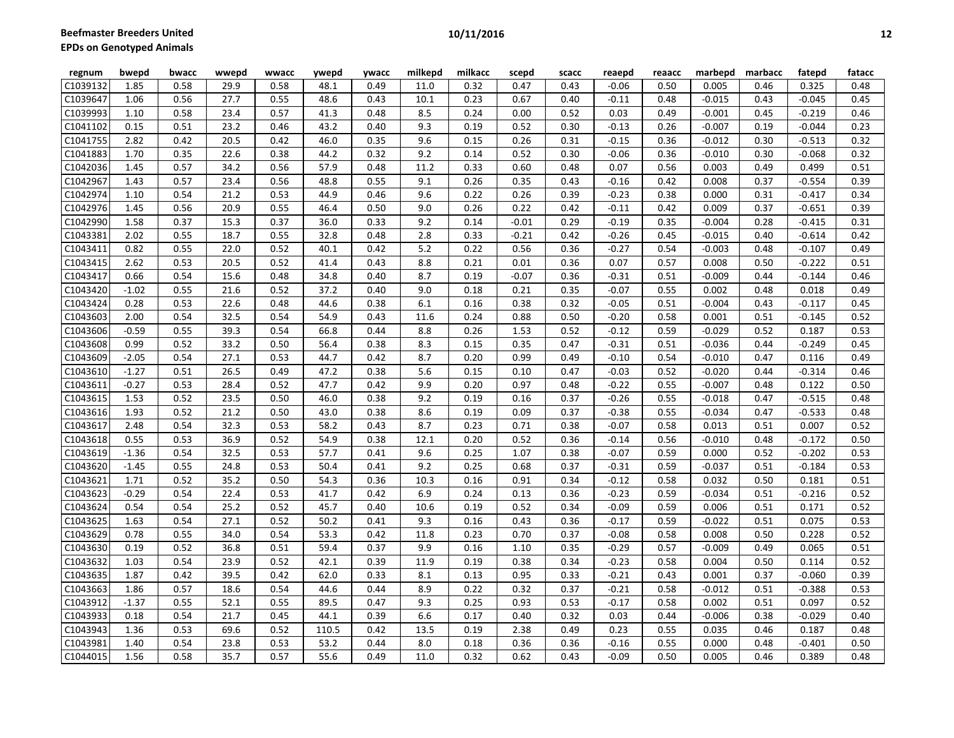| 1.85<br>0.49<br>11.0<br>0.32<br>0.47<br>0.43<br>0.48<br>0.58<br>29.9<br>0.58<br>48.1<br>$-0.06$<br>0.50<br>0.005<br>0.46<br>0.325<br>0.55<br>0.23<br>1.06<br>0.56<br>27.7<br>48.6<br>10.1<br>0.67<br>0.40<br>$-0.11$<br>0.48<br>$-0.015$<br>0.43<br>$-0.045$<br>0.45<br>0.43<br>0.24<br>$-0.001$<br>1.10<br>0.58<br>23.4<br>0.57<br>41.3<br>0.48<br>8.5<br>0.00<br>0.52<br>0.03<br>0.49<br>0.45<br>$-0.219$<br>0.46<br>0.15<br>0.51<br>23.2<br>0.46<br>43.2<br>0.40<br>9.3<br>0.19<br>0.52<br>0.30<br>$-0.13$<br>0.26<br>$-0.007$<br>0.19<br>$-0.044$<br>0.23<br>9.6<br>2.82<br>0.42<br>20.5<br>0.42<br>46.0<br>0.35<br>0.15<br>0.26<br>0.31<br>$-0.15$<br>0.36<br>$-0.012$<br>0.30<br>$-0.513$<br>0.32<br>0.35<br>0.38<br>0.32<br>9.2<br>0.52<br>0.30<br>$-0.010$<br>$-0.068$<br>1.70<br>22.6<br>44.2<br>0.14<br>$-0.06$<br>0.36<br>0.30<br>0.32<br>0.57<br>34.2<br>0.56<br>57.9<br>0.48<br>11.2<br>0.33<br>0.60<br>0.48<br>0.07<br>0.56<br>0.003<br>0.49<br>0.499<br>0.51<br>1.45<br>0.26<br>1.43<br>0.57<br>23.4<br>0.56<br>48.8<br>0.55<br>9.1<br>0.35<br>0.43<br>0.42<br>0.008<br>0.37<br>$-0.554$<br>0.39<br>$-0.16$<br>0.54<br>21.2<br>0.53<br>44.9<br>9.6<br>0.22<br>0.26<br>0.38<br>0.000<br>0.31<br>$-0.417$<br>0.34<br>1.10<br>0.46<br>0.39<br>$-0.23$<br>0.56<br>20.9<br>0.55<br>46.4<br>9.0<br>0.26<br>0.22<br>0.42<br>0.009<br>0.37<br>$-0.651$<br>0.39<br>1.45<br>0.50<br>$-0.11$<br>0.42<br>15.3<br>0.37<br>0.33<br>9.2<br>0.29<br>1.58<br>0.37<br>36.0<br>0.14<br>$-0.01$<br>$-0.19$<br>0.35<br>$-0.004$<br>0.28<br>$-0.415$<br>0.31<br>2.02<br>0.55<br>18.7<br>0.55<br>32.8<br>2.8<br>0.33<br>$-0.21$<br>$-0.015$<br>0.42<br>0.48<br>0.42<br>$-0.26$<br>0.45<br>0.40<br>$-0.614$<br>0.55<br>22.0<br>0.52<br>5.2<br>0.22<br>0.56<br>$-0.27$<br>$-0.003$<br>$-0.107$<br>0.82<br>40.1<br>0.42<br>0.36<br>0.54<br>0.48<br>0.49<br>2.62<br>0.53<br>20.5<br>0.52<br>8.8<br>0.21<br>0.01<br>0.07<br>0.57<br>0.008<br>0.50<br>$-0.222$<br>0.51<br>41.4<br>0.43<br>0.36<br>8.7<br>0.66<br>0.54<br>15.6<br>0.48<br>34.8<br>0.19<br>$-0.07$<br>0.36<br>0.51<br>$-0.009$<br>0.44<br>$-0.144$<br>0.46<br>0.40<br>$-0.31$<br>0.55<br>21.6<br>0.52<br>37.2<br>9.0<br>0.18<br>0.35<br>$-0.07$<br>0.55<br>0.002<br>0.018<br>0.49<br>$-1.02$<br>0.40<br>0.21<br>0.48<br>0.53<br>22.6<br>0.48<br>0.38<br>6.1<br>0.16<br>0.38<br>0.32<br>0.51<br>$-0.004$<br>0.43<br>$-0.117$<br>0.45<br>0.28<br>44.6<br>$-0.05$<br>0.54<br>32.5<br>0.54<br>54.9<br>0.43<br>11.6<br>0.24<br>0.88<br>0.50<br>0.58<br>0.001<br>0.51<br>$-0.145$<br>0.52<br>2.00<br>$-0.20$<br>0.55<br>39.3<br>0.54<br>66.8<br>8.8<br>0.26<br>1.53<br>0.59<br>$-0.029$<br>$-0.59$<br>0.44<br>0.52<br>$-0.12$<br>0.52<br>0.187<br>0.53<br>33.2<br>0.50<br>8.3<br>0.15<br>0.99<br>0.52<br>56.4<br>0.38<br>0.35<br>0.47<br>$-0.31$<br>0.51<br>$-0.036$<br>0.44<br>$-0.249$<br>0.45<br>27.1<br>0.53<br>8.7<br>0.20<br>$-0.010$<br>$-2.05$<br>0.54<br>44.7<br>0.42<br>0.99<br>0.49<br>$-0.10$<br>0.54<br>0.47<br>0.116<br>0.49<br>5.6<br>$-0.020$<br>$-1.27$<br>0.51<br>26.5<br>0.49<br>47.2<br>0.38<br>0.15<br>0.10<br>0.47<br>$-0.03$<br>0.52<br>0.44<br>$-0.314$<br>0.46<br>0.53<br>28.4<br>0.52<br>47.7<br>9.9<br>0.20<br>0.97<br>$-0.007$<br>0.122<br>$-0.27$<br>0.42<br>0.48<br>$-0.22$<br>0.55<br>0.48<br>0.50<br>0.52<br>23.5<br>0.50<br>9.2<br>0.19<br>$-0.018$<br>1.53<br>46.0<br>0.38<br>0.16<br>0.37<br>$-0.26$<br>0.55<br>0.47<br>$-0.515$<br>0.48<br>8.6<br>0.52<br>21.2<br>0.50<br>43.0<br>0.19<br>0.09<br>0.37<br>0.55<br>$-0.034$<br>$-0.533$<br>1.93<br>0.38<br>$-0.38$<br>0.47<br>0.48<br>8.7<br>0.54<br>32.3<br>0.53<br>58.2<br>0.23<br>0.71<br>0.38<br>$-0.07$<br>0.58<br>0.013<br>0.007<br>0.52<br>2.48<br>0.43<br>0.51<br>0.55<br>0.53<br>36.9<br>0.52<br>54.9<br>12.1<br>0.20<br>0.52<br>$-0.010$<br>0.50<br>0.38<br>0.36<br>$-0.14$<br>0.56<br>0.48<br>$-0.172$<br>0.54<br>32.5<br>0.53<br>9.6<br>0.25<br>1.07<br>0.38<br>0.000<br>0.52<br>$-0.202$<br>0.53<br>$-1.36$<br>57.7<br>0.41<br>$-0.07$<br>0.59<br>0.53<br>0.55<br>24.8<br>50.4<br>0.41<br>9.2<br>0.25<br>0.68<br>0.37<br>$-0.31$<br>0.59<br>$-0.037$<br>0.51<br>$-0.184$<br>0.53<br>$-1.45$<br>35.2<br>0.51<br>1.71<br>0.52<br>0.50<br>54.3<br>0.36<br>10.3<br>0.16<br>0.91<br>0.34<br>$-0.12$<br>0.58<br>0.032<br>0.50<br>0.181<br>0.53<br>6.9<br>0.24<br>0.52<br>$-0.29$<br>0.54<br>22.4<br>41.7<br>0.42<br>0.13<br>0.36<br>$-0.23$<br>0.59<br>$-0.034$<br>0.51<br>$-0.216$<br>0.54<br>0.52<br>10.6<br>0.52<br>0.59<br>0.54<br>25.2<br>45.7<br>0.19<br>0.34<br>$-0.09$<br>0.006<br>0.51<br>0.171<br>0.52<br>0.40<br>27.1<br>0.52<br>50.2<br>9.3<br>$-0.022$<br>1.63<br>0.54<br>0.41<br>0.16<br>0.43<br>0.36<br>$-0.17$<br>0.59<br>0.51<br>0.075<br>0.53<br>0.55<br>34.0<br>0.54<br>0.23<br>0.50<br>0.52<br>0.78<br>53.3<br>0.42<br>11.8<br>0.70<br>0.37<br>$-0.08$<br>0.58<br>0.008<br>0.228<br>0.52<br>36.8<br>0.51<br>59.4<br>9.9<br>0.51<br>0.19<br>0.37<br>0.16<br>1.10<br>0.35<br>$-0.29$<br>0.57<br>$-0.009$<br>0.49<br>0.065<br>0.54<br>0.52<br>42.1<br>11.9<br>0.19<br>0.38<br>0.004<br>0.50<br>0.52<br>1.03<br>23.9<br>0.39<br>0.34<br>$-0.23$<br>0.58<br>0.114<br>8.1<br>1.87<br>0.42<br>39.5<br>0.42<br>62.0<br>0.33<br>0.13<br>0.95<br>0.33<br>$-0.21$<br>0.43<br>0.001<br>0.37<br>$-0.060$<br>0.39<br>0.57<br>0.54<br>8.9<br>0.22<br>0.32<br>0.37<br>$-0.388$<br>1.86<br>18.6<br>44.6<br>0.44<br>$-0.21$<br>0.58<br>$-0.012$<br>0.51<br>0.53<br>$-1.37$<br>0.55<br>52.1<br>0.55<br>89.5<br>9.3<br>0.25<br>0.93<br>0.53<br>$-0.17$<br>0.58<br>0.002<br>0.51<br>0.097<br>0.52<br>0.47<br>21.7<br>6.6<br>0.17<br>0.18<br>0.54<br>0.45<br>44.1<br>0.39<br>0.40<br>0.32<br>0.44<br>$-0.006$<br>0.38<br>$-0.029$<br>0.40<br>0.03<br>1.36<br>0.53<br>69.6<br>0.52<br>0.42<br>13.5<br>0.19<br>2.38<br>0.49<br>0.23<br>0.55<br>0.035<br>0.46<br>0.48<br>110.5<br>0.187<br>0.53<br>C1043981<br>1.40<br>0.54<br>23.8<br>53.2<br>8.0<br>0.18<br>0.36<br>0.36<br>$-0.16$<br>0.55<br>0.000<br>0.48<br>$-0.401$<br>0.50<br>0.44 | regnum                | bwepd | bwacc | wwepd | wwacc | ywepd | <b>ywacc</b> | milkepd | milkacc | scepd | scacc | reaepd  | reaacc | marbepd | marbacc | fatepd | fatacc |
|---------------------------------------------------------------------------------------------------------------------------------------------------------------------------------------------------------------------------------------------------------------------------------------------------------------------------------------------------------------------------------------------------------------------------------------------------------------------------------------------------------------------------------------------------------------------------------------------------------------------------------------------------------------------------------------------------------------------------------------------------------------------------------------------------------------------------------------------------------------------------------------------------------------------------------------------------------------------------------------------------------------------------------------------------------------------------------------------------------------------------------------------------------------------------------------------------------------------------------------------------------------------------------------------------------------------------------------------------------------------------------------------------------------------------------------------------------------------------------------------------------------------------------------------------------------------------------------------------------------------------------------------------------------------------------------------------------------------------------------------------------------------------------------------------------------------------------------------------------------------------------------------------------------------------------------------------------------------------------------------------------------------------------------------------------------------------------------------------------------------------------------------------------------------------------------------------------------------------------------------------------------------------------------------------------------------------------------------------------------------------------------------------------------------------------------------------------------------------------------------------------------------------------------------------------------------------------------------------------------------------------------------------------------------------------------------------------------------------------------------------------------------------------------------------------------------------------------------------------------------------------------------------------------------------------------------------------------------------------------------------------------------------------------------------------------------------------------------------------------------------------------------------------------------------------------------------------------------------------------------------------------------------------------------------------------------------------------------------------------------------------------------------------------------------------------------------------------------------------------------------------------------------------------------------------------------------------------------------------------------------------------------------------------------------------------------------------------------------------------------------------------------------------------------------------------------------------------------------------------------------------------------------------------------------------------------------------------------------------------------------------------------------------------------------------------------------------------------------------------------------------------------------------------------------------------------------------------------------------------------------------------------------------------------------------------------------------------------------------------------------------------------------------------------------------------------------------------------------------------------------------------------------------------------------------------------------------------------------------------------------------------------------------------------------------------------------------------------------------------------------------------------------------------------------------------------------------------------------------------------------------------------------------------------------------------------------------------------------------------------------------------------------------------------------------------------------------------------------------------------------------------------------------------------------------------------------------------------------------------------------------------------------------------------------------------------------------------------------------------------------------------------------------------------------------------------------------------------------------------------------------------------------------------------------------------------------------------------------------------------------------------------------------------------------------------------------------------------------------------------------------------------------------------------------------------------------------------------------------------------------------------------------------------------------------------------------------------------------|-----------------------|-------|-------|-------|-------|-------|--------------|---------|---------|-------|-------|---------|--------|---------|---------|--------|--------|
|                                                                                                                                                                                                                                                                                                                                                                                                                                                                                                                                                                                                                                                                                                                                                                                                                                                                                                                                                                                                                                                                                                                                                                                                                                                                                                                                                                                                                                                                                                                                                                                                                                                                                                                                                                                                                                                                                                                                                                                                                                                                                                                                                                                                                                                                                                                                                                                                                                                                                                                                                                                                                                                                                                                                                                                                                                                                                                                                                                                                                                                                                                                                                                                                                                                                                                                                                                                                                                                                                                                                                                                                                                                                                                                                                                                                                                                                                                                                                                                                                                                                                                                                                                                                                                                                                                                                                                                                                                                                                                                                                                                                                                                                                                                                                                                                                                                                                                                                                                                                                                                                                                                                                                                                                                                                                                                                                                                                                                                                                                                                                                                                                                                                                                                                                                                                                                                                                                                                                                           | C1039132              |       |       |       |       |       |              |         |         |       |       |         |        |         |         |        |        |
|                                                                                                                                                                                                                                                                                                                                                                                                                                                                                                                                                                                                                                                                                                                                                                                                                                                                                                                                                                                                                                                                                                                                                                                                                                                                                                                                                                                                                                                                                                                                                                                                                                                                                                                                                                                                                                                                                                                                                                                                                                                                                                                                                                                                                                                                                                                                                                                                                                                                                                                                                                                                                                                                                                                                                                                                                                                                                                                                                                                                                                                                                                                                                                                                                                                                                                                                                                                                                                                                                                                                                                                                                                                                                                                                                                                                                                                                                                                                                                                                                                                                                                                                                                                                                                                                                                                                                                                                                                                                                                                                                                                                                                                                                                                                                                                                                                                                                                                                                                                                                                                                                                                                                                                                                                                                                                                                                                                                                                                                                                                                                                                                                                                                                                                                                                                                                                                                                                                                                                           | C1039647              |       |       |       |       |       |              |         |         |       |       |         |        |         |         |        |        |
|                                                                                                                                                                                                                                                                                                                                                                                                                                                                                                                                                                                                                                                                                                                                                                                                                                                                                                                                                                                                                                                                                                                                                                                                                                                                                                                                                                                                                                                                                                                                                                                                                                                                                                                                                                                                                                                                                                                                                                                                                                                                                                                                                                                                                                                                                                                                                                                                                                                                                                                                                                                                                                                                                                                                                                                                                                                                                                                                                                                                                                                                                                                                                                                                                                                                                                                                                                                                                                                                                                                                                                                                                                                                                                                                                                                                                                                                                                                                                                                                                                                                                                                                                                                                                                                                                                                                                                                                                                                                                                                                                                                                                                                                                                                                                                                                                                                                                                                                                                                                                                                                                                                                                                                                                                                                                                                                                                                                                                                                                                                                                                                                                                                                                                                                                                                                                                                                                                                                                                           | C1039993              |       |       |       |       |       |              |         |         |       |       |         |        |         |         |        |        |
|                                                                                                                                                                                                                                                                                                                                                                                                                                                                                                                                                                                                                                                                                                                                                                                                                                                                                                                                                                                                                                                                                                                                                                                                                                                                                                                                                                                                                                                                                                                                                                                                                                                                                                                                                                                                                                                                                                                                                                                                                                                                                                                                                                                                                                                                                                                                                                                                                                                                                                                                                                                                                                                                                                                                                                                                                                                                                                                                                                                                                                                                                                                                                                                                                                                                                                                                                                                                                                                                                                                                                                                                                                                                                                                                                                                                                                                                                                                                                                                                                                                                                                                                                                                                                                                                                                                                                                                                                                                                                                                                                                                                                                                                                                                                                                                                                                                                                                                                                                                                                                                                                                                                                                                                                                                                                                                                                                                                                                                                                                                                                                                                                                                                                                                                                                                                                                                                                                                                                                           | C1041102              |       |       |       |       |       |              |         |         |       |       |         |        |         |         |        |        |
|                                                                                                                                                                                                                                                                                                                                                                                                                                                                                                                                                                                                                                                                                                                                                                                                                                                                                                                                                                                                                                                                                                                                                                                                                                                                                                                                                                                                                                                                                                                                                                                                                                                                                                                                                                                                                                                                                                                                                                                                                                                                                                                                                                                                                                                                                                                                                                                                                                                                                                                                                                                                                                                                                                                                                                                                                                                                                                                                                                                                                                                                                                                                                                                                                                                                                                                                                                                                                                                                                                                                                                                                                                                                                                                                                                                                                                                                                                                                                                                                                                                                                                                                                                                                                                                                                                                                                                                                                                                                                                                                                                                                                                                                                                                                                                                                                                                                                                                                                                                                                                                                                                                                                                                                                                                                                                                                                                                                                                                                                                                                                                                                                                                                                                                                                                                                                                                                                                                                                                           | C1041755              |       |       |       |       |       |              |         |         |       |       |         |        |         |         |        |        |
|                                                                                                                                                                                                                                                                                                                                                                                                                                                                                                                                                                                                                                                                                                                                                                                                                                                                                                                                                                                                                                                                                                                                                                                                                                                                                                                                                                                                                                                                                                                                                                                                                                                                                                                                                                                                                                                                                                                                                                                                                                                                                                                                                                                                                                                                                                                                                                                                                                                                                                                                                                                                                                                                                                                                                                                                                                                                                                                                                                                                                                                                                                                                                                                                                                                                                                                                                                                                                                                                                                                                                                                                                                                                                                                                                                                                                                                                                                                                                                                                                                                                                                                                                                                                                                                                                                                                                                                                                                                                                                                                                                                                                                                                                                                                                                                                                                                                                                                                                                                                                                                                                                                                                                                                                                                                                                                                                                                                                                                                                                                                                                                                                                                                                                                                                                                                                                                                                                                                                                           | C1041883              |       |       |       |       |       |              |         |         |       |       |         |        |         |         |        |        |
|                                                                                                                                                                                                                                                                                                                                                                                                                                                                                                                                                                                                                                                                                                                                                                                                                                                                                                                                                                                                                                                                                                                                                                                                                                                                                                                                                                                                                                                                                                                                                                                                                                                                                                                                                                                                                                                                                                                                                                                                                                                                                                                                                                                                                                                                                                                                                                                                                                                                                                                                                                                                                                                                                                                                                                                                                                                                                                                                                                                                                                                                                                                                                                                                                                                                                                                                                                                                                                                                                                                                                                                                                                                                                                                                                                                                                                                                                                                                                                                                                                                                                                                                                                                                                                                                                                                                                                                                                                                                                                                                                                                                                                                                                                                                                                                                                                                                                                                                                                                                                                                                                                                                                                                                                                                                                                                                                                                                                                                                                                                                                                                                                                                                                                                                                                                                                                                                                                                                                                           | C1042036              |       |       |       |       |       |              |         |         |       |       |         |        |         |         |        |        |
|                                                                                                                                                                                                                                                                                                                                                                                                                                                                                                                                                                                                                                                                                                                                                                                                                                                                                                                                                                                                                                                                                                                                                                                                                                                                                                                                                                                                                                                                                                                                                                                                                                                                                                                                                                                                                                                                                                                                                                                                                                                                                                                                                                                                                                                                                                                                                                                                                                                                                                                                                                                                                                                                                                                                                                                                                                                                                                                                                                                                                                                                                                                                                                                                                                                                                                                                                                                                                                                                                                                                                                                                                                                                                                                                                                                                                                                                                                                                                                                                                                                                                                                                                                                                                                                                                                                                                                                                                                                                                                                                                                                                                                                                                                                                                                                                                                                                                                                                                                                                                                                                                                                                                                                                                                                                                                                                                                                                                                                                                                                                                                                                                                                                                                                                                                                                                                                                                                                                                                           | C1042967              |       |       |       |       |       |              |         |         |       |       |         |        |         |         |        |        |
|                                                                                                                                                                                                                                                                                                                                                                                                                                                                                                                                                                                                                                                                                                                                                                                                                                                                                                                                                                                                                                                                                                                                                                                                                                                                                                                                                                                                                                                                                                                                                                                                                                                                                                                                                                                                                                                                                                                                                                                                                                                                                                                                                                                                                                                                                                                                                                                                                                                                                                                                                                                                                                                                                                                                                                                                                                                                                                                                                                                                                                                                                                                                                                                                                                                                                                                                                                                                                                                                                                                                                                                                                                                                                                                                                                                                                                                                                                                                                                                                                                                                                                                                                                                                                                                                                                                                                                                                                                                                                                                                                                                                                                                                                                                                                                                                                                                                                                                                                                                                                                                                                                                                                                                                                                                                                                                                                                                                                                                                                                                                                                                                                                                                                                                                                                                                                                                                                                                                                                           | C1042974              |       |       |       |       |       |              |         |         |       |       |         |        |         |         |        |        |
|                                                                                                                                                                                                                                                                                                                                                                                                                                                                                                                                                                                                                                                                                                                                                                                                                                                                                                                                                                                                                                                                                                                                                                                                                                                                                                                                                                                                                                                                                                                                                                                                                                                                                                                                                                                                                                                                                                                                                                                                                                                                                                                                                                                                                                                                                                                                                                                                                                                                                                                                                                                                                                                                                                                                                                                                                                                                                                                                                                                                                                                                                                                                                                                                                                                                                                                                                                                                                                                                                                                                                                                                                                                                                                                                                                                                                                                                                                                                                                                                                                                                                                                                                                                                                                                                                                                                                                                                                                                                                                                                                                                                                                                                                                                                                                                                                                                                                                                                                                                                                                                                                                                                                                                                                                                                                                                                                                                                                                                                                                                                                                                                                                                                                                                                                                                                                                                                                                                                                                           | C1042976              |       |       |       |       |       |              |         |         |       |       |         |        |         |         |        |        |
|                                                                                                                                                                                                                                                                                                                                                                                                                                                                                                                                                                                                                                                                                                                                                                                                                                                                                                                                                                                                                                                                                                                                                                                                                                                                                                                                                                                                                                                                                                                                                                                                                                                                                                                                                                                                                                                                                                                                                                                                                                                                                                                                                                                                                                                                                                                                                                                                                                                                                                                                                                                                                                                                                                                                                                                                                                                                                                                                                                                                                                                                                                                                                                                                                                                                                                                                                                                                                                                                                                                                                                                                                                                                                                                                                                                                                                                                                                                                                                                                                                                                                                                                                                                                                                                                                                                                                                                                                                                                                                                                                                                                                                                                                                                                                                                                                                                                                                                                                                                                                                                                                                                                                                                                                                                                                                                                                                                                                                                                                                                                                                                                                                                                                                                                                                                                                                                                                                                                                                           | C1042990              |       |       |       |       |       |              |         |         |       |       |         |        |         |         |        |        |
|                                                                                                                                                                                                                                                                                                                                                                                                                                                                                                                                                                                                                                                                                                                                                                                                                                                                                                                                                                                                                                                                                                                                                                                                                                                                                                                                                                                                                                                                                                                                                                                                                                                                                                                                                                                                                                                                                                                                                                                                                                                                                                                                                                                                                                                                                                                                                                                                                                                                                                                                                                                                                                                                                                                                                                                                                                                                                                                                                                                                                                                                                                                                                                                                                                                                                                                                                                                                                                                                                                                                                                                                                                                                                                                                                                                                                                                                                                                                                                                                                                                                                                                                                                                                                                                                                                                                                                                                                                                                                                                                                                                                                                                                                                                                                                                                                                                                                                                                                                                                                                                                                                                                                                                                                                                                                                                                                                                                                                                                                                                                                                                                                                                                                                                                                                                                                                                                                                                                                                           | C1043381              |       |       |       |       |       |              |         |         |       |       |         |        |         |         |        |        |
|                                                                                                                                                                                                                                                                                                                                                                                                                                                                                                                                                                                                                                                                                                                                                                                                                                                                                                                                                                                                                                                                                                                                                                                                                                                                                                                                                                                                                                                                                                                                                                                                                                                                                                                                                                                                                                                                                                                                                                                                                                                                                                                                                                                                                                                                                                                                                                                                                                                                                                                                                                                                                                                                                                                                                                                                                                                                                                                                                                                                                                                                                                                                                                                                                                                                                                                                                                                                                                                                                                                                                                                                                                                                                                                                                                                                                                                                                                                                                                                                                                                                                                                                                                                                                                                                                                                                                                                                                                                                                                                                                                                                                                                                                                                                                                                                                                                                                                                                                                                                                                                                                                                                                                                                                                                                                                                                                                                                                                                                                                                                                                                                                                                                                                                                                                                                                                                                                                                                                                           | C1043411              |       |       |       |       |       |              |         |         |       |       |         |        |         |         |        |        |
|                                                                                                                                                                                                                                                                                                                                                                                                                                                                                                                                                                                                                                                                                                                                                                                                                                                                                                                                                                                                                                                                                                                                                                                                                                                                                                                                                                                                                                                                                                                                                                                                                                                                                                                                                                                                                                                                                                                                                                                                                                                                                                                                                                                                                                                                                                                                                                                                                                                                                                                                                                                                                                                                                                                                                                                                                                                                                                                                                                                                                                                                                                                                                                                                                                                                                                                                                                                                                                                                                                                                                                                                                                                                                                                                                                                                                                                                                                                                                                                                                                                                                                                                                                                                                                                                                                                                                                                                                                                                                                                                                                                                                                                                                                                                                                                                                                                                                                                                                                                                                                                                                                                                                                                                                                                                                                                                                                                                                                                                                                                                                                                                                                                                                                                                                                                                                                                                                                                                                                           | C1043415              |       |       |       |       |       |              |         |         |       |       |         |        |         |         |        |        |
|                                                                                                                                                                                                                                                                                                                                                                                                                                                                                                                                                                                                                                                                                                                                                                                                                                                                                                                                                                                                                                                                                                                                                                                                                                                                                                                                                                                                                                                                                                                                                                                                                                                                                                                                                                                                                                                                                                                                                                                                                                                                                                                                                                                                                                                                                                                                                                                                                                                                                                                                                                                                                                                                                                                                                                                                                                                                                                                                                                                                                                                                                                                                                                                                                                                                                                                                                                                                                                                                                                                                                                                                                                                                                                                                                                                                                                                                                                                                                                                                                                                                                                                                                                                                                                                                                                                                                                                                                                                                                                                                                                                                                                                                                                                                                                                                                                                                                                                                                                                                                                                                                                                                                                                                                                                                                                                                                                                                                                                                                                                                                                                                                                                                                                                                                                                                                                                                                                                                                                           | C1043417              |       |       |       |       |       |              |         |         |       |       |         |        |         |         |        |        |
|                                                                                                                                                                                                                                                                                                                                                                                                                                                                                                                                                                                                                                                                                                                                                                                                                                                                                                                                                                                                                                                                                                                                                                                                                                                                                                                                                                                                                                                                                                                                                                                                                                                                                                                                                                                                                                                                                                                                                                                                                                                                                                                                                                                                                                                                                                                                                                                                                                                                                                                                                                                                                                                                                                                                                                                                                                                                                                                                                                                                                                                                                                                                                                                                                                                                                                                                                                                                                                                                                                                                                                                                                                                                                                                                                                                                                                                                                                                                                                                                                                                                                                                                                                                                                                                                                                                                                                                                                                                                                                                                                                                                                                                                                                                                                                                                                                                                                                                                                                                                                                                                                                                                                                                                                                                                                                                                                                                                                                                                                                                                                                                                                                                                                                                                                                                                                                                                                                                                                                           | C1043420              |       |       |       |       |       |              |         |         |       |       |         |        |         |         |        |        |
|                                                                                                                                                                                                                                                                                                                                                                                                                                                                                                                                                                                                                                                                                                                                                                                                                                                                                                                                                                                                                                                                                                                                                                                                                                                                                                                                                                                                                                                                                                                                                                                                                                                                                                                                                                                                                                                                                                                                                                                                                                                                                                                                                                                                                                                                                                                                                                                                                                                                                                                                                                                                                                                                                                                                                                                                                                                                                                                                                                                                                                                                                                                                                                                                                                                                                                                                                                                                                                                                                                                                                                                                                                                                                                                                                                                                                                                                                                                                                                                                                                                                                                                                                                                                                                                                                                                                                                                                                                                                                                                                                                                                                                                                                                                                                                                                                                                                                                                                                                                                                                                                                                                                                                                                                                                                                                                                                                                                                                                                                                                                                                                                                                                                                                                                                                                                                                                                                                                                                                           | C1043424              |       |       |       |       |       |              |         |         |       |       |         |        |         |         |        |        |
|                                                                                                                                                                                                                                                                                                                                                                                                                                                                                                                                                                                                                                                                                                                                                                                                                                                                                                                                                                                                                                                                                                                                                                                                                                                                                                                                                                                                                                                                                                                                                                                                                                                                                                                                                                                                                                                                                                                                                                                                                                                                                                                                                                                                                                                                                                                                                                                                                                                                                                                                                                                                                                                                                                                                                                                                                                                                                                                                                                                                                                                                                                                                                                                                                                                                                                                                                                                                                                                                                                                                                                                                                                                                                                                                                                                                                                                                                                                                                                                                                                                                                                                                                                                                                                                                                                                                                                                                                                                                                                                                                                                                                                                                                                                                                                                                                                                                                                                                                                                                                                                                                                                                                                                                                                                                                                                                                                                                                                                                                                                                                                                                                                                                                                                                                                                                                                                                                                                                                                           | C1043603              |       |       |       |       |       |              |         |         |       |       |         |        |         |         |        |        |
|                                                                                                                                                                                                                                                                                                                                                                                                                                                                                                                                                                                                                                                                                                                                                                                                                                                                                                                                                                                                                                                                                                                                                                                                                                                                                                                                                                                                                                                                                                                                                                                                                                                                                                                                                                                                                                                                                                                                                                                                                                                                                                                                                                                                                                                                                                                                                                                                                                                                                                                                                                                                                                                                                                                                                                                                                                                                                                                                                                                                                                                                                                                                                                                                                                                                                                                                                                                                                                                                                                                                                                                                                                                                                                                                                                                                                                                                                                                                                                                                                                                                                                                                                                                                                                                                                                                                                                                                                                                                                                                                                                                                                                                                                                                                                                                                                                                                                                                                                                                                                                                                                                                                                                                                                                                                                                                                                                                                                                                                                                                                                                                                                                                                                                                                                                                                                                                                                                                                                                           | C1043606              |       |       |       |       |       |              |         |         |       |       |         |        |         |         |        |        |
|                                                                                                                                                                                                                                                                                                                                                                                                                                                                                                                                                                                                                                                                                                                                                                                                                                                                                                                                                                                                                                                                                                                                                                                                                                                                                                                                                                                                                                                                                                                                                                                                                                                                                                                                                                                                                                                                                                                                                                                                                                                                                                                                                                                                                                                                                                                                                                                                                                                                                                                                                                                                                                                                                                                                                                                                                                                                                                                                                                                                                                                                                                                                                                                                                                                                                                                                                                                                                                                                                                                                                                                                                                                                                                                                                                                                                                                                                                                                                                                                                                                                                                                                                                                                                                                                                                                                                                                                                                                                                                                                                                                                                                                                                                                                                                                                                                                                                                                                                                                                                                                                                                                                                                                                                                                                                                                                                                                                                                                                                                                                                                                                                                                                                                                                                                                                                                                                                                                                                                           | C1043608              |       |       |       |       |       |              |         |         |       |       |         |        |         |         |        |        |
|                                                                                                                                                                                                                                                                                                                                                                                                                                                                                                                                                                                                                                                                                                                                                                                                                                                                                                                                                                                                                                                                                                                                                                                                                                                                                                                                                                                                                                                                                                                                                                                                                                                                                                                                                                                                                                                                                                                                                                                                                                                                                                                                                                                                                                                                                                                                                                                                                                                                                                                                                                                                                                                                                                                                                                                                                                                                                                                                                                                                                                                                                                                                                                                                                                                                                                                                                                                                                                                                                                                                                                                                                                                                                                                                                                                                                                                                                                                                                                                                                                                                                                                                                                                                                                                                                                                                                                                                                                                                                                                                                                                                                                                                                                                                                                                                                                                                                                                                                                                                                                                                                                                                                                                                                                                                                                                                                                                                                                                                                                                                                                                                                                                                                                                                                                                                                                                                                                                                                                           | C1043609              |       |       |       |       |       |              |         |         |       |       |         |        |         |         |        |        |
|                                                                                                                                                                                                                                                                                                                                                                                                                                                                                                                                                                                                                                                                                                                                                                                                                                                                                                                                                                                                                                                                                                                                                                                                                                                                                                                                                                                                                                                                                                                                                                                                                                                                                                                                                                                                                                                                                                                                                                                                                                                                                                                                                                                                                                                                                                                                                                                                                                                                                                                                                                                                                                                                                                                                                                                                                                                                                                                                                                                                                                                                                                                                                                                                                                                                                                                                                                                                                                                                                                                                                                                                                                                                                                                                                                                                                                                                                                                                                                                                                                                                                                                                                                                                                                                                                                                                                                                                                                                                                                                                                                                                                                                                                                                                                                                                                                                                                                                                                                                                                                                                                                                                                                                                                                                                                                                                                                                                                                                                                                                                                                                                                                                                                                                                                                                                                                                                                                                                                                           | C1043610              |       |       |       |       |       |              |         |         |       |       |         |        |         |         |        |        |
|                                                                                                                                                                                                                                                                                                                                                                                                                                                                                                                                                                                                                                                                                                                                                                                                                                                                                                                                                                                                                                                                                                                                                                                                                                                                                                                                                                                                                                                                                                                                                                                                                                                                                                                                                                                                                                                                                                                                                                                                                                                                                                                                                                                                                                                                                                                                                                                                                                                                                                                                                                                                                                                                                                                                                                                                                                                                                                                                                                                                                                                                                                                                                                                                                                                                                                                                                                                                                                                                                                                                                                                                                                                                                                                                                                                                                                                                                                                                                                                                                                                                                                                                                                                                                                                                                                                                                                                                                                                                                                                                                                                                                                                                                                                                                                                                                                                                                                                                                                                                                                                                                                                                                                                                                                                                                                                                                                                                                                                                                                                                                                                                                                                                                                                                                                                                                                                                                                                                                                           | C1043611              |       |       |       |       |       |              |         |         |       |       |         |        |         |         |        |        |
|                                                                                                                                                                                                                                                                                                                                                                                                                                                                                                                                                                                                                                                                                                                                                                                                                                                                                                                                                                                                                                                                                                                                                                                                                                                                                                                                                                                                                                                                                                                                                                                                                                                                                                                                                                                                                                                                                                                                                                                                                                                                                                                                                                                                                                                                                                                                                                                                                                                                                                                                                                                                                                                                                                                                                                                                                                                                                                                                                                                                                                                                                                                                                                                                                                                                                                                                                                                                                                                                                                                                                                                                                                                                                                                                                                                                                                                                                                                                                                                                                                                                                                                                                                                                                                                                                                                                                                                                                                                                                                                                                                                                                                                                                                                                                                                                                                                                                                                                                                                                                                                                                                                                                                                                                                                                                                                                                                                                                                                                                                                                                                                                                                                                                                                                                                                                                                                                                                                                                                           | C1043615              |       |       |       |       |       |              |         |         |       |       |         |        |         |         |        |        |
|                                                                                                                                                                                                                                                                                                                                                                                                                                                                                                                                                                                                                                                                                                                                                                                                                                                                                                                                                                                                                                                                                                                                                                                                                                                                                                                                                                                                                                                                                                                                                                                                                                                                                                                                                                                                                                                                                                                                                                                                                                                                                                                                                                                                                                                                                                                                                                                                                                                                                                                                                                                                                                                                                                                                                                                                                                                                                                                                                                                                                                                                                                                                                                                                                                                                                                                                                                                                                                                                                                                                                                                                                                                                                                                                                                                                                                                                                                                                                                                                                                                                                                                                                                                                                                                                                                                                                                                                                                                                                                                                                                                                                                                                                                                                                                                                                                                                                                                                                                                                                                                                                                                                                                                                                                                                                                                                                                                                                                                                                                                                                                                                                                                                                                                                                                                                                                                                                                                                                                           | C1043616              |       |       |       |       |       |              |         |         |       |       |         |        |         |         |        |        |
|                                                                                                                                                                                                                                                                                                                                                                                                                                                                                                                                                                                                                                                                                                                                                                                                                                                                                                                                                                                                                                                                                                                                                                                                                                                                                                                                                                                                                                                                                                                                                                                                                                                                                                                                                                                                                                                                                                                                                                                                                                                                                                                                                                                                                                                                                                                                                                                                                                                                                                                                                                                                                                                                                                                                                                                                                                                                                                                                                                                                                                                                                                                                                                                                                                                                                                                                                                                                                                                                                                                                                                                                                                                                                                                                                                                                                                                                                                                                                                                                                                                                                                                                                                                                                                                                                                                                                                                                                                                                                                                                                                                                                                                                                                                                                                                                                                                                                                                                                                                                                                                                                                                                                                                                                                                                                                                                                                                                                                                                                                                                                                                                                                                                                                                                                                                                                                                                                                                                                                           | C1043617              |       |       |       |       |       |              |         |         |       |       |         |        |         |         |        |        |
|                                                                                                                                                                                                                                                                                                                                                                                                                                                                                                                                                                                                                                                                                                                                                                                                                                                                                                                                                                                                                                                                                                                                                                                                                                                                                                                                                                                                                                                                                                                                                                                                                                                                                                                                                                                                                                                                                                                                                                                                                                                                                                                                                                                                                                                                                                                                                                                                                                                                                                                                                                                                                                                                                                                                                                                                                                                                                                                                                                                                                                                                                                                                                                                                                                                                                                                                                                                                                                                                                                                                                                                                                                                                                                                                                                                                                                                                                                                                                                                                                                                                                                                                                                                                                                                                                                                                                                                                                                                                                                                                                                                                                                                                                                                                                                                                                                                                                                                                                                                                                                                                                                                                                                                                                                                                                                                                                                                                                                                                                                                                                                                                                                                                                                                                                                                                                                                                                                                                                                           | C1043618              |       |       |       |       |       |              |         |         |       |       |         |        |         |         |        |        |
|                                                                                                                                                                                                                                                                                                                                                                                                                                                                                                                                                                                                                                                                                                                                                                                                                                                                                                                                                                                                                                                                                                                                                                                                                                                                                                                                                                                                                                                                                                                                                                                                                                                                                                                                                                                                                                                                                                                                                                                                                                                                                                                                                                                                                                                                                                                                                                                                                                                                                                                                                                                                                                                                                                                                                                                                                                                                                                                                                                                                                                                                                                                                                                                                                                                                                                                                                                                                                                                                                                                                                                                                                                                                                                                                                                                                                                                                                                                                                                                                                                                                                                                                                                                                                                                                                                                                                                                                                                                                                                                                                                                                                                                                                                                                                                                                                                                                                                                                                                                                                                                                                                                                                                                                                                                                                                                                                                                                                                                                                                                                                                                                                                                                                                                                                                                                                                                                                                                                                                           | C1043619              |       |       |       |       |       |              |         |         |       |       |         |        |         |         |        |        |
|                                                                                                                                                                                                                                                                                                                                                                                                                                                                                                                                                                                                                                                                                                                                                                                                                                                                                                                                                                                                                                                                                                                                                                                                                                                                                                                                                                                                                                                                                                                                                                                                                                                                                                                                                                                                                                                                                                                                                                                                                                                                                                                                                                                                                                                                                                                                                                                                                                                                                                                                                                                                                                                                                                                                                                                                                                                                                                                                                                                                                                                                                                                                                                                                                                                                                                                                                                                                                                                                                                                                                                                                                                                                                                                                                                                                                                                                                                                                                                                                                                                                                                                                                                                                                                                                                                                                                                                                                                                                                                                                                                                                                                                                                                                                                                                                                                                                                                                                                                                                                                                                                                                                                                                                                                                                                                                                                                                                                                                                                                                                                                                                                                                                                                                                                                                                                                                                                                                                                                           | C1043620              |       |       |       |       |       |              |         |         |       |       |         |        |         |         |        |        |
|                                                                                                                                                                                                                                                                                                                                                                                                                                                                                                                                                                                                                                                                                                                                                                                                                                                                                                                                                                                                                                                                                                                                                                                                                                                                                                                                                                                                                                                                                                                                                                                                                                                                                                                                                                                                                                                                                                                                                                                                                                                                                                                                                                                                                                                                                                                                                                                                                                                                                                                                                                                                                                                                                                                                                                                                                                                                                                                                                                                                                                                                                                                                                                                                                                                                                                                                                                                                                                                                                                                                                                                                                                                                                                                                                                                                                                                                                                                                                                                                                                                                                                                                                                                                                                                                                                                                                                                                                                                                                                                                                                                                                                                                                                                                                                                                                                                                                                                                                                                                                                                                                                                                                                                                                                                                                                                                                                                                                                                                                                                                                                                                                                                                                                                                                                                                                                                                                                                                                                           | $\overline{C1043621}$ |       |       |       |       |       |              |         |         |       |       |         |        |         |         |        |        |
|                                                                                                                                                                                                                                                                                                                                                                                                                                                                                                                                                                                                                                                                                                                                                                                                                                                                                                                                                                                                                                                                                                                                                                                                                                                                                                                                                                                                                                                                                                                                                                                                                                                                                                                                                                                                                                                                                                                                                                                                                                                                                                                                                                                                                                                                                                                                                                                                                                                                                                                                                                                                                                                                                                                                                                                                                                                                                                                                                                                                                                                                                                                                                                                                                                                                                                                                                                                                                                                                                                                                                                                                                                                                                                                                                                                                                                                                                                                                                                                                                                                                                                                                                                                                                                                                                                                                                                                                                                                                                                                                                                                                                                                                                                                                                                                                                                                                                                                                                                                                                                                                                                                                                                                                                                                                                                                                                                                                                                                                                                                                                                                                                                                                                                                                                                                                                                                                                                                                                                           | C1043623              |       |       |       |       |       |              |         |         |       |       |         |        |         |         |        |        |
|                                                                                                                                                                                                                                                                                                                                                                                                                                                                                                                                                                                                                                                                                                                                                                                                                                                                                                                                                                                                                                                                                                                                                                                                                                                                                                                                                                                                                                                                                                                                                                                                                                                                                                                                                                                                                                                                                                                                                                                                                                                                                                                                                                                                                                                                                                                                                                                                                                                                                                                                                                                                                                                                                                                                                                                                                                                                                                                                                                                                                                                                                                                                                                                                                                                                                                                                                                                                                                                                                                                                                                                                                                                                                                                                                                                                                                                                                                                                                                                                                                                                                                                                                                                                                                                                                                                                                                                                                                                                                                                                                                                                                                                                                                                                                                                                                                                                                                                                                                                                                                                                                                                                                                                                                                                                                                                                                                                                                                                                                                                                                                                                                                                                                                                                                                                                                                                                                                                                                                           | C1043624              |       |       |       |       |       |              |         |         |       |       |         |        |         |         |        |        |
|                                                                                                                                                                                                                                                                                                                                                                                                                                                                                                                                                                                                                                                                                                                                                                                                                                                                                                                                                                                                                                                                                                                                                                                                                                                                                                                                                                                                                                                                                                                                                                                                                                                                                                                                                                                                                                                                                                                                                                                                                                                                                                                                                                                                                                                                                                                                                                                                                                                                                                                                                                                                                                                                                                                                                                                                                                                                                                                                                                                                                                                                                                                                                                                                                                                                                                                                                                                                                                                                                                                                                                                                                                                                                                                                                                                                                                                                                                                                                                                                                                                                                                                                                                                                                                                                                                                                                                                                                                                                                                                                                                                                                                                                                                                                                                                                                                                                                                                                                                                                                                                                                                                                                                                                                                                                                                                                                                                                                                                                                                                                                                                                                                                                                                                                                                                                                                                                                                                                                                           | C1043625              |       |       |       |       |       |              |         |         |       |       |         |        |         |         |        |        |
|                                                                                                                                                                                                                                                                                                                                                                                                                                                                                                                                                                                                                                                                                                                                                                                                                                                                                                                                                                                                                                                                                                                                                                                                                                                                                                                                                                                                                                                                                                                                                                                                                                                                                                                                                                                                                                                                                                                                                                                                                                                                                                                                                                                                                                                                                                                                                                                                                                                                                                                                                                                                                                                                                                                                                                                                                                                                                                                                                                                                                                                                                                                                                                                                                                                                                                                                                                                                                                                                                                                                                                                                                                                                                                                                                                                                                                                                                                                                                                                                                                                                                                                                                                                                                                                                                                                                                                                                                                                                                                                                                                                                                                                                                                                                                                                                                                                                                                                                                                                                                                                                                                                                                                                                                                                                                                                                                                                                                                                                                                                                                                                                                                                                                                                                                                                                                                                                                                                                                                           | C1043629              |       |       |       |       |       |              |         |         |       |       |         |        |         |         |        |        |
|                                                                                                                                                                                                                                                                                                                                                                                                                                                                                                                                                                                                                                                                                                                                                                                                                                                                                                                                                                                                                                                                                                                                                                                                                                                                                                                                                                                                                                                                                                                                                                                                                                                                                                                                                                                                                                                                                                                                                                                                                                                                                                                                                                                                                                                                                                                                                                                                                                                                                                                                                                                                                                                                                                                                                                                                                                                                                                                                                                                                                                                                                                                                                                                                                                                                                                                                                                                                                                                                                                                                                                                                                                                                                                                                                                                                                                                                                                                                                                                                                                                                                                                                                                                                                                                                                                                                                                                                                                                                                                                                                                                                                                                                                                                                                                                                                                                                                                                                                                                                                                                                                                                                                                                                                                                                                                                                                                                                                                                                                                                                                                                                                                                                                                                                                                                                                                                                                                                                                                           | C1043630              |       |       |       |       |       |              |         |         |       |       |         |        |         |         |        |        |
|                                                                                                                                                                                                                                                                                                                                                                                                                                                                                                                                                                                                                                                                                                                                                                                                                                                                                                                                                                                                                                                                                                                                                                                                                                                                                                                                                                                                                                                                                                                                                                                                                                                                                                                                                                                                                                                                                                                                                                                                                                                                                                                                                                                                                                                                                                                                                                                                                                                                                                                                                                                                                                                                                                                                                                                                                                                                                                                                                                                                                                                                                                                                                                                                                                                                                                                                                                                                                                                                                                                                                                                                                                                                                                                                                                                                                                                                                                                                                                                                                                                                                                                                                                                                                                                                                                                                                                                                                                                                                                                                                                                                                                                                                                                                                                                                                                                                                                                                                                                                                                                                                                                                                                                                                                                                                                                                                                                                                                                                                                                                                                                                                                                                                                                                                                                                                                                                                                                                                                           | C1043632              |       |       |       |       |       |              |         |         |       |       |         |        |         |         |        |        |
|                                                                                                                                                                                                                                                                                                                                                                                                                                                                                                                                                                                                                                                                                                                                                                                                                                                                                                                                                                                                                                                                                                                                                                                                                                                                                                                                                                                                                                                                                                                                                                                                                                                                                                                                                                                                                                                                                                                                                                                                                                                                                                                                                                                                                                                                                                                                                                                                                                                                                                                                                                                                                                                                                                                                                                                                                                                                                                                                                                                                                                                                                                                                                                                                                                                                                                                                                                                                                                                                                                                                                                                                                                                                                                                                                                                                                                                                                                                                                                                                                                                                                                                                                                                                                                                                                                                                                                                                                                                                                                                                                                                                                                                                                                                                                                                                                                                                                                                                                                                                                                                                                                                                                                                                                                                                                                                                                                                                                                                                                                                                                                                                                                                                                                                                                                                                                                                                                                                                                                           | C1043635              |       |       |       |       |       |              |         |         |       |       |         |        |         |         |        |        |
|                                                                                                                                                                                                                                                                                                                                                                                                                                                                                                                                                                                                                                                                                                                                                                                                                                                                                                                                                                                                                                                                                                                                                                                                                                                                                                                                                                                                                                                                                                                                                                                                                                                                                                                                                                                                                                                                                                                                                                                                                                                                                                                                                                                                                                                                                                                                                                                                                                                                                                                                                                                                                                                                                                                                                                                                                                                                                                                                                                                                                                                                                                                                                                                                                                                                                                                                                                                                                                                                                                                                                                                                                                                                                                                                                                                                                                                                                                                                                                                                                                                                                                                                                                                                                                                                                                                                                                                                                                                                                                                                                                                                                                                                                                                                                                                                                                                                                                                                                                                                                                                                                                                                                                                                                                                                                                                                                                                                                                                                                                                                                                                                                                                                                                                                                                                                                                                                                                                                                                           | C1043663              |       |       |       |       |       |              |         |         |       |       |         |        |         |         |        |        |
|                                                                                                                                                                                                                                                                                                                                                                                                                                                                                                                                                                                                                                                                                                                                                                                                                                                                                                                                                                                                                                                                                                                                                                                                                                                                                                                                                                                                                                                                                                                                                                                                                                                                                                                                                                                                                                                                                                                                                                                                                                                                                                                                                                                                                                                                                                                                                                                                                                                                                                                                                                                                                                                                                                                                                                                                                                                                                                                                                                                                                                                                                                                                                                                                                                                                                                                                                                                                                                                                                                                                                                                                                                                                                                                                                                                                                                                                                                                                                                                                                                                                                                                                                                                                                                                                                                                                                                                                                                                                                                                                                                                                                                                                                                                                                                                                                                                                                                                                                                                                                                                                                                                                                                                                                                                                                                                                                                                                                                                                                                                                                                                                                                                                                                                                                                                                                                                                                                                                                                           | C1043912              |       |       |       |       |       |              |         |         |       |       |         |        |         |         |        |        |
|                                                                                                                                                                                                                                                                                                                                                                                                                                                                                                                                                                                                                                                                                                                                                                                                                                                                                                                                                                                                                                                                                                                                                                                                                                                                                                                                                                                                                                                                                                                                                                                                                                                                                                                                                                                                                                                                                                                                                                                                                                                                                                                                                                                                                                                                                                                                                                                                                                                                                                                                                                                                                                                                                                                                                                                                                                                                                                                                                                                                                                                                                                                                                                                                                                                                                                                                                                                                                                                                                                                                                                                                                                                                                                                                                                                                                                                                                                                                                                                                                                                                                                                                                                                                                                                                                                                                                                                                                                                                                                                                                                                                                                                                                                                                                                                                                                                                                                                                                                                                                                                                                                                                                                                                                                                                                                                                                                                                                                                                                                                                                                                                                                                                                                                                                                                                                                                                                                                                                                           | C1043933              |       |       |       |       |       |              |         |         |       |       |         |        |         |         |        |        |
|                                                                                                                                                                                                                                                                                                                                                                                                                                                                                                                                                                                                                                                                                                                                                                                                                                                                                                                                                                                                                                                                                                                                                                                                                                                                                                                                                                                                                                                                                                                                                                                                                                                                                                                                                                                                                                                                                                                                                                                                                                                                                                                                                                                                                                                                                                                                                                                                                                                                                                                                                                                                                                                                                                                                                                                                                                                                                                                                                                                                                                                                                                                                                                                                                                                                                                                                                                                                                                                                                                                                                                                                                                                                                                                                                                                                                                                                                                                                                                                                                                                                                                                                                                                                                                                                                                                                                                                                                                                                                                                                                                                                                                                                                                                                                                                                                                                                                                                                                                                                                                                                                                                                                                                                                                                                                                                                                                                                                                                                                                                                                                                                                                                                                                                                                                                                                                                                                                                                                                           | C1043943              |       |       |       |       |       |              |         |         |       |       |         |        |         |         |        |        |
|                                                                                                                                                                                                                                                                                                                                                                                                                                                                                                                                                                                                                                                                                                                                                                                                                                                                                                                                                                                                                                                                                                                                                                                                                                                                                                                                                                                                                                                                                                                                                                                                                                                                                                                                                                                                                                                                                                                                                                                                                                                                                                                                                                                                                                                                                                                                                                                                                                                                                                                                                                                                                                                                                                                                                                                                                                                                                                                                                                                                                                                                                                                                                                                                                                                                                                                                                                                                                                                                                                                                                                                                                                                                                                                                                                                                                                                                                                                                                                                                                                                                                                                                                                                                                                                                                                                                                                                                                                                                                                                                                                                                                                                                                                                                                                                                                                                                                                                                                                                                                                                                                                                                                                                                                                                                                                                                                                                                                                                                                                                                                                                                                                                                                                                                                                                                                                                                                                                                                                           |                       |       |       |       |       |       |              |         |         |       |       |         |        |         |         |        |        |
|                                                                                                                                                                                                                                                                                                                                                                                                                                                                                                                                                                                                                                                                                                                                                                                                                                                                                                                                                                                                                                                                                                                                                                                                                                                                                                                                                                                                                                                                                                                                                                                                                                                                                                                                                                                                                                                                                                                                                                                                                                                                                                                                                                                                                                                                                                                                                                                                                                                                                                                                                                                                                                                                                                                                                                                                                                                                                                                                                                                                                                                                                                                                                                                                                                                                                                                                                                                                                                                                                                                                                                                                                                                                                                                                                                                                                                                                                                                                                                                                                                                                                                                                                                                                                                                                                                                                                                                                                                                                                                                                                                                                                                                                                                                                                                                                                                                                                                                                                                                                                                                                                                                                                                                                                                                                                                                                                                                                                                                                                                                                                                                                                                                                                                                                                                                                                                                                                                                                                                           | C1044015              | 1.56  | 0.58  | 35.7  | 0.57  | 55.6  | 0.49         | 11.0    | 0.32    | 0.62  | 0.43  | $-0.09$ | 0.50   | 0.005   | 0.46    | 0.389  | 0.48   |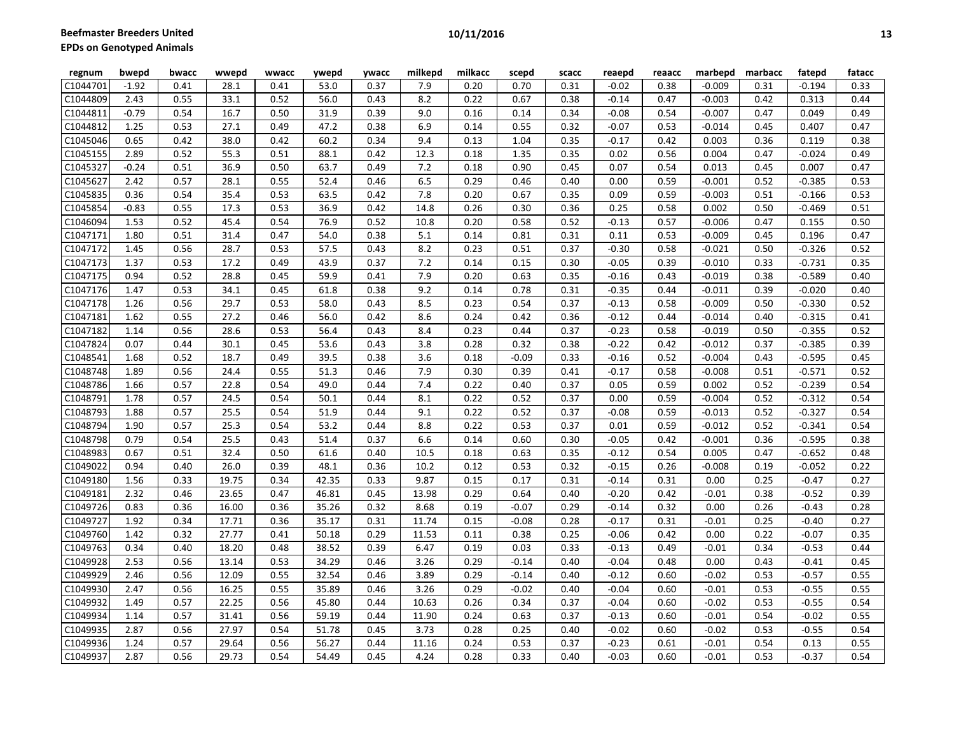| Beefmaster Breeders United |         |       |       |       |       |       |         | 10/11/2016 |       |       |         |        |          |         |          | 13     |  |
|----------------------------|---------|-------|-------|-------|-------|-------|---------|------------|-------|-------|---------|--------|----------|---------|----------|--------|--|
| PDs on Genotyped Animals   |         |       |       |       |       |       |         |            |       |       |         |        |          |         |          |        |  |
| regnum                     | bwepd   | bwacc | wwepd | wwacc | ywepd | ywacc | milkepd | milkacc    | scepd | scacc | reaepd  | reaacc | marbepd  | marbacc | fatepd   | fatacc |  |
| C1044701                   | $-1.92$ | 0.41  | 28.1  | 0.41  | 53.0  | 0.37  | 7.9     | 0.20       | 0.70  | 0.31  | $-0.02$ | 0.38   | $-0.009$ | 0.31    | $-0.194$ | 0.33   |  |
| C1044809                   | 2.43    | 0.55  | 33.1  | 0.52  | 56.0  | 0.43  | 8.2     | 0.22       | 0.67  | 0.38  | $-0.14$ | 0.47   | $-0.003$ | 0.42    | 0.313    | 0.44   |  |
| C1044811                   | $-0.79$ | 0.54  | 16.7  | 0.50  | 31.9  | 0.39  | 9.0     | 0.16       | 0.14  | 0.34  | $-0.08$ | 0.54   | $-0.007$ | 0.47    | 0.049    | 0.49   |  |
| C1044812                   | 1.25    | 0.53  | 27.1  | 0.49  | 47.2  | 0.38  | 6.9     | 0.14       | 0.55  | 0.32  | $-0.07$ | 0.53   | $-0.014$ | 0.45    | 0.407    | 0.47   |  |
| C1045046                   | 0.65    | 0.42  | 38.0  | 0.42  | 60.2  | 0.34  | 9.4     | 0.13       | 1.04  | 0.35  | $-0.17$ | 0.42   | 0.003    | 0.36    | 0.119    | 0.38   |  |
| C1045155                   | 2.89    | 0.52  | 55.3  | 0.51  | 88.1  | 0.42  | 12.3    | 0.18       | 1.35  | 0.35  | 0.02    | 0.56   | 0.004    | 0.47    | $-0.024$ | 0.49   |  |
| C1045327                   | $-0.24$ | 0.51  | 36.9  | 0.50  | 63.7  | 0.49  | 7.2     | 0.18       | 0.90  | 0.45  | 0.07    | 0.54   | 0.013    | 0.45    | 0.007    | 0.47   |  |
| C1045627                   | 2.42    | 0.57  | 28.1  | 0.55  | 52.4  | 0.46  | 6.5     | 0.29       | 0.46  | 0.40  | 0.00    | 0.59   | $-0.001$ | 0.52    | $-0.385$ | 0.53   |  |
| C1045835                   | 0.36    | 0.54  | 35.4  | 0.53  | 63.5  | 0.42  | 7.8     | 0.20       | 0.67  | 0.35  | 0.09    | 0.59   | $-0.003$ | 0.51    | $-0.166$ | 0.53   |  |
| C1045854                   | $-0.83$ | 0.55  | 17.3  | 0.53  | 36.9  | 0.42  | 14.8    | 0.26       | 0.30  | 0.36  | 0.25    | 0.58   | 0.002    | 0.50    | $-0.469$ | 0.51   |  |
| C1046094                   | 1.53    | 0.52  | 45.4  | 0.54  | 76.9  | 0.52  | 10.8    | 0.20       | 0.58  | 0.52  | $-0.13$ | 0.57   | $-0.006$ | 0.47    | 0.155    | 0.50   |  |
| C1047171                   | 1.80    | 0.51  | 31.4  | 0.47  | 54.0  | 0.38  | 5.1     | 0.14       | 0.81  | 0.31  | 0.11    | 0.53   | $-0.009$ | 0.45    | 0.196    | 0.47   |  |
| C1047172                   | 1.45    | 0.56  | 28.7  | 0.53  | 57.5  | 0.43  | 8.2     | 0.23       | 0.51  | 0.37  | $-0.30$ | 0.58   | $-0.021$ | 0.50    | $-0.326$ | 0.52   |  |
| C1047173                   | 1.37    | 0.53  | 17.2  | 0.49  | 43.9  | 0.37  | 7.2     | 0.14       | 0.15  | 0.30  | $-0.05$ | 0.39   | $-0.010$ | 0.33    | $-0.731$ | 0.35   |  |
| C1047175                   | 0.94    | 0.52  | 28.8  | 0.45  | 59.9  | 0.41  | 7.9     | 0.20       | 0.63  | 0.35  | $-0.16$ | 0.43   | $-0.019$ | 0.38    | $-0.589$ | 0.40   |  |
| C1047176                   | 1.47    | 0.53  | 34.1  | 0.45  | 61.8  | 0.38  | 9.2     | 0.14       | 0.78  | 0.31  | $-0.35$ | 0.44   | $-0.011$ | 0.39    | $-0.020$ | 0.40   |  |
| C1047178                   | 1.26    | 0.56  | 29.7  | 0.53  | 58.0  | 0.43  | 8.5     | 0.23       | 0.54  | 0.37  | $-0.13$ | 0.58   | $-0.009$ | 0.50    | $-0.330$ | 0.52   |  |

C1047181| 1.62 | 0.55 | 27.2 | 0.46 | 56.0 | 0.42 | 8.6 | 0.24 | 0.42 | 0.36 | -0.12 | 0.44 | -0.014 | 0.40 | -0.315 | 0.41 C1047182| 1.14 | 0.56 | 28.6 | 0.53 | 56.4 | 0.43 | 8.4 | 0.23 | 0.44 | 0.37 | -0.23 | 0.58 | -0.019 | 0.50 | -0.355 | 0.52 C1047824| 0.07 | 0.44 | 30.1 | 0.45 | 53.6 | 0.43 | 3.8 | 0.28 | 0.32 | 0.38 | -0.22 | 0.42 | -0.012 | 0.37 | -0.385 | 0.39 C1048541| 1.68 | 0.52 | 18.7 | 0.49 | 39.5 | 0.38 | 3.6 | 0.18 | -0.09 | 0.33 | -0.16 | 0.52 | -0.004 | 0.43 | -0.595 | 0.45 C1048748| 1.89 | 0.56 | 24.4 | 0.55 | 51.3 | 0.46 | 7.9 | 0.30 | 0.39 | 0.41 | -0.17 | 0.58 | -0.008 | 0.51 | -0.571 | 0.52 C1048786| 1.66 | 0.57 | 22.8 | 0.54 | 49.0 | 0.44 | 7.4 | 0.22 | 0.40 | 0.37 | 0.05 | 0.59 | 0.002 | 0.52 | -0.239 | 0.54 C1048791| 1.78 | 0.57 | 24.5 | 0.54 | 50.1 | 0.44 | 8.1 | 0.22 | 0.52 | 0.37 | 0.00 | 0.59 |-0.004 | 0.52 | -0.312 | 0.54 C1048793| 1.88 | 0.57 | 25.5 | 0.54 | 51.9 | 0.44 | 9.1 | 0.22 | 0.52 | 0.37 | -0.08 | 0.59 |-0.013 | 0.52 | -0.327 | 0.54 C1048794| 1.90 | 0.57 | 25.3 | 0.54 | 53.2 | 0.44 | 8.8 | 0.22 | 0.53 | 0.37 | 0.01 | 0.59 |-0.012 | 0.52 |-0.341 | 0.54 C1048798| 0.79 | 0.54 | 25.5 | 0.43 | 51.4 | 0.37 | 6.6 | 0.14 | 0.60 | 0.30 | -0.05 | 0.42 | -0.001 | 0.36 | -0.595 | 0.38 C1048983| 0.67 | 0.51 | 32.4 | 0.50 | 61.6 | 0.40 | 10.5 | 0.18 | 0.63 | 0.35 | -0.12 | 0.54 | 0.005 | 0.47 | -0.652 | 0.48 C1049022| 0.94 | 0.40 | 26.0 | 0.39 | 48.1 | 0.36 | 10.2 | 0.12 | 0.53 | 0.32 | -0.15 | 0.26 | -0.008 | 0.19 | -0.052 | 0.22 C1049180| 1.56 | 0.33 | 19.75 | 0.34 | 42.35 | 0.33 | 9.87 | 0.15 | 0.17 | 0.31 | -0.14 | 0.31 | 0.00 | 0.25 | -0.47 | 0.27 C1049181| 2.32 | 0.46 | 23.65 | 0.47 | 46.81 | 0.45 | 13.98 | 0.29 | 0.64 | 0.40 | -0.20 | 0.42 | -0.01 | 0.38 | -0.52 | 0.39 C1049726| 0.83 | 0.36 | 16.00 | 0.36 | 35.26 | 0.32 | 8.68 | 0.19 | -0.07 | 0.29 | -0.14 | 0.32 | 0.00 | 0.26 | -0.43 | 0.28 C1049727| 1.92 | 0.34 | 17.71 | 0.36 | 35.17 | 0.31 | 11.74 | 0.15 | -0.08 | 0.28 | -0.17 | 0.31 | -0.01 | 0.25 | -0.40 | 0.27 C1049760| 1.42 | 0.32 | 27.77 | 0.41 | 50.18 | 0.29 | 11.53 | 0.11 | 0.38 | 0.25 | -0.06 | 0.42 | 0.00 | 0.22 | -0.07 | 0.35 C1049763| 0.34 | 0.40 | 18.20 | 0.48 | 38.52 | 0.39 | 6.47 | 0.19 | 0.03 | 0.33 | -0.13 | 0.49 | -0.01 | 0.34 | -0.53 | 0.44 C1049928| 2.53 | 0.56 | 13.14 | 0.53 | 34.29 | 0.46 | 3.26 | 0.29 | -0.14 | 0.40 | -0.04 | 0.48 | 0.00 | 0.43 | -0.41 | 0.45 C1049929| 2.46 | 0.56 | 12.09 | 0.55 | 32.54 | 0.46 | 3.89 | 0.29 | -0.14 | 0.40 | -0.12 | 0.60 | -0.02 | 0.53 | -0.57 | 0.55 C1049930| 2.47 | 0.56 | 16.25 | 0.55 | 35.89 | 0.46 | 3.26 | 0.29 | -0.02 | 0.40 | -0.04 | 0.60 | -0.01 | 0.53 | -0.55 | 0.55 C1049932| 1.49 | 0.57 | 22.25 | 0.56 | 45.80 | 0.44 | 10.63 | 0.26 | 0.34 | 0.37 | -0.04 | 0.60 | -0.02 | 0.53 | -0.55 | 0.54 C1049934| 1.14 | 0.57 | 31.41 | 0.56 | 59.19 | 0.44 | 11.90 | 0.24 | 0.63 | 0.37 | -0.13 | 0.60 | -0.01 | 0.54 | -0.02 | 0.55 C1049935| 2.87 | 0.56 | 27.97 | 0.54 | 51.78 | 0.45 | 3.73 | 0.28 | 0.25 | 0.40 | -0.02 | 0.60 | -0.02 | 0.53 | -0.55 | 0.54 C1049936| 1.24 | 0.57 | 29.64 | 0.56 | 56.27 | 0.44 | 11.16 | 0.24 | 0.53 | 0.37 | -0.23 | 0.61 | -0.01 | 0.54 | 0.13 | 0.55 C1049937| 2.87 | 0.56 | 29.73 | 0.54 | 54.49 | 0.45 | 4.24 | 0.28 | 0.33 | 0.40 | -0.03 | 0.60 | -0.01 | 0.53 | -0.37 | 0.54

| ٠ | I  |
|---|----|
|   | ۰. |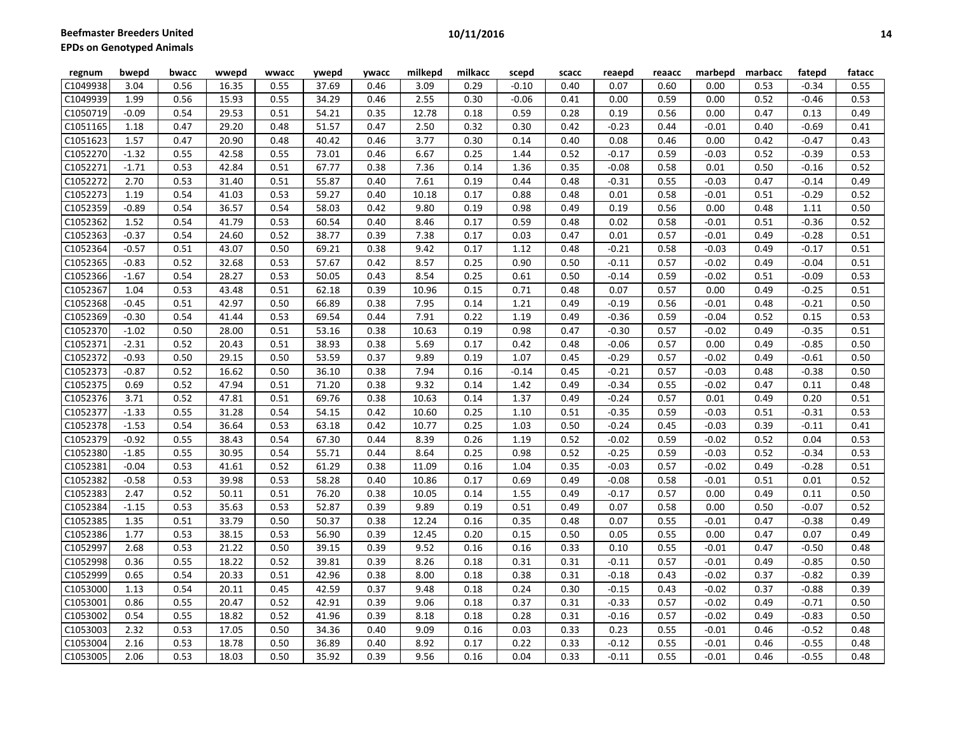| regnum                | bwepd   | bwacc | wwepd | wwacc | ywepd | <b>ywacc</b> | milkepd | milkacc | scepd   | scacc | reaepd  | reaacc | marbepd | marbacc | fatepd  | fatacc |
|-----------------------|---------|-------|-------|-------|-------|--------------|---------|---------|---------|-------|---------|--------|---------|---------|---------|--------|
| C1049938              | 3.04    | 0.56  | 16.35 | 0.55  | 37.69 | 0.46         | 3.09    | 0.29    | $-0.10$ | 0.40  | 0.07    | 0.60   | 0.00    | 0.53    | $-0.34$ | 0.55   |
| C1049939              | 1.99    | 0.56  | 15.93 | 0.55  | 34.29 | 0.46         | 2.55    | 0.30    | $-0.06$ | 0.41  | 0.00    | 0.59   | 0.00    | 0.52    | $-0.46$ | 0.53   |
| C1050719              | $-0.09$ | 0.54  | 29.53 | 0.51  | 54.21 | 0.35         | 12.78   | 0.18    | 0.59    | 0.28  | 0.19    | 0.56   | 0.00    | 0.47    | 0.13    | 0.49   |
| C1051165              | 1.18    | 0.47  | 29.20 | 0.48  | 51.57 | 0.47         | 2.50    | 0.32    | 0.30    | 0.42  | $-0.23$ | 0.44   | $-0.01$ | 0.40    | $-0.69$ | 0.41   |
| C1051623              | 1.57    | 0.47  | 20.90 | 0.48  | 40.42 | 0.46         | 3.77    | 0.30    | 0.14    | 0.40  | 0.08    | 0.46   | 0.00    | 0.42    | $-0.47$ | 0.43   |
| C1052270              | $-1.32$ | 0.55  | 42.58 | 0.55  | 73.01 | 0.46         | 6.67    | 0.25    | 1.44    | 0.52  | $-0.17$ | 0.59   | $-0.03$ | 0.52    | $-0.39$ | 0.53   |
| C1052271              | $-1.71$ | 0.53  | 42.84 | 0.51  | 67.77 | 0.38         | 7.36    | 0.14    | 1.36    | 0.35  | $-0.08$ | 0.58   | 0.01    | 0.50    | $-0.16$ | 0.52   |
| C1052272              | 2.70    | 0.53  | 31.40 | 0.51  | 55.87 | 0.40         | 7.61    | 0.19    | 0.44    | 0.48  | $-0.31$ | 0.55   | $-0.03$ | 0.47    | $-0.14$ | 0.49   |
| C1052273              | 1.19    | 0.54  | 41.03 | 0.53  | 59.27 | 0.40         | 10.18   | 0.17    | 0.88    | 0.48  | 0.01    | 0.58   | $-0.01$ | 0.51    | $-0.29$ | 0.52   |
| C1052359              | $-0.89$ | 0.54  | 36.57 | 0.54  | 58.03 | 0.42         | 9.80    | 0.19    | 0.98    | 0.49  | 0.19    | 0.56   | 0.00    | 0.48    | 1.11    | 0.50   |
| C1052362              | 1.52    | 0.54  | 41.79 | 0.53  | 60.54 | 0.40         | 8.46    | 0.17    | 0.59    | 0.48  | 0.02    | 0.58   | $-0.01$ | 0.51    | $-0.36$ | 0.52   |
| C1052363              | $-0.37$ | 0.54  | 24.60 | 0.52  | 38.77 | 0.39         | 7.38    | 0.17    | 0.03    | 0.47  | 0.01    | 0.57   | $-0.01$ | 0.49    | $-0.28$ | 0.51   |
| C1052364              | $-0.57$ | 0.51  | 43.07 | 0.50  | 69.21 | 0.38         | 9.42    | 0.17    | 1.12    | 0.48  | $-0.21$ | 0.58   | $-0.03$ | 0.49    | $-0.17$ | 0.51   |
| C1052365              | $-0.83$ | 0.52  | 32.68 | 0.53  | 57.67 | 0.42         | 8.57    | 0.25    | 0.90    | 0.50  | $-0.11$ | 0.57   | $-0.02$ | 0.49    | $-0.04$ | 0.51   |
| C1052366              | $-1.67$ | 0.54  | 28.27 | 0.53  | 50.05 | 0.43         | 8.54    | 0.25    | 0.61    | 0.50  | $-0.14$ | 0.59   | $-0.02$ | 0.51    | $-0.09$ | 0.53   |
| C1052367              | 1.04    | 0.53  | 43.48 | 0.51  | 62.18 | 0.39         | 10.96   | 0.15    | 0.71    | 0.48  | 0.07    | 0.57   | 0.00    | 0.49    | $-0.25$ | 0.51   |
| C1052368              | $-0.45$ | 0.51  | 42.97 | 0.50  | 66.89 | 0.38         | 7.95    | 0.14    | 1.21    | 0.49  | $-0.19$ | 0.56   | $-0.01$ | 0.48    | $-0.21$ | 0.50   |
| C1052369              | $-0.30$ | 0.54  | 41.44 | 0.53  | 69.54 | 0.44         | 7.91    | 0.22    | 1.19    | 0.49  | $-0.36$ | 0.59   | $-0.04$ | 0.52    | 0.15    | 0.53   |
| C1052370              | $-1.02$ | 0.50  | 28.00 | 0.51  | 53.16 | 0.38         | 10.63   | 0.19    | 0.98    | 0.47  | $-0.30$ | 0.57   | $-0.02$ | 0.49    | $-0.35$ | 0.51   |
| C1052371              | $-2.31$ | 0.52  | 20.43 | 0.51  | 38.93 | 0.38         | 5.69    | 0.17    | 0.42    | 0.48  | $-0.06$ | 0.57   | 0.00    | 0.49    | $-0.85$ | 0.50   |
| C1052372              | $-0.93$ | 0.50  | 29.15 | 0.50  | 53.59 | 0.37         | 9.89    | 0.19    | 1.07    | 0.45  | $-0.29$ | 0.57   | $-0.02$ | 0.49    | $-0.61$ | 0.50   |
| C1052373              | $-0.87$ | 0.52  | 16.62 | 0.50  | 36.10 | 0.38         | 7.94    | 0.16    | $-0.14$ | 0.45  | $-0.21$ | 0.57   | $-0.03$ | 0.48    | $-0.38$ | 0.50   |
| C1052375              | 0.69    | 0.52  | 47.94 | 0.51  | 71.20 | 0.38         | 9.32    | 0.14    | 1.42    | 0.49  | $-0.34$ | 0.55   | $-0.02$ | 0.47    | 0.11    | 0.48   |
| C1052376              | 3.71    | 0.52  | 47.81 | 0.51  | 69.76 | 0.38         | 10.63   | 0.14    | 1.37    | 0.49  | $-0.24$ | 0.57   | 0.01    | 0.49    | 0.20    | 0.51   |
| C1052377              | $-1.33$ | 0.55  | 31.28 | 0.54  | 54.15 | 0.42         | 10.60   | 0.25    | 1.10    | 0.51  | $-0.35$ | 0.59   | $-0.03$ | 0.51    | $-0.31$ | 0.53   |
| C1052378              | $-1.53$ | 0.54  | 36.64 | 0.53  | 63.18 | 0.42         | 10.77   | 0.25    | 1.03    | 0.50  | $-0.24$ | 0.45   | $-0.03$ | 0.39    | $-0.11$ | 0.41   |
| C1052379              | $-0.92$ | 0.55  | 38.43 | 0.54  | 67.30 | 0.44         | 8.39    | 0.26    | 1.19    | 0.52  | $-0.02$ | 0.59   | $-0.02$ | 0.52    | 0.04    | 0.53   |
| C1052380              | $-1.85$ | 0.55  | 30.95 | 0.54  | 55.71 | 0.44         | 8.64    | 0.25    | 0.98    | 0.52  | $-0.25$ | 0.59   | $-0.03$ | 0.52    | $-0.34$ | 0.53   |
| C1052381              | $-0.04$ | 0.53  | 41.61 | 0.52  | 61.29 | 0.38         | 11.09   | 0.16    | 1.04    | 0.35  | $-0.03$ | 0.57   | $-0.02$ | 0.49    | $-0.28$ | 0.51   |
| $\overline{C1}052382$ | $-0.58$ | 0.53  | 39.98 | 0.53  | 58.28 | 0.40         | 10.86   | 0.17    | 0.69    | 0.49  | $-0.08$ | 0.58   | $-0.01$ | 0.51    | 0.01    | 0.52   |
| C1052383              | 2.47    | 0.52  | 50.11 | 0.51  | 76.20 | 0.38         | 10.05   | 0.14    | 1.55    | 0.49  | $-0.17$ | 0.57   | 0.00    | 0.49    | 0.11    | 0.50   |
| C1052384              | $-1.15$ | 0.53  | 35.63 | 0.53  | 52.87 | 0.39         | 9.89    | 0.19    | 0.51    | 0.49  | 0.07    | 0.58   | 0.00    | 0.50    | $-0.07$ | 0.52   |
| C1052385              | 1.35    | 0.51  | 33.79 | 0.50  | 50.37 | 0.38         | 12.24   | 0.16    | 0.35    | 0.48  | 0.07    | 0.55   | $-0.01$ | 0.47    | $-0.38$ | 0.49   |
| C1052386              | 1.77    | 0.53  | 38.15 | 0.53  | 56.90 | 0.39         | 12.45   | 0.20    | 0.15    | 0.50  | 0.05    | 0.55   | 0.00    | 0.47    | 0.07    | 0.49   |
| C1052997              | 2.68    | 0.53  | 21.22 | 0.50  | 39.15 | 0.39         | 9.52    | 0.16    | 0.16    | 0.33  | 0.10    | 0.55   | $-0.01$ | 0.47    | $-0.50$ | 0.48   |
| C1052998              | 0.36    | 0.55  | 18.22 | 0.52  | 39.81 | 0.39         | 8.26    | 0.18    | 0.31    | 0.31  | $-0.11$ | 0.57   | $-0.01$ | 0.49    | $-0.85$ | 0.50   |
| C1052999              | 0.65    | 0.54  | 20.33 | 0.51  | 42.96 | 0.38         | 8.00    | 0.18    | 0.38    | 0.31  | $-0.18$ | 0.43   | $-0.02$ | 0.37    | $-0.82$ | 0.39   |
| C1053000              | 1.13    | 0.54  | 20.11 | 0.45  | 42.59 | 0.37         | 9.48    | 0.18    | 0.24    | 0.30  | $-0.15$ | 0.43   | $-0.02$ | 0.37    | $-0.88$ | 0.39   |
| C1053001              | 0.86    | 0.55  | 20.47 | 0.52  | 42.91 | 0.39         | 9.06    | 0.18    | 0.37    | 0.31  | $-0.33$ | 0.57   | $-0.02$ | 0.49    | $-0.71$ | 0.50   |
| C1053002              | 0.54    | 0.55  | 18.82 | 0.52  | 41.96 | 0.39         | 8.18    | 0.18    | 0.28    | 0.31  | $-0.16$ | 0.57   | $-0.02$ | 0.49    | $-0.83$ | 0.50   |
| C1053003              | 2.32    | 0.53  | 17.05 | 0.50  | 34.36 | 0.40         | 9.09    | 0.16    | 0.03    | 0.33  | 0.23    | 0.55   | $-0.01$ | 0.46    | $-0.52$ | 0.48   |
| C1053004              | 2.16    | 0.53  | 18.78 | 0.50  | 36.89 | 0.40         | 8.92    | 0.17    | 0.22    | 0.33  | $-0.12$ | 0.55   | $-0.01$ | 0.46    | $-0.55$ | 0.48   |
| C1053005              | 2.06    | 0.53  | 18.03 | 0.50  | 35.92 | 0.39         | 9.56    | 0.16    | 0.04    | 0.33  | $-0.11$ | 0.55   | $-0.01$ | 0.46    | $-0.55$ | 0.48   |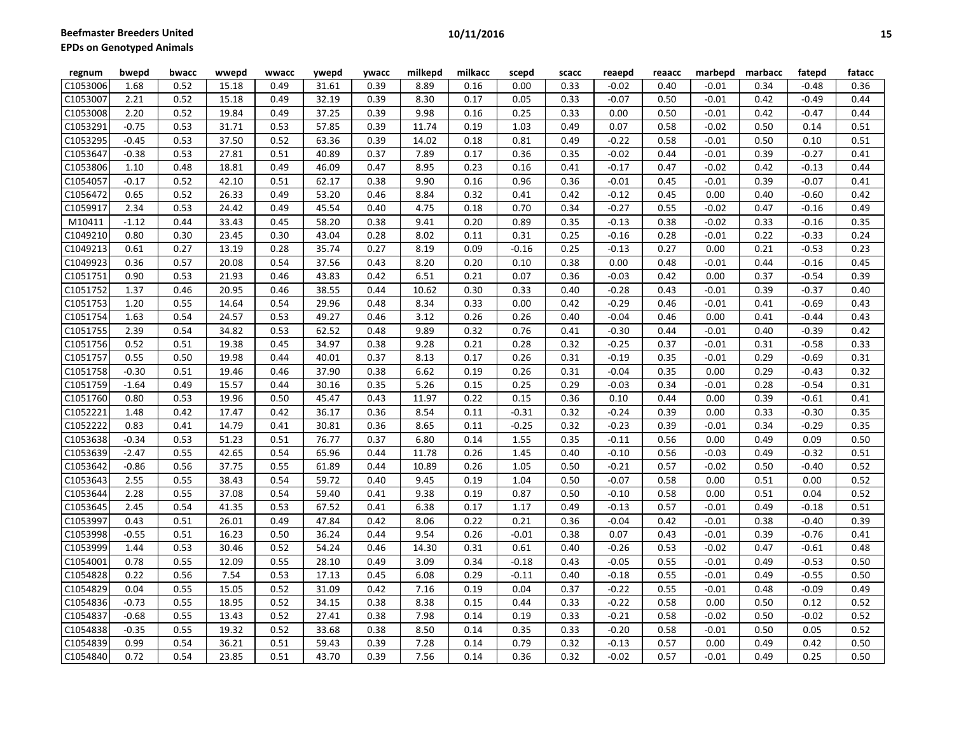| regnum   | bwepd   | bwacc | wwepd | wwacc | ywepd | ywacc | milkepd | milkacc | scepd   | scacc | reaepd  | reaacc | marbepd | marbacc | fatepd  | fatacc |
|----------|---------|-------|-------|-------|-------|-------|---------|---------|---------|-------|---------|--------|---------|---------|---------|--------|
| C1053006 | 1.68    | 0.52  | 15.18 | 0.49  | 31.61 | 0.39  | 8.89    | 0.16    | 0.00    | 0.33  | $-0.02$ | 0.40   | $-0.01$ | 0.34    | $-0.48$ | 0.36   |
| C1053007 | 2.21    | 0.52  | 15.18 | 0.49  | 32.19 | 0.39  | 8.30    | 0.17    | 0.05    | 0.33  | $-0.07$ | 0.50   | $-0.01$ | 0.42    | $-0.49$ | 0.44   |
| C1053008 | 2.20    | 0.52  | 19.84 | 0.49  | 37.25 | 0.39  | 9.98    | 0.16    | 0.25    | 0.33  | 0.00    | 0.50   | $-0.01$ | 0.42    | $-0.47$ | 0.44   |
| C1053291 | $-0.75$ | 0.53  | 31.71 | 0.53  | 57.85 | 0.39  | 11.74   | 0.19    | 1.03    | 0.49  | 0.07    | 0.58   | $-0.02$ | 0.50    | 0.14    | 0.51   |
| C1053295 | $-0.45$ | 0.53  | 37.50 | 0.52  | 63.36 | 0.39  | 14.02   | 0.18    | 0.81    | 0.49  | $-0.22$ | 0.58   | $-0.01$ | 0.50    | 0.10    | 0.51   |
| C1053647 | $-0.38$ | 0.53  | 27.81 | 0.51  | 40.89 | 0.37  | 7.89    | 0.17    | 0.36    | 0.35  | $-0.02$ | 0.44   | $-0.01$ | 0.39    | $-0.27$ | 0.41   |
| C1053806 | 1.10    | 0.48  | 18.81 | 0.49  | 46.09 | 0.47  | 8.95    | 0.23    | 0.16    | 0.41  | $-0.17$ | 0.47   | $-0.02$ | 0.42    | $-0.13$ | 0.44   |
| C1054057 | $-0.17$ | 0.52  | 42.10 | 0.51  | 62.17 | 0.38  | 9.90    | 0.16    | 0.96    | 0.36  | $-0.01$ | 0.45   | $-0.01$ | 0.39    | $-0.07$ | 0.41   |
| C1056472 | 0.65    | 0.52  | 26.33 | 0.49  | 53.20 | 0.46  | 8.84    | 0.32    | 0.41    | 0.42  | $-0.12$ | 0.45   | 0.00    | 0.40    | $-0.60$ | 0.42   |
| C1059917 | 2.34    | 0.53  | 24.42 | 0.49  | 45.54 | 0.40  | 4.75    | 0.18    | 0.70    | 0.34  | $-0.27$ | 0.55   | $-0.02$ | 0.47    | $-0.16$ | 0.49   |
| M10411   | $-1.12$ | 0.44  | 33.43 | 0.45  | 58.20 | 0.38  | 9.41    | 0.20    | 0.89    | 0.35  | $-0.13$ | 0.38   | $-0.02$ | 0.33    | $-0.16$ | 0.35   |
| C1049210 | 0.80    | 0.30  | 23.45 | 0.30  | 43.04 | 0.28  | 8.02    | 0.11    | 0.31    | 0.25  | $-0.16$ | 0.28   | $-0.01$ | 0.22    | $-0.33$ | 0.24   |
| C1049213 | 0.61    | 0.27  | 13.19 | 0.28  | 35.74 | 0.27  | 8.19    | 0.09    | $-0.16$ | 0.25  | $-0.13$ | 0.27   | 0.00    | 0.21    | $-0.53$ | 0.23   |
| C1049923 | 0.36    | 0.57  | 20.08 | 0.54  | 37.56 | 0.43  | 8.20    | 0.20    | 0.10    | 0.38  | 0.00    | 0.48   | $-0.01$ | 0.44    | $-0.16$ | 0.45   |
| C1051751 | 0.90    | 0.53  | 21.93 | 0.46  | 43.83 | 0.42  | 6.51    | 0.21    | 0.07    | 0.36  | $-0.03$ | 0.42   | 0.00    | 0.37    | $-0.54$ | 0.39   |
| C1051752 | 1.37    | 0.46  | 20.95 | 0.46  | 38.55 | 0.44  | 10.62   | 0.30    | 0.33    | 0.40  | $-0.28$ | 0.43   | $-0.01$ | 0.39    | $-0.37$ | 0.40   |
| C1051753 | 1.20    | 0.55  | 14.64 | 0.54  | 29.96 | 0.48  | 8.34    | 0.33    | 0.00    | 0.42  | $-0.29$ | 0.46   | $-0.01$ | 0.41    | $-0.69$ | 0.43   |
| C1051754 | 1.63    | 0.54  | 24.57 | 0.53  | 49.27 | 0.46  | 3.12    | 0.26    | 0.26    | 0.40  | $-0.04$ | 0.46   | 0.00    | 0.41    | $-0.44$ | 0.43   |
| C1051755 | 2.39    | 0.54  | 34.82 | 0.53  | 62.52 | 0.48  | 9.89    | 0.32    | 0.76    | 0.41  | $-0.30$ | 0.44   | $-0.01$ | 0.40    | $-0.39$ | 0.42   |
| C1051756 | 0.52    | 0.51  | 19.38 | 0.45  | 34.97 | 0.38  | 9.28    | 0.21    | 0.28    | 0.32  | $-0.25$ | 0.37   | $-0.01$ | 0.31    | $-0.58$ | 0.33   |
| C1051757 | 0.55    | 0.50  | 19.98 | 0.44  | 40.01 | 0.37  | 8.13    | 0.17    | 0.26    | 0.31  | $-0.19$ | 0.35   | $-0.01$ | 0.29    | $-0.69$ | 0.31   |
| C1051758 | $-0.30$ | 0.51  | 19.46 | 0.46  | 37.90 | 0.38  | 6.62    | 0.19    | 0.26    | 0.31  | $-0.04$ | 0.35   | 0.00    | 0.29    | $-0.43$ | 0.32   |
| C1051759 | $-1.64$ | 0.49  | 15.57 | 0.44  | 30.16 | 0.35  | 5.26    | 0.15    | 0.25    | 0.29  | $-0.03$ | 0.34   | $-0.01$ | 0.28    | $-0.54$ | 0.31   |
| C1051760 | 0.80    | 0.53  | 19.96 | 0.50  | 45.47 | 0.43  | 11.97   | 0.22    | 0.15    | 0.36  | 0.10    | 0.44   | 0.00    | 0.39    | $-0.61$ | 0.41   |
| C1052221 | 1.48    | 0.42  | 17.47 | 0.42  | 36.17 | 0.36  | 8.54    | 0.11    | $-0.31$ | 0.32  | $-0.24$ | 0.39   | 0.00    | 0.33    | $-0.30$ | 0.35   |
| C1052222 | 0.83    | 0.41  | 14.79 | 0.41  | 30.81 | 0.36  | 8.65    | 0.11    | $-0.25$ | 0.32  | $-0.23$ | 0.39   | $-0.01$ | 0.34    | $-0.29$ | 0.35   |
| C1053638 | $-0.34$ | 0.53  | 51.23 | 0.51  | 76.77 | 0.37  | 6.80    | 0.14    | 1.55    | 0.35  | $-0.11$ | 0.56   | 0.00    | 0.49    | 0.09    | 0.50   |
| C1053639 | $-2.47$ | 0.55  | 42.65 | 0.54  | 65.96 | 0.44  | 11.78   | 0.26    | 1.45    | 0.40  | $-0.10$ | 0.56   | $-0.03$ | 0.49    | $-0.32$ | 0.51   |
| C1053642 | $-0.86$ | 0.56  | 37.75 | 0.55  | 61.89 | 0.44  | 10.89   | 0.26    | 1.05    | 0.50  | $-0.21$ | 0.57   | $-0.02$ | 0.50    | $-0.40$ | 0.52   |
| C1053643 | 2.55    | 0.55  | 38.43 | 0.54  | 59.72 | 0.40  | 9.45    | 0.19    | 1.04    | 0.50  | $-0.07$ | 0.58   | 0.00    | 0.51    | 0.00    | 0.52   |
| C1053644 | 2.28    | 0.55  | 37.08 | 0.54  | 59.40 | 0.41  | 9.38    | 0.19    | 0.87    | 0.50  | $-0.10$ | 0.58   | 0.00    | 0.51    | 0.04    | 0.52   |
| C1053645 | 2.45    | 0.54  | 41.35 | 0.53  | 67.52 | 0.41  | 6.38    | 0.17    | 1.17    | 0.49  | $-0.13$ | 0.57   | $-0.01$ | 0.49    | $-0.18$ | 0.51   |
| C1053997 | 0.43    | 0.51  | 26.01 | 0.49  | 47.84 | 0.42  | 8.06    | 0.22    | 0.21    | 0.36  | $-0.04$ | 0.42   | $-0.01$ | 0.38    | $-0.40$ | 0.39   |
| C1053998 | $-0.55$ | 0.51  | 16.23 | 0.50  | 36.24 | 0.44  | 9.54    | 0.26    | $-0.01$ | 0.38  | 0.07    | 0.43   | $-0.01$ | 0.39    | $-0.76$ | 0.41   |
| C1053999 | 1.44    | 0.53  | 30.46 | 0.52  | 54.24 | 0.46  | 14.30   | 0.31    | 0.61    | 0.40  | $-0.26$ | 0.53   | $-0.02$ | 0.47    | $-0.61$ | 0.48   |
| C1054001 | 0.78    | 0.55  | 12.09 | 0.55  | 28.10 | 0.49  | 3.09    | 0.34    | $-0.18$ | 0.43  | $-0.05$ | 0.55   | $-0.01$ | 0.49    | $-0.53$ | 0.50   |
| C1054828 | 0.22    | 0.56  | 7.54  | 0.53  | 17.13 | 0.45  | 6.08    | 0.29    | $-0.11$ | 0.40  | $-0.18$ | 0.55   | $-0.01$ | 0.49    | $-0.55$ | 0.50   |
| C1054829 | 0.04    | 0.55  | 15.05 | 0.52  | 31.09 | 0.42  | 7.16    | 0.19    | 0.04    | 0.37  | $-0.22$ | 0.55   | $-0.01$ | 0.48    | $-0.09$ | 0.49   |
| C1054836 | $-0.73$ | 0.55  | 18.95 | 0.52  | 34.15 | 0.38  | 8.38    | 0.15    | 0.44    | 0.33  | $-0.22$ | 0.58   | 0.00    | 0.50    | 0.12    | 0.52   |
| C1054837 | $-0.68$ | 0.55  | 13.43 | 0.52  | 27.41 | 0.38  | 7.98    | 0.14    | 0.19    | 0.33  | $-0.21$ | 0.58   | $-0.02$ | 0.50    | $-0.02$ | 0.52   |
| C1054838 | $-0.35$ | 0.55  | 19.32 | 0.52  | 33.68 | 0.38  | 8.50    | 0.14    | 0.35    | 0.33  | $-0.20$ | 0.58   | $-0.01$ | 0.50    | 0.05    | 0.52   |
| C1054839 | 0.99    | 0.54  | 36.21 | 0.51  | 59.43 | 0.39  | 7.28    | 0.14    | 0.79    | 0.32  | $-0.13$ | 0.57   | 0.00    | 0.49    | 0.42    | 0.50   |

C1054840| 0.72 | 0.54 | 23.85 | 0.51 | 43.70 | 0.39 | 7.56 | 0.14 | 0.36 | 0.32 | -0.02 | 0.57 | -0.01 | 0.49 | 0.25 | 0.50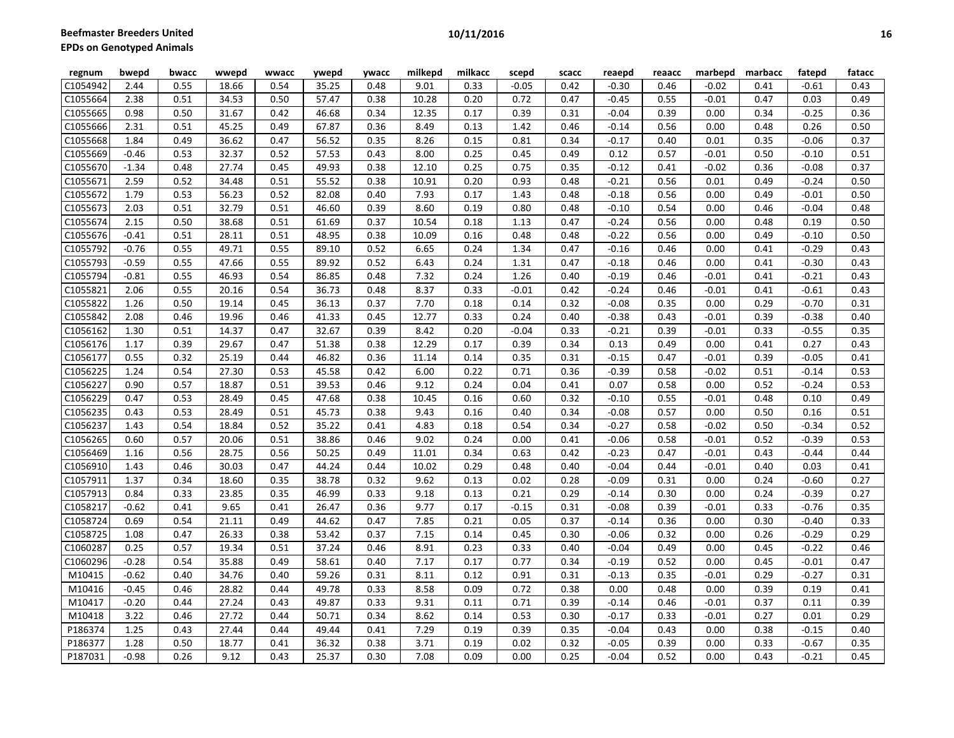| regnum   | bwepd   | bwacc | wwepd | wwacc | ywepd | <b>ywacc</b> | milkepd | milkacc | scepd   | scacc | reaepd  | reaacc | marbepd | marbacc | fatepd  | fatacc |
|----------|---------|-------|-------|-------|-------|--------------|---------|---------|---------|-------|---------|--------|---------|---------|---------|--------|
| C1054942 | 2.44    | 0.55  | 18.66 | 0.54  | 35.25 | 0.48         | 9.01    | 0.33    | $-0.05$ | 0.42  | $-0.30$ | 0.46   | $-0.02$ | 0.41    | $-0.61$ | 0.43   |
| C1055664 | 2.38    | 0.51  | 34.53 | 0.50  | 57.47 | 0.38         | 10.28   | 0.20    | 0.72    | 0.47  | $-0.45$ | 0.55   | $-0.01$ | 0.47    | 0.03    | 0.49   |
| C1055665 | 0.98    | 0.50  | 31.67 | 0.42  | 46.68 | 0.34         | 12.35   | 0.17    | 0.39    | 0.31  | $-0.04$ | 0.39   | 0.00    | 0.34    | $-0.25$ | 0.36   |
| C1055666 | 2.31    | 0.51  | 45.25 | 0.49  | 67.87 | 0.36         | 8.49    | 0.13    | 1.42    | 0.46  | $-0.14$ | 0.56   | 0.00    | 0.48    | 0.26    | 0.50   |
| C1055668 | 1.84    | 0.49  | 36.62 | 0.47  | 56.52 | 0.35         | 8.26    | 0.15    | 0.81    | 0.34  | $-0.17$ | 0.40   | 0.01    | 0.35    | $-0.06$ | 0.37   |
| C1055669 | $-0.46$ | 0.53  | 32.37 | 0.52  | 57.53 | 0.43         | 8.00    | 0.25    | 0.45    | 0.49  | 0.12    | 0.57   | $-0.01$ | 0.50    | $-0.10$ | 0.51   |
| C1055670 | $-1.34$ | 0.48  | 27.74 | 0.45  | 49.93 | 0.38         | 12.10   | 0.25    | 0.75    | 0.35  | $-0.12$ | 0.41   | $-0.02$ | 0.36    | $-0.08$ | 0.37   |
| C1055671 | 2.59    | 0.52  | 34.48 | 0.51  | 55.52 | 0.38         | 10.91   | 0.20    | 0.93    | 0.48  | $-0.21$ | 0.56   | 0.01    | 0.49    | $-0.24$ | 0.50   |
| C1055672 | 1.79    | 0.53  | 56.23 | 0.52  | 82.08 | 0.40         | 7.93    | 0.17    | 1.43    | 0.48  | $-0.18$ | 0.56   | 0.00    | 0.49    | $-0.01$ | 0.50   |
| C1055673 | 2.03    | 0.51  | 32.79 | 0.51  | 46.60 | 0.39         | 8.60    | 0.19    | 0.80    | 0.48  | $-0.10$ | 0.54   | 0.00    | 0.46    | $-0.04$ | 0.48   |
| C1055674 | 2.15    | 0.50  | 38.68 | 0.51  | 61.69 | 0.37         | 10.54   | 0.18    | 1.13    | 0.47  | $-0.24$ | 0.56   | 0.00    | 0.48    | 0.19    | 0.50   |
| C1055676 | $-0.41$ | 0.51  | 28.11 | 0.51  | 48.95 | 0.38         | 10.09   | 0.16    | 0.48    | 0.48  | $-0.22$ | 0.56   | 0.00    | 0.49    | $-0.10$ | 0.50   |
| C1055792 | $-0.76$ | 0.55  | 49.71 | 0.55  | 89.10 | 0.52         | 6.65    | 0.24    | 1.34    | 0.47  | $-0.16$ | 0.46   | 0.00    | 0.41    | $-0.29$ | 0.43   |
| C1055793 | $-0.59$ | 0.55  | 47.66 | 0.55  | 89.92 | 0.52         | 6.43    | 0.24    | 1.31    | 0.47  | $-0.18$ | 0.46   | 0.00    | 0.41    | $-0.30$ | 0.43   |
| C1055794 | $-0.81$ | 0.55  | 46.93 | 0.54  | 86.85 | 0.48         | 7.32    | 0.24    | 1.26    | 0.40  | $-0.19$ | 0.46   | $-0.01$ | 0.41    | $-0.21$ | 0.43   |
| C1055821 | 2.06    | 0.55  | 20.16 | 0.54  | 36.73 | 0.48         | 8.37    | 0.33    | $-0.01$ | 0.42  | $-0.24$ | 0.46   | $-0.01$ | 0.41    | $-0.61$ | 0.43   |
| C1055822 | 1.26    | 0.50  | 19.14 | 0.45  | 36.13 | 0.37         | 7.70    | 0.18    | 0.14    | 0.32  | $-0.08$ | 0.35   | 0.00    | 0.29    | $-0.70$ | 0.31   |
| C1055842 | 2.08    | 0.46  | 19.96 | 0.46  | 41.33 | 0.45         | 12.77   | 0.33    | 0.24    | 0.40  | $-0.38$ | 0.43   | $-0.01$ | 0.39    | $-0.38$ | 0.40   |
| C1056162 | 1.30    | 0.51  | 14.37 | 0.47  | 32.67 | 0.39         | 8.42    | 0.20    | $-0.04$ | 0.33  | $-0.21$ | 0.39   | $-0.01$ | 0.33    | $-0.55$ | 0.35   |
| C1056176 | 1.17    | 0.39  | 29.67 | 0.47  | 51.38 | 0.38         | 12.29   | 0.17    | 0.39    | 0.34  | 0.13    | 0.49   | 0.00    | 0.41    | 0.27    | 0.43   |
| C1056177 | 0.55    | 0.32  | 25.19 | 0.44  | 46.82 | 0.36         | 11.14   | 0.14    | 0.35    | 0.31  | $-0.15$ | 0.47   | $-0.01$ | 0.39    | $-0.05$ | 0.41   |
| C1056225 | 1.24    | 0.54  | 27.30 | 0.53  | 45.58 | 0.42         | 6.00    | 0.22    | 0.71    | 0.36  | $-0.39$ | 0.58   | $-0.02$ | 0.51    | $-0.14$ | 0.53   |
| C1056227 | 0.90    | 0.57  | 18.87 | 0.51  | 39.53 | 0.46         | 9.12    | 0.24    | 0.04    | 0.41  | 0.07    | 0.58   | 0.00    | 0.52    | $-0.24$ | 0.53   |
| C1056229 | 0.47    | 0.53  | 28.49 | 0.45  | 47.68 | 0.38         | 10.45   | 0.16    | 0.60    | 0.32  | $-0.10$ | 0.55   | $-0.01$ | 0.48    | 0.10    | 0.49   |
| C1056235 | 0.43    | 0.53  | 28.49 | 0.51  | 45.73 | 0.38         | 9.43    | 0.16    | 0.40    | 0.34  | $-0.08$ | 0.57   | 0.00    | 0.50    | 0.16    | 0.51   |
| C1056237 | 1.43    | 0.54  | 18.84 | 0.52  | 35.22 | 0.41         | 4.83    | 0.18    | 0.54    | 0.34  | $-0.27$ | 0.58   | $-0.02$ | 0.50    | $-0.34$ | 0.52   |
| C1056265 | 0.60    | 0.57  | 20.06 | 0.51  | 38.86 | 0.46         | 9.02    | 0.24    | 0.00    | 0.41  | $-0.06$ | 0.58   | $-0.01$ | 0.52    | $-0.39$ | 0.53   |
| C1056469 | 1.16    | 0.56  | 28.75 | 0.56  | 50.25 | 0.49         | 11.01   | 0.34    | 0.63    | 0.42  | $-0.23$ | 0.47   | $-0.01$ | 0.43    | $-0.44$ | 0.44   |
| C1056910 | 1.43    | 0.46  | 30.03 | 0.47  | 44.24 | 0.44         | 10.02   | 0.29    | 0.48    | 0.40  | $-0.04$ | 0.44   | $-0.01$ | 0.40    | 0.03    | 0.41   |
| C1057911 | 1.37    | 0.34  | 18.60 | 0.35  | 38.78 | 0.32         | 9.62    | 0.13    | 0.02    | 0.28  | $-0.09$ | 0.31   | 0.00    | 0.24    | $-0.60$ | 0.27   |
| C1057913 | 0.84    | 0.33  | 23.85 | 0.35  | 46.99 | 0.33         | 9.18    | 0.13    | 0.21    | 0.29  | $-0.14$ | 0.30   | 0.00    | 0.24    | $-0.39$ | 0.27   |
| C1058217 | $-0.62$ | 0.41  | 9.65  | 0.41  | 26.47 | 0.36         | 9.77    | 0.17    | $-0.15$ | 0.31  | $-0.08$ | 0.39   | $-0.01$ | 0.33    | $-0.76$ | 0.35   |
| C1058724 | 0.69    | 0.54  | 21.11 | 0.49  | 44.62 | 0.47         | 7.85    | 0.21    | 0.05    | 0.37  | $-0.14$ | 0.36   | 0.00    | 0.30    | $-0.40$ | 0.33   |
| C1058725 | 1.08    | 0.47  | 26.33 | 0.38  | 53.42 | 0.37         | 7.15    | 0.14    | 0.45    | 0.30  | $-0.06$ | 0.32   | 0.00    | 0.26    | $-0.29$ | 0.29   |
| C1060287 | 0.25    | 0.57  | 19.34 | 0.51  | 37.24 | 0.46         | 8.91    | 0.23    | 0.33    | 0.40  | $-0.04$ | 0.49   | 0.00    | 0.45    | $-0.22$ | 0.46   |
| C1060296 | $-0.28$ | 0.54  | 35.88 | 0.49  | 58.61 | 0.40         | 7.17    | 0.17    | 0.77    | 0.34  | $-0.19$ | 0.52   | 0.00    | 0.45    | $-0.01$ | 0.47   |
| M10415   | $-0.62$ | 0.40  | 34.76 | 0.40  | 59.26 | 0.31         | 8.11    | 0.12    | 0.91    | 0.31  | $-0.13$ | 0.35   | $-0.01$ | 0.29    | $-0.27$ | 0.31   |
| M10416   | $-0.45$ | 0.46  | 28.82 | 0.44  | 49.78 | 0.33         | 8.58    | 0.09    | 0.72    | 0.38  | 0.00    | 0.48   | 0.00    | 0.39    | 0.19    | 0.41   |
| M10417   | $-0.20$ | 0.44  | 27.24 | 0.43  | 49.87 | 0.33         | 9.31    | 0.11    | 0.71    | 0.39  | $-0.14$ | 0.46   | $-0.01$ | 0.37    | 0.11    | 0.39   |
| M10418   | 3.22    | 0.46  | 27.72 | 0.44  | 50.71 | 0.34         | 8.62    | 0.14    | 0.53    | 0.30  | $-0.17$ | 0.33   | $-0.01$ | 0.27    | 0.01    | 0.29   |
| P186374  | 1.25    | 0.43  | 27.44 | 0.44  | 49.44 | 0.41         | 7.29    | 0.19    | 0.39    | 0.35  | $-0.04$ | 0.43   | 0.00    | 0.38    | $-0.15$ | 0.40   |
| P186377  | 1.28    | 0.50  | 18.77 | 0.41  | 36.32 | 0.38         | 3.71    | 0.19    | 0.02    | 0.32  | $-0.05$ | 0.39   | 0.00    | 0.33    | $-0.67$ | 0.35   |
| P187031  | $-0.98$ | 0.26  | 9.12  | 0.43  | 25.37 | 0.30         | 7.08    | 0.09    | 0.00    | 0.25  | $-0.04$ | 0.52   | 0.00    | 0.43    | $-0.21$ | 0.45   |